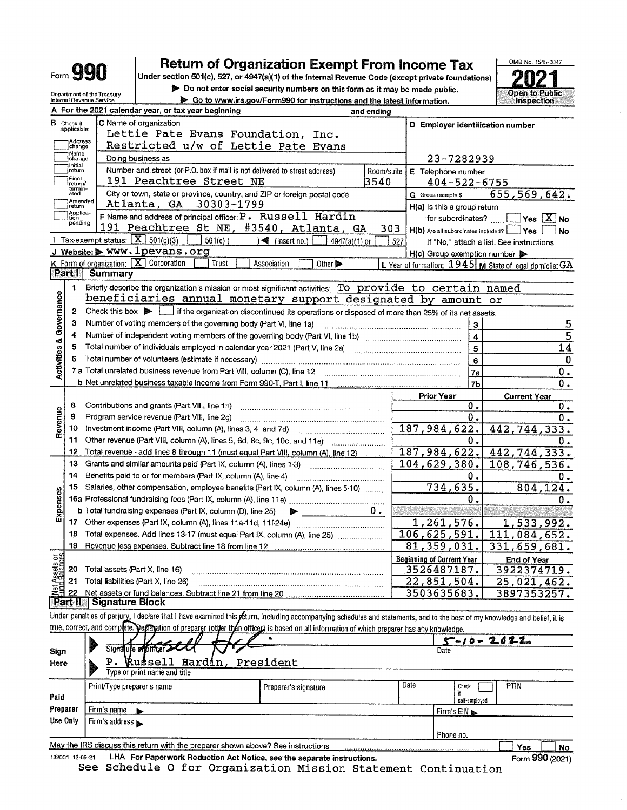|                            |                                  |                                                                              | <b>Return of Organization Exempt From Income Tax</b>                                                                                                                       |                                                                        |                             |            |                                                 |                    | OMB No. 1545-0047                                                                      |          |
|----------------------------|----------------------------------|------------------------------------------------------------------------------|----------------------------------------------------------------------------------------------------------------------------------------------------------------------------|------------------------------------------------------------------------|-----------------------------|------------|-------------------------------------------------|--------------------|----------------------------------------------------------------------------------------|----------|
|                            |                                  | <b>Form YYU</b>                                                              | Under section 501(c), 527, or 4947(a)(1) of the Internal Revenue Code (except private foundations)                                                                         |                                                                        |                             |            |                                                 |                    |                                                                                        |          |
|                            |                                  | Department of the Treasury                                                   | Do not enter social security numbers on this form as it may be made public.                                                                                                |                                                                        |                             |            |                                                 |                    | <b>Open to Public</b>                                                                  |          |
|                            |                                  | Internal Revenue Service                                                     |                                                                                                                                                                            | Go to www.irs.gov/Form990 for instructions and the latest information. |                             |            |                                                 |                    | Inspection                                                                             |          |
|                            |                                  |                                                                              | A For the 2021 calendar year, or tax year beginning                                                                                                                        |                                                                        |                             | and ending |                                                 |                    |                                                                                        |          |
|                            | <b>B</b> Check if<br>applicable: |                                                                              | C Name of organization                                                                                                                                                     |                                                                        |                             |            |                                                 |                    | D Employer identification number                                                       |          |
|                            | Address                          |                                                                              | Lettie Pate Evans Foundation, Inc.                                                                                                                                         |                                                                        |                             |            |                                                 |                    |                                                                                        |          |
|                            | change<br>Name                   |                                                                              | Restricted u/w of Lettie Pate Evans                                                                                                                                        |                                                                        |                             |            |                                                 |                    |                                                                                        |          |
|                            | change<br>initial)               |                                                                              | Doing business as                                                                                                                                                          |                                                                        | 23-7282939                  |            |                                                 |                    |                                                                                        |          |
|                            | return<br>Final                  |                                                                              | Number and street (or P.O. box if mail is not delivered to street address)                                                                                                 | Room/suite<br>E Telephone number                                       |                             |            |                                                 |                    |                                                                                        |          |
|                            | return/<br>termin-               |                                                                              | 191 Peachtree Street NE                                                                                                                                                    |                                                                        |                             | 3540       |                                                 | $404 - 522 - 6755$ |                                                                                        |          |
|                            | ated<br>Amended                  |                                                                              | City or town, state or province, country, and ZIP or foreign postal code<br>Atlanta, GA 30303-1799                                                                         |                                                                        |                             |            | G Gross receipts \$                             |                    | 655, 569, 642.                                                                         |          |
|                            | return<br>Applica-<br>tion       |                                                                              | <b>F</b> Name and address of principal officer: $P$ . Russell Hardin                                                                                                       |                                                                        |                             |            | H(a) Is this a group return                     | for subordinates?  |                                                                                        |          |
|                            | pending                          |                                                                              | 191 Peachtree St NE, #3540, Atlanta, GA                                                                                                                                    |                                                                        |                             | 303        |                                                 |                    | $\mathsf{Yes} \mathsf{X} \mathsf{No}$<br>H(b) Are all subordinates included? Ves<br>No |          |
|                            |                                  |                                                                              | Tax-exempt status: $\boxed{\mathbf{X}}$ 501(c)(3)<br>$501(c)$ (                                                                                                            | $\sqrt{\frac{4}{1}}$ (insert no.)                                      | 4947(a)(1) or               | 527        |                                                 |                    | If "No," attach a list. See instructions                                               |          |
|                            |                                  |                                                                              | J Website: > WWW. 1 pevans.org                                                                                                                                             |                                                                        |                             |            | H(c) Group exemption number                     |                    |                                                                                        |          |
|                            |                                  |                                                                              | $K$ Form of organization: $X$ Corporation<br>Trust                                                                                                                         | Association                                                            | Other $\blacktriangleright$ |            |                                                 |                    | L Year of formation: 1945 M State of legal domicile: GA                                |          |
|                            | Part II                          | Summary                                                                      |                                                                                                                                                                            |                                                                        |                             |            |                                                 |                    |                                                                                        |          |
|                            | 1                                |                                                                              | Briefly describe the organization's mission or most significant activities: To provide to certain named                                                                    |                                                                        |                             |            |                                                 |                    |                                                                                        |          |
|                            |                                  |                                                                              | beneficiaries annual monetary support designated by amount or                                                                                                              |                                                                        |                             |            |                                                 |                    |                                                                                        |          |
| Governance                 | $\mathbf{2}$                     | Check this box $\triangleright$                                              | if the organization discontinued its operations or disposed of more than 25% of its net assets.                                                                            |                                                                        |                             |            |                                                 |                    |                                                                                        |          |
|                            | 3.                               |                                                                              | Number of voting members of the governing body (Part VI, line 1a)                                                                                                          |                                                                        |                             |            |                                                 | 3                  |                                                                                        | 5        |
|                            | 4                                |                                                                              | 4                                                                                                                                                                          |                                                                        | $\overline{5}$              |            |                                                 |                    |                                                                                        |          |
|                            | 5                                | Total number of individuals employed in calendar year 2021 (Part V, line 2a) | 14                                                                                                                                                                         |                                                                        |                             |            |                                                 |                    |                                                                                        |          |
|                            | 6                                |                                                                              | Total number of volunteers (estimate if necessary)                                                                                                                         |                                                                        |                             |            |                                                 | 6                  |                                                                                        | $\bf{0}$ |
| <b>Activities &amp;</b>    |                                  |                                                                              | 7 a Total unrelated business revenue from Part VIII, column (C), line 12                                                                                                   |                                                                        |                             |            |                                                 | 7a                 | 0.                                                                                     |          |
|                            |                                  |                                                                              | b Net unrelated business taxable income from Form 990-T, Part I, line 11                                                                                                   |                                                                        |                             |            |                                                 | 7 <sub>b</sub>     | 0.                                                                                     |          |
|                            |                                  |                                                                              |                                                                                                                                                                            |                                                                        |                             |            | <b>Prior Year</b>                               |                    | <b>Current Year</b>                                                                    |          |
|                            | 8                                |                                                                              | Contributions and grants (Part VIII, line 1h)                                                                                                                              |                                                                        |                             |            |                                                 | Ο.                 | Ο.                                                                                     |          |
|                            | 9                                |                                                                              | Program service revenue (Part VIII, line 2g)                                                                                                                               |                                                                        |                             |            |                                                 | 0.                 | 0.                                                                                     |          |
| Revenue                    | 10                               |                                                                              |                                                                                                                                                                            |                                                                        |                             |            | 187,984,622.                                    |                    | 442,744,333.                                                                           |          |
|                            | 11                               |                                                                              | Other revenue (Part VIII, column (A), lines 5, 6d, 8c, 9c, 10c, and 11e)                                                                                                   |                                                                        |                             |            |                                                 | 0.                 | ο.                                                                                     |          |
|                            | 12                               |                                                                              | Total revenue - add lines 8 through 11 (must equal Part VIII, column (A), line 12)                                                                                         |                                                                        |                             |            | 187,984,622.                                    |                    | 442,744,333.                                                                           |          |
|                            | 13                               |                                                                              | Grants and similar amounts paid (Part IX, column (A), lines 1-3)                                                                                                           |                                                                        |                             |            | 104,629,380.                                    |                    | 108,746,536.                                                                           |          |
|                            | 14                               |                                                                              | Benefits paid to or for members (Part IX, column (A), line 4)                                                                                                              |                                                                        |                             |            |                                                 | 0.                 | Ο.                                                                                     |          |
|                            | 15                               |                                                                              | Salaries, other compensation, employee benefits (Part IX, column (A), lines 5-10)                                                                                          |                                                                        |                             |            |                                                 | 734,635.           | 804,124.                                                                               |          |
| enses                      |                                  |                                                                              |                                                                                                                                                                            |                                                                        |                             |            |                                                 | Ο.                 | 0.                                                                                     |          |
| Exp<br>Li                  | 17                               |                                                                              | b Total fundraising expenses (Part IX, column (D), line 25)                                                                                                                |                                                                        |                             | υ.         |                                                 |                    |                                                                                        |          |
|                            | 18                               |                                                                              | Other expenses (Part IX, column (A), lines 11a-11d, 11f-24e)<br>Total expenses. Add lines 13-17 (must equal Part IX, column (A), line 25)                                  |                                                                        |                             |            | 1,261,576.<br>106, 625, 591.                    |                    | 1,533,992.                                                                             |          |
|                            | 19                               |                                                                              | Revenue less expenses. Subtract line 18 from line 12                                                                                                                       |                                                                        |                             |            | 81, 359, 031.                                   |                    | 111,084,652.<br>331,659,681.                                                           |          |
|                            |                                  |                                                                              |                                                                                                                                                                            |                                                                        |                             |            |                                                 |                    |                                                                                        |          |
| t Assets or<br>id Balances | 20                               | Total assets (Part X, line 16)                                               |                                                                                                                                                                            |                                                                        |                             |            | <b>Beginning of Current Year</b><br>3526487187. |                    | <b>End of Year</b><br>3922374719.                                                      |          |
|                            | 21                               |                                                                              | Total liabilities (Part X, line 26)                                                                                                                                        |                                                                        |                             |            | 22,851,504.                                     |                    | 25,021,462.                                                                            |          |
| 혏                          | 22                               |                                                                              |                                                                                                                                                                            |                                                                        |                             |            | 3503635683.                                     |                    | 3897353257.                                                                            |          |
|                            | Part II                          | <b>Signature Block</b>                                                       |                                                                                                                                                                            |                                                                        |                             |            |                                                 |                    |                                                                                        |          |
|                            |                                  |                                                                              | Under penalties of perjury, I declare that I have examined this yeturn, including accompanying schedules and statements, and to the best of my knowledge and belief, it is |                                                                        |                             |            |                                                 |                    |                                                                                        |          |
|                            |                                  |                                                                              | true, correct, and complete. Deplaration of preparer (other then officer) is based on all information of which preparer has any knowledge.                                 |                                                                        |                             |            |                                                 |                    |                                                                                        |          |
|                            |                                  |                                                                              |                                                                                                                                                                            |                                                                        |                             |            |                                                 | 5-10-              | 2022                                                                                   |          |
| Sign                       |                                  |                                                                              | Signatule expirituer 2000                                                                                                                                                  |                                                                        |                             |            | Date                                            |                    |                                                                                        |          |
| Here                       |                                  |                                                                              | kussell Hardin,                                                                                                                                                            | President                                                              |                             |            |                                                 |                    |                                                                                        |          |
|                            |                                  |                                                                              | Type or print name and title                                                                                                                                               |                                                                        |                             |            |                                                 |                    |                                                                                        |          |
|                            |                                  | Print/Tyne preparer's name                                                   |                                                                                                                                                                            | <b>Proporarle cinnatura</b>                                            |                             |            | Date                                            | <b>Check</b>       | PTIN<br>⊐∐                                                                             |          |

|          | Print/Type preparer's name                                                      | Preparer's signature             | Date | PHN<br>Check  |    |  |
|----------|---------------------------------------------------------------------------------|----------------------------------|------|---------------|----|--|
| Paid     |                                                                                 |                                  |      | self-employed |    |  |
| Preparer | Firm's name                                                                     | $Firm's EIN \blacktriangleright$ |      |               |    |  |
| Use Only | Firm's address ►                                                                |                                  |      |               |    |  |
|          |                                                                                 |                                  |      | Phone no.     |    |  |
|          | May the IRS discuss this return with the preparer shown above? See instructions |                                  |      | Voc           | No |  |

132001 12-09-21

2.09-21 LHA For Paperwork Reduction Act Notice, see the separate instructions.<br>See Schedule O for Organization Mission Statement Continuation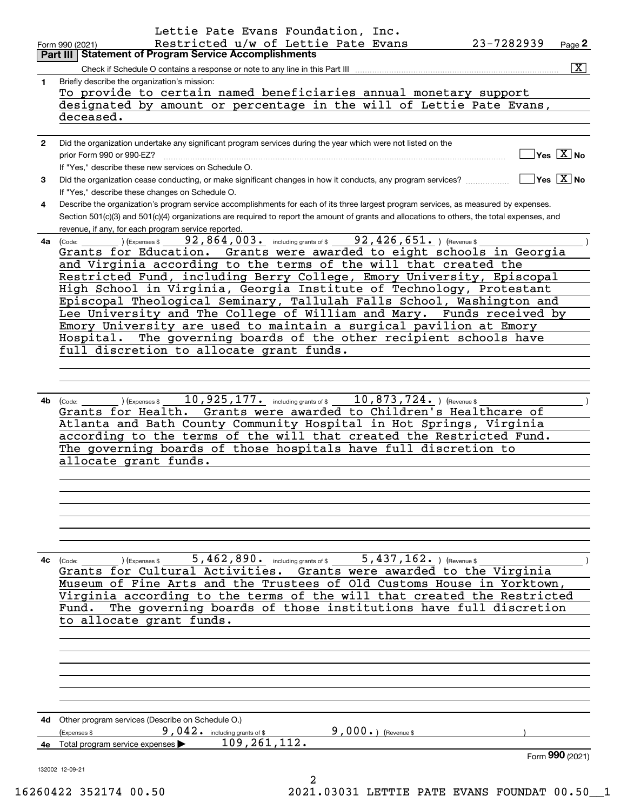|              | Lettie Pate Evans Foundation, Inc.                                                                                                                                                                                                                                                   |                                                 |
|--------------|--------------------------------------------------------------------------------------------------------------------------------------------------------------------------------------------------------------------------------------------------------------------------------------|-------------------------------------------------|
|              | Restricted u/w of Lettie Pate Evans<br>23-7282939<br>Form 990 (2021)<br><b>Part III Statement of Program Service Accomplishments</b>                                                                                                                                                 | Page 2                                          |
|              | Check if Schedule O contains a response or note to any line in this Part III                                                                                                                                                                                                         | $\boxed{\text{X}}$                              |
| 1.           | Briefly describe the organization's mission:                                                                                                                                                                                                                                         |                                                 |
|              | To provide to certain named beneficiaries annual monetary support                                                                                                                                                                                                                    |                                                 |
|              | designated by amount or percentage in the will of Lettie Pate Evans,                                                                                                                                                                                                                 |                                                 |
|              | deceased.                                                                                                                                                                                                                                                                            |                                                 |
| $\mathbf{2}$ | Did the organization undertake any significant program services during the year which were not listed on the                                                                                                                                                                         |                                                 |
|              | prior Form 990 or 990-EZ?                                                                                                                                                                                                                                                            | $\Box$ Yes $[\overline{\mathrm{X}}]$ No         |
|              | If "Yes," describe these new services on Schedule O.                                                                                                                                                                                                                                 |                                                 |
| 3            | Did the organization cease conducting, or make significant changes in how it conducts, any program services?                                                                                                                                                                         | $\boxed{\phantom{1}}$ Yes $\boxed{\text{X}}$ No |
|              | If "Yes," describe these changes on Schedule O.                                                                                                                                                                                                                                      |                                                 |
| 4            | Describe the organization's program service accomplishments for each of its three largest program services, as measured by expenses.<br>Section 501(c)(3) and 501(c)(4) organizations are required to report the amount of grants and allocations to others, the total expenses, and |                                                 |
|              | revenue, if any, for each program service reported.                                                                                                                                                                                                                                  |                                                 |
|              | 4a (Code: _____________)(Expenses \$______92,864,003. including grants of \$______92,426,651. ) (Revenue \$                                                                                                                                                                          |                                                 |
|              | Grants for Education. Grants were awarded to eight schools in Georgia                                                                                                                                                                                                                |                                                 |
|              | and Virginia according to the terms of the will that created the                                                                                                                                                                                                                     |                                                 |
|              | Restricted Fund, including Berry College, Emory University, Episcopal                                                                                                                                                                                                                |                                                 |
|              | High School in Virginia, Georgia Institute of Technology, Protestant<br>Episcopal Theological Seminary, Tallulah Falls School, Washington and                                                                                                                                        |                                                 |
|              | Lee University and The College of William and Mary. Funds received by                                                                                                                                                                                                                |                                                 |
|              | Emory University are used to maintain a surgical pavilion at Emory                                                                                                                                                                                                                   |                                                 |
|              | Hospital. The governing boards of the other recipient schools have                                                                                                                                                                                                                   |                                                 |
|              | full discretion to allocate grant funds.                                                                                                                                                                                                                                             |                                                 |
|              |                                                                                                                                                                                                                                                                                      |                                                 |
|              |                                                                                                                                                                                                                                                                                      |                                                 |
|              | $\hskip1cm$ ) (Expenses \$ $\hskip1cm 10$ , $925$ , $177$ $\hskip1cm .$ including grants of \$ $\hskip1cm 10$ , $873$ , $724$ $\hskip1cm .$ ) (Revenue \$ $\hskip1cm$<br>4b (Code:                                                                                                   |                                                 |
|              | Grants for Health. Grants were awarded to Children's Healthcare of                                                                                                                                                                                                                   |                                                 |
|              | Atlanta and Bath County Community Hospital in Hot Springs, Virginia                                                                                                                                                                                                                  |                                                 |
|              | according to the terms of the will that created the Restricted Fund.                                                                                                                                                                                                                 |                                                 |
|              | The governing boards of those hospitals have full discretion to                                                                                                                                                                                                                      |                                                 |
|              | allocate grant funds.                                                                                                                                                                                                                                                                |                                                 |
|              |                                                                                                                                                                                                                                                                                      |                                                 |
|              |                                                                                                                                                                                                                                                                                      |                                                 |
|              |                                                                                                                                                                                                                                                                                      |                                                 |
|              |                                                                                                                                                                                                                                                                                      |                                                 |
|              |                                                                                                                                                                                                                                                                                      |                                                 |
| 4с           | 5, 462, 890. including grants of \$ 5, 437, 162. ) (Revenue \$<br>(Expenses \$<br>(Code:                                                                                                                                                                                             |                                                 |
|              | Grants for Cultural Activities. Grants were awarded to the Virginia                                                                                                                                                                                                                  |                                                 |
|              | Museum of Fine Arts and the Trustees of Old Customs House in Yorktown,                                                                                                                                                                                                               |                                                 |
|              | Virginia according to the terms of the will that created the Restricted                                                                                                                                                                                                              |                                                 |
|              | The governing boards of those institutions have full discretion<br>Fund.                                                                                                                                                                                                             |                                                 |
|              | to allocate grant funds.                                                                                                                                                                                                                                                             |                                                 |
|              |                                                                                                                                                                                                                                                                                      |                                                 |
|              |                                                                                                                                                                                                                                                                                      |                                                 |
|              |                                                                                                                                                                                                                                                                                      |                                                 |
|              |                                                                                                                                                                                                                                                                                      |                                                 |
|              |                                                                                                                                                                                                                                                                                      |                                                 |
|              | 4d Other program services (Describe on Schedule O.)                                                                                                                                                                                                                                  |                                                 |
|              | $9,000.$ (Revenue \$<br>$9,042.$ including grants of \$<br>(Expenses \$                                                                                                                                                                                                              |                                                 |
|              | 109, 261, 112.<br>4e Total program service expenses                                                                                                                                                                                                                                  |                                                 |
|              |                                                                                                                                                                                                                                                                                      | Form 990 (2021)                                 |
|              | 132002 12-09-21                                                                                                                                                                                                                                                                      |                                                 |
|              | 2<br>$CAA$ $25217A$ $AD$ $ED$<br>2021 02021 LEBELE DABE EVANC EQUINDABLO EQ                                                                                                                                                                                                          |                                                 |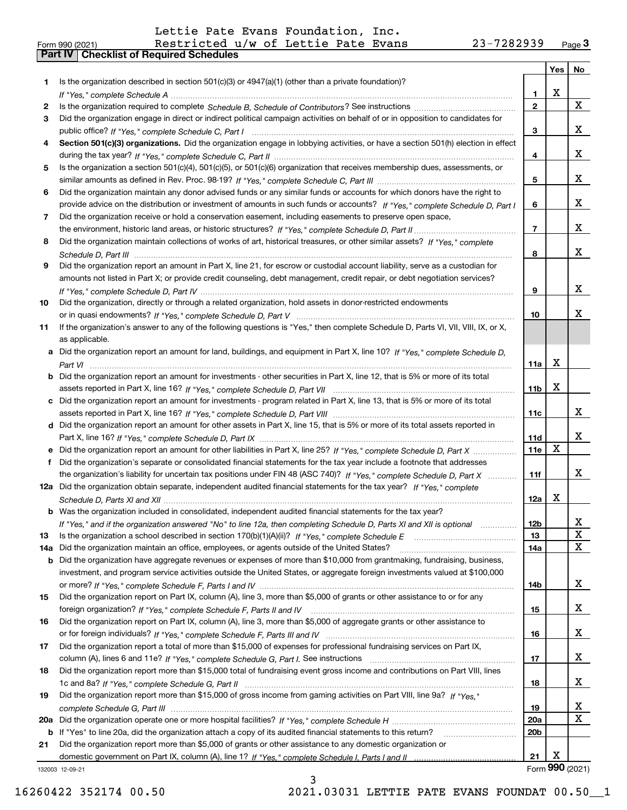|  | Form 990 (2021) |
|--|-----------------|

|     |                                                                                                                                   |                 | Yes | No              |
|-----|-----------------------------------------------------------------------------------------------------------------------------------|-----------------|-----|-----------------|
| 1.  | Is the organization described in section $501(c)(3)$ or $4947(a)(1)$ (other than a private foundation)?                           |                 |     |                 |
|     |                                                                                                                                   | 1               | х   |                 |
| 2   |                                                                                                                                   | $\mathbf{2}$    |     | X               |
| 3   | Did the organization engage in direct or indirect political campaign activities on behalf of or in opposition to candidates for   |                 |     |                 |
|     |                                                                                                                                   | 3               |     | X.              |
| 4   | Section 501(c)(3) organizations. Did the organization engage in lobbying activities, or have a section 501(h) election in effect  |                 |     |                 |
|     |                                                                                                                                   | 4               |     | x               |
| 5   | Is the organization a section 501(c)(4), 501(c)(5), or 501(c)(6) organization that receives membership dues, assessments, or      |                 |     |                 |
|     |                                                                                                                                   | 5               |     | x               |
| 6   | Did the organization maintain any donor advised funds or any similar funds or accounts for which donors have the right to         |                 |     |                 |
|     | provide advice on the distribution or investment of amounts in such funds or accounts? If "Yes," complete Schedule D, Part I      | 6               |     | x               |
| 7   | Did the organization receive or hold a conservation easement, including easements to preserve open space,                         |                 |     |                 |
|     |                                                                                                                                   | $\overline{7}$  |     | x               |
| 8   | Did the organization maintain collections of works of art, historical treasures, or other similar assets? If "Yes," complete      |                 |     |                 |
|     |                                                                                                                                   | 8               |     | x               |
| 9   | Did the organization report an amount in Part X, line 21, for escrow or custodial account liability, serve as a custodian for     |                 |     |                 |
|     | amounts not listed in Part X; or provide credit counseling, debt management, credit repair, or debt negotiation services?         |                 |     |                 |
|     |                                                                                                                                   | 9               |     | x               |
| 10  | Did the organization, directly or through a related organization, hold assets in donor-restricted endowments                      |                 |     |                 |
|     |                                                                                                                                   | 10              |     | x.              |
| 11  | If the organization's answer to any of the following questions is "Yes," then complete Schedule D, Parts VI, VII, VIII, IX, or X, |                 |     |                 |
|     | as applicable.                                                                                                                    |                 |     |                 |
| а   | Did the organization report an amount for land, buildings, and equipment in Part X, line 10? If "Yes," complete Schedule D,       |                 |     |                 |
|     |                                                                                                                                   | 11a             | х   |                 |
| b   | Did the organization report an amount for investments - other securities in Part X, line 12, that is 5% or more of its total      |                 |     |                 |
|     |                                                                                                                                   | 11b             | x   |                 |
| с   | Did the organization report an amount for investments - program related in Part X, line 13, that is 5% or more of its total       |                 |     |                 |
|     |                                                                                                                                   | 11c             |     | X.              |
| d   | Did the organization report an amount for other assets in Part X, line 15, that is 5% or more of its total assets reported in     |                 |     |                 |
|     |                                                                                                                                   | 11d             |     | X.              |
| е   | Did the organization report an amount for other liabilities in Part X, line 25? If "Yes," complete Schedule D, Part X             | 11e             | х   |                 |
| f   | Did the organization's separate or consolidated financial statements for the tax year include a footnote that addresses           |                 |     |                 |
|     | the organization's liability for uncertain tax positions under FIN 48 (ASC 740)? If "Yes," complete Schedule D, Part X            | 11f             |     | X.              |
|     | 12a Did the organization obtain separate, independent audited financial statements for the tax year? If "Yes," complete           |                 |     |                 |
|     |                                                                                                                                   | 12a             | x   |                 |
| b   | Was the organization included in consolidated, independent audited financial statements for the tax year?                         |                 |     |                 |
|     | If "Yes," and if the organization answered "No" to line 12a, then completing Schedule D, Parts XI and XII is optional             | 12 <sub>b</sub> |     |                 |
| 13  | Is the organization a school described in section $170(b)(1)(A)(ii)?$ If "Yes," complete Schedule E                               | 13              |     | X               |
| 14a | Did the organization maintain an office, employees, or agents outside of the United States?                                       | 14a             |     | x               |
| b   | Did the organization have aggregate revenues or expenses of more than \$10,000 from grantmaking, fundraising, business,           |                 |     |                 |
|     | investment, and program service activities outside the United States, or aggregate foreign investments valued at \$100,000        |                 |     |                 |
|     |                                                                                                                                   | 14b             |     | X.              |
| 15  | Did the organization report on Part IX, column (A), line 3, more than \$5,000 of grants or other assistance to or for any         |                 |     |                 |
|     |                                                                                                                                   | 15              |     | X.              |
| 16  | Did the organization report on Part IX, column (A), line 3, more than \$5,000 of aggregate grants or other assistance to          |                 |     |                 |
|     |                                                                                                                                   | 16              |     | X.              |
| 17  | Did the organization report a total of more than \$15,000 of expenses for professional fundraising services on Part IX,           |                 |     |                 |
|     |                                                                                                                                   | 17              |     | X.              |
| 18  | Did the organization report more than \$15,000 total of fundraising event gross income and contributions on Part VIII, lines      |                 |     |                 |
|     |                                                                                                                                   | 18              |     | X.              |
| 19  | Did the organization report more than \$15,000 of gross income from gaming activities on Part VIII, line 9a? If "Yes."            |                 |     |                 |
|     |                                                                                                                                   | 19              |     | x               |
| 20a |                                                                                                                                   | 20a             |     | X               |
| b   | If "Yes" to line 20a, did the organization attach a copy of its audited financial statements to this return?                      | 20b             |     |                 |
| 21  | Did the organization report more than \$5,000 of grants or other assistance to any domestic organization or                       |                 |     |                 |
|     |                                                                                                                                   | 21              | х   |                 |
|     | 132003 12-09-21                                                                                                                   |                 |     | Form 990 (2021) |

3

132003 12-09-21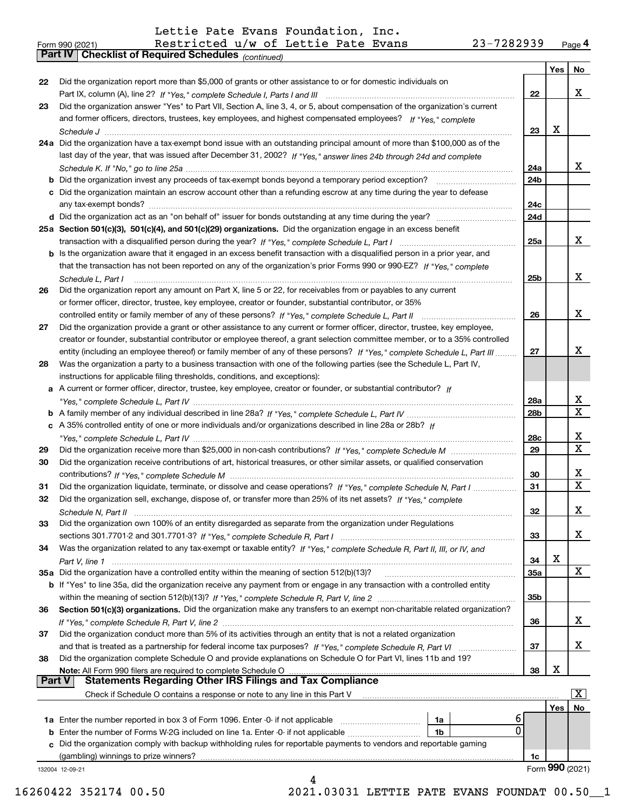*(continued)*

|               |                                                                                                                                       |            | Yes | No                    |
|---------------|---------------------------------------------------------------------------------------------------------------------------------------|------------|-----|-----------------------|
| 22            | Did the organization report more than \$5,000 of grants or other assistance to or for domestic individuals on                         |            |     |                       |
|               |                                                                                                                                       | 22         |     | x                     |
| 23            | Did the organization answer "Yes" to Part VII, Section A, line 3, 4, or 5, about compensation of the organization's current           |            |     |                       |
|               | and former officers, directors, trustees, key employees, and highest compensated employees? If "Yes," complete                        |            |     |                       |
|               |                                                                                                                                       | 23         | x   |                       |
|               | 24a Did the organization have a tax-exempt bond issue with an outstanding principal amount of more than \$100,000 as of the           |            |     |                       |
|               | last day of the year, that was issued after December 31, 2002? If "Yes," answer lines 24b through 24d and complete                    |            |     |                       |
|               |                                                                                                                                       | 24a        |     | X.                    |
|               | <b>b</b> Did the organization invest any proceeds of tax-exempt bonds beyond a temporary period exception?                            | 24b        |     |                       |
|               | c Did the organization maintain an escrow account other than a refunding escrow at any time during the year to defease                |            |     |                       |
|               | any tax-exempt bonds?                                                                                                                 | 24c        |     |                       |
|               |                                                                                                                                       | 24d        |     |                       |
|               | 25a Section 501(c)(3), 501(c)(4), and 501(c)(29) organizations. Did the organization engage in an excess benefit                      |            |     |                       |
|               |                                                                                                                                       | 25a        |     | x                     |
|               | b Is the organization aware that it engaged in an excess benefit transaction with a disqualified person in a prior year, and          |            |     |                       |
|               | that the transaction has not been reported on any of the organization's prior Forms 990 or 990-EZ? If "Yes." complete                 |            |     |                       |
|               |                                                                                                                                       | 25b        |     | x                     |
|               | Schedule L, Part I<br>Did the organization report any amount on Part X, line 5 or 22, for receivables from or payables to any current |            |     |                       |
| 26            |                                                                                                                                       |            |     |                       |
|               | or former officer, director, trustee, key employee, creator or founder, substantial contributor, or 35%                               |            |     |                       |
|               |                                                                                                                                       | 26         |     | x                     |
| 27            | Did the organization provide a grant or other assistance to any current or former officer, director, trustee, key employee,           |            |     |                       |
|               | creator or founder, substantial contributor or employee thereof, a grant selection committee member, or to a 35% controlled           |            |     |                       |
|               | entity (including an employee thereof) or family member of any of these persons? If "Yes," complete Schedule L, Part III              | 27         |     | x                     |
| 28            | Was the organization a party to a business transaction with one of the following parties (see the Schedule L, Part IV,                |            |     |                       |
|               | instructions for applicable filing thresholds, conditions, and exceptions):                                                           |            |     |                       |
|               | a A current or former officer, director, trustee, key employee, creator or founder, or substantial contributor? If                    |            |     |                       |
|               |                                                                                                                                       | 28a        |     | x                     |
|               |                                                                                                                                       | 28b        |     | X                     |
|               | c A 35% controlled entity of one or more individuals and/or organizations described in line 28a or 28b? If                            |            |     |                       |
|               |                                                                                                                                       | 28c        |     | x                     |
| 29            |                                                                                                                                       | 29         |     | X                     |
| 30            | Did the organization receive contributions of art, historical treasures, or other similar assets, or qualified conservation           |            |     |                       |
|               |                                                                                                                                       | 30         |     | x                     |
| 31            | Did the organization liquidate, terminate, or dissolve and cease operations? If "Yes," complete Schedule N, Part I                    | 31         |     | X                     |
| 32            | Did the organization sell, exchange, dispose of, or transfer more than 25% of its net assets? If "Yes," complete                      |            |     |                       |
|               |                                                                                                                                       | 32         |     | x                     |
| 33            | Did the organization own 100% of an entity disregarded as separate from the organization under Regulations                            |            |     |                       |
|               |                                                                                                                                       | 33         |     | X                     |
| 34            | Was the organization related to any tax-exempt or taxable entity? If "Yes," complete Schedule R, Part II, III, or IV, and             |            |     |                       |
|               |                                                                                                                                       | 34         | X   |                       |
|               | 35a Did the organization have a controlled entity within the meaning of section 512(b)(13)?                                           | <b>35a</b> |     | X                     |
|               | b If "Yes" to line 35a, did the organization receive any payment from or engage in any transaction with a controlled entity           |            |     |                       |
|               |                                                                                                                                       | 35b        |     |                       |
| 36            | Section 501(c)(3) organizations. Did the organization make any transfers to an exempt non-charitable related organization?            |            |     |                       |
|               |                                                                                                                                       | 36         |     | x                     |
| 37            | Did the organization conduct more than 5% of its activities through an entity that is not a related organization                      |            |     |                       |
|               |                                                                                                                                       | 37         |     | x                     |
| 38            | Did the organization complete Schedule O and provide explanations on Schedule O for Part VI, lines 11b and 19?                        |            |     |                       |
|               | Note: All Form 990 filers are required to complete Schedule O                                                                         | 38         | X   |                       |
| <b>Part V</b> | <b>Statements Regarding Other IRS Filings and Tax Compliance</b>                                                                      |            |     |                       |
|               | Check if Schedule O contains a response or note to any line in this Part V                                                            |            |     | $\overline{\text{X}}$ |
|               |                                                                                                                                       |            | Yes | No                    |
|               | 6<br><b>1a</b> Enter the number reported in box 3 of Form 1096. Enter 0 if not applicable <i>mummumumum</i><br>1a                     |            |     |                       |
|               | $\mathbf{0}$<br><b>b</b> Enter the number of Forms W-2G included on line 1a. Enter -0- if not applicable <i>manumumum</i><br>1b       |            |     |                       |
|               | c Did the organization comply with backup withholding rules for reportable payments to vendors and reportable gaming                  |            |     |                       |
|               | (gambling) winnings to prize winners?                                                                                                 | 1c         |     |                       |
|               | 132004 12-09-21                                                                                                                       |            |     | Form 990 (2021)       |
|               | 4                                                                                                                                     |            |     |                       |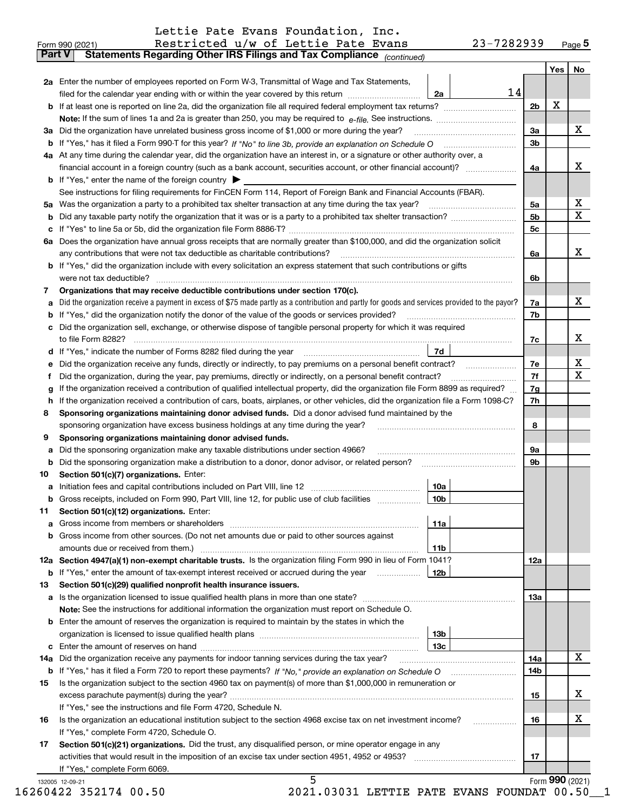|  |  |  | Lettie Pate Evans Foundation, Inc. |  |
|--|--|--|------------------------------------|--|
|--|--|--|------------------------------------|--|

|    | 2a Enter the number of employees reported on Form W-3, Transmittal of Wage and Tax Statements,                                                  |                | Yes | No. |
|----|-------------------------------------------------------------------------------------------------------------------------------------------------|----------------|-----|-----|
|    | 14<br>filed for the calendar year ending with or within the year covered by this return <i>manumumumum</i><br>2a                                |                |     |     |
|    |                                                                                                                                                 | 2 <sub>b</sub> | X   |     |
|    |                                                                                                                                                 |                |     |     |
|    | 3a Did the organization have unrelated business gross income of \$1,000 or more during the year?                                                | 3a             |     | X   |
|    |                                                                                                                                                 | 3 <sub>b</sub> |     |     |
|    | 4a At any time during the calendar year, did the organization have an interest in, or a signature or other authority over, a                    |                |     |     |
|    | financial account in a foreign country (such as a bank account, securities account, or other financial account)?                                | 4a             |     | х   |
|    | <b>b</b> If "Yes," enter the name of the foreign country $\triangleright$                                                                       |                |     |     |
|    | See instructions for filing requirements for FinCEN Form 114, Report of Foreign Bank and Financial Accounts (FBAR).                             |                |     |     |
|    |                                                                                                                                                 | 5a             |     | х   |
| b  |                                                                                                                                                 | 5 <sub>b</sub> |     | X   |
|    |                                                                                                                                                 | 5c             |     |     |
|    | 6a Does the organization have annual gross receipts that are normally greater than \$100,000, and did the organization solicit                  |                |     |     |
|    | any contributions that were not tax deductible as charitable contributions?                                                                     | 6a             |     | X   |
|    | <b>b</b> If "Yes," did the organization include with every solicitation an express statement that such contributions or gifts                   |                |     |     |
|    |                                                                                                                                                 |                |     |     |
|    | were not tax deductible?<br>Organizations that may receive deductible contributions under section 170(c).                                       | 6b             |     |     |
| 7  |                                                                                                                                                 |                |     | X   |
| а  | Did the organization receive a payment in excess of \$75 made partly as a contribution and partly for goods and services provided to the payor? | 7a             |     |     |
|    | <b>b</b> If "Yes," did the organization notify the donor of the value of the goods or services provided?                                        | 7b             |     |     |
|    | c Did the organization sell, exchange, or otherwise dispose of tangible personal property for which it was required                             |                |     | х   |
|    |                                                                                                                                                 | 7с             |     |     |
|    | 7d                                                                                                                                              |                |     | x   |
|    | e Did the organization receive any funds, directly or indirectly, to pay premiums on a personal benefit contract?                               | 7e             |     | X   |
| Ť. | Did the organization, during the year, pay premiums, directly or indirectly, on a personal benefit contract?                                    | 7f             |     |     |
| g  | If the organization received a contribution of qualified intellectual property, did the organization file Form 8899 as required?                | 7g             |     |     |
| h. | If the organization received a contribution of cars, boats, airplanes, or other vehicles, did the organization file a Form 1098-C?              | 7h             |     |     |
| 8  | Sponsoring organizations maintaining donor advised funds. Did a donor advised fund maintained by the                                            |                |     |     |
|    | sponsoring organization have excess business holdings at any time during the year?                                                              | 8              |     |     |
| 9  | Sponsoring organizations maintaining donor advised funds.                                                                                       |                |     |     |
| а  | Did the sponsoring organization make any taxable distributions under section 4966?                                                              | 9a             |     |     |
| b  | Did the sponsoring organization make a distribution to a donor, donor advisor, or related person? [[[[[[[[[[[                                   | 9b             |     |     |
| 10 | Section 501(c)(7) organizations. Enter:                                                                                                         |                |     |     |
| а  | 10a                                                                                                                                             |                |     |     |
|    | 10 <sub>b</sub><br>b Gross receipts, included on Form 990, Part VIII, line 12, for public use of club facilities                                |                |     |     |
| 11 | Section 501(c)(12) organizations. Enter:                                                                                                        |                |     |     |
|    | 11a                                                                                                                                             |                |     |     |
|    | <b>b</b> Gross income from other sources. (Do not net amounts due or paid to other sources against                                              |                |     |     |
|    | 11b                                                                                                                                             |                |     |     |
|    | 12a Section 4947(a)(1) non-exempt charitable trusts. Is the organization filing Form 990 in lieu of Form 1041?                                  | 12a            |     |     |
|    |                                                                                                                                                 |                |     |     |
| 13 | Section 501(c)(29) qualified nonprofit health insurance issuers.                                                                                |                |     |     |
|    |                                                                                                                                                 | 13а            |     |     |
|    | Note: See the instructions for additional information the organization must report on Schedule O.                                               |                |     |     |
|    | <b>b</b> Enter the amount of reserves the organization is required to maintain by the states in which the                                       |                |     |     |
|    | 13b                                                                                                                                             |                |     |     |
|    | 13c                                                                                                                                             |                |     |     |
|    | 14a Did the organization receive any payments for indoor tanning services during the tax year?                                                  | 14a            |     | X   |
|    |                                                                                                                                                 | 14b            |     |     |
| 15 | Is the organization subject to the section 4960 tax on payment(s) of more than \$1,000,000 in remuneration or                                   |                |     |     |
|    |                                                                                                                                                 | 15             |     | x   |
|    | If "Yes," see the instructions and file Form 4720, Schedule N.                                                                                  |                |     |     |
| 16 | Is the organization an educational institution subject to the section 4968 excise tax on net investment income?                                 | 16             |     | х   |
|    | If "Yes," complete Form 4720, Schedule O.                                                                                                       |                |     |     |
| 17 | Section 501(c)(21) organizations. Did the trust, any disqualified person, or mine operator engage in any                                        |                |     |     |
|    |                                                                                                                                                 | 17             |     |     |
|    | If "Yes," complete Form 6069.                                                                                                                   |                |     |     |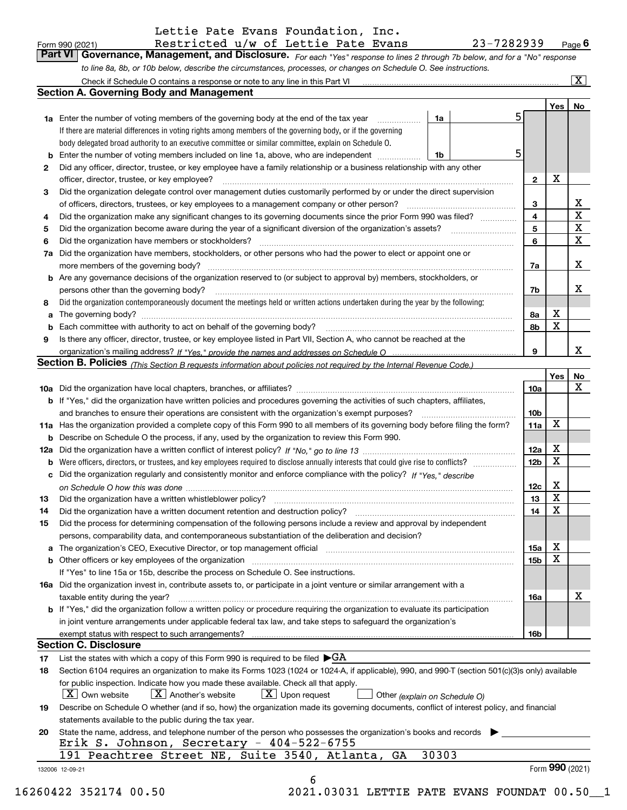|        | Lettie Pate Evans Foundation, Inc.                                                                                                                                         |                 |     |                         |
|--------|----------------------------------------------------------------------------------------------------------------------------------------------------------------------------|-----------------|-----|-------------------------|
|        | 23-7282939<br>Restricted u/w of Lettie Pate Evans<br>Form 990 (2021)                                                                                                       |                 |     | $Page$ 6                |
|        | Part VI   Governance, Management, and Disclosure. For each "Yes" response to lines 2 through 7b below, and for a "No" response                                             |                 |     |                         |
|        | to line 8a, 8b, or 10b below, describe the circumstances, processes, or changes on Schedule O. See instructions.                                                           |                 |     |                         |
|        |                                                                                                                                                                            |                 |     | $\overline{\mathbf{x}}$ |
|        | <b>Section A. Governing Body and Management</b>                                                                                                                            |                 |     |                         |
|        |                                                                                                                                                                            |                 | Yes | No                      |
|        | 5<br>1a Enter the number of voting members of the governing body at the end of the tax year<br>1a                                                                          |                 |     |                         |
|        | If there are material differences in voting rights among members of the governing body, or if the governing                                                                |                 |     |                         |
|        | body delegated broad authority to an executive committee or similar committee, explain on Schedule O.                                                                      |                 |     |                         |
| b      | 5<br>Enter the number of voting members included on line 1a, above, who are independent<br>1b                                                                              |                 |     |                         |
| 2      | Did any officer, director, trustee, or key employee have a family relationship or a business relationship with any other                                                   |                 |     |                         |
|        | officer, director, trustee, or key employee?                                                                                                                               | $\mathbf{2}$    | х   |                         |
| З      | Did the organization delegate control over management duties customarily performed by or under the direct supervision                                                      |                 |     |                         |
|        |                                                                                                                                                                            | 3               |     | х                       |
| 4      | Did the organization make any significant changes to its governing documents since the prior Form 990 was filed?                                                           | 4               |     | $\rm X$                 |
| 5      |                                                                                                                                                                            | 5               |     | $\mathbf X$             |
| 6      |                                                                                                                                                                            | 6               |     | $\mathbf X$             |
|        | Did the organization have members, stockholders, or other persons who had the power to elect or appoint one or                                                             |                 |     |                         |
| 7a     |                                                                                                                                                                            |                 |     | X                       |
|        | more members of the governing body?                                                                                                                                        | 7a              |     |                         |
|        | <b>b</b> Are any governance decisions of the organization reserved to (or subject to approval by) members, stockholders, or                                                |                 |     |                         |
|        | persons other than the governing body?                                                                                                                                     | 7b              |     | X                       |
| 8      | Did the organization contemporaneously document the meetings held or written actions undertaken during the year by the following:                                          |                 |     |                         |
| а      | The governing body?                                                                                                                                                        | 8a              | х   |                         |
| b      | Each committee with authority to act on behalf of the governing body?                                                                                                      | 8b              | X   |                         |
| 9      | Is there any officer, director, trustee, or key employee listed in Part VII, Section A, who cannot be reached at the                                                       |                 |     |                         |
|        |                                                                                                                                                                            | 9               |     | х                       |
|        | Section B. Policies (This Section B requests information about policies not required by the Internal Revenue Code.)                                                        |                 |     |                         |
|        |                                                                                                                                                                            |                 | Yes | No                      |
|        |                                                                                                                                                                            | 10a             |     | х                       |
|        | <b>b</b> If "Yes," did the organization have written policies and procedures governing the activities of such chapters, affiliates,                                        |                 |     |                         |
|        |                                                                                                                                                                            | 10 <sub>b</sub> |     |                         |
|        | 11a Has the organization provided a complete copy of this Form 990 to all members of its governing body before filing the form?                                            | 11a             | х   |                         |
| b      | Describe on Schedule O the process, if any, used by the organization to review this Form 990.                                                                              |                 |     |                         |
|        |                                                                                                                                                                            | 12a             | х   |                         |
| b      |                                                                                                                                                                            | 12 <sub>b</sub> | Χ   |                         |
|        | Did the organization regularly and consistently monitor and enforce compliance with the policy? If "Yes." describe                                                         |                 |     |                         |
|        |                                                                                                                                                                            | 12c             | х   |                         |
| 13     | Did the organization have a written whistleblower policy?                                                                                                                  | 13              | х   |                         |
| 14     | Did the organization have a written document retention and destruction policy? manufactured and the organization have a written document retention and destruction policy? | 14              | X   |                         |
| 15     | Did the process for determining compensation of the following persons include a review and approval by independent                                                         |                 |     |                         |
|        | persons, comparability data, and contemporaneous substantiation of the deliberation and decision?                                                                          |                 |     |                         |
|        | The organization's CEO, Executive Director, or top management official manufactured content of the organization's CEO, Executive Director, or top management official      | 15a             | х   |                         |
| а<br>b | Other officers or key employees of the organization manufactured content to the content of the content of the organization                                                 | 15 <sub>b</sub> | х   |                         |
|        |                                                                                                                                                                            |                 |     |                         |
|        | If "Yes" to line 15a or 15b, describe the process on Schedule O. See instructions.                                                                                         |                 |     |                         |
|        | 16a Did the organization invest in, contribute assets to, or participate in a joint venture or similar arrangement with a                                                  |                 |     |                         |
|        | taxable entity during the year?                                                                                                                                            | 16a             |     | x                       |
|        | <b>b</b> If "Yes," did the organization follow a written policy or procedure requiring the organization to evaluate its participation                                      |                 |     |                         |
|        | in joint venture arrangements under applicable federal tax law, and take steps to safeguard the organization's                                                             |                 |     |                         |
|        |                                                                                                                                                                            | 16b             |     |                         |
|        | <b>Section C. Disclosure</b>                                                                                                                                               |                 |     |                         |
| 17     | List the states with which a copy of this Form 990 is required to be filed $\blacktriangleright$ GA                                                                        |                 |     |                         |
| 18     | Section 6104 requires an organization to make its Forms 1023 (1024 or 1024-A, if applicable), 990, and 990-T (section 501(c)(3)s only) available                           |                 |     |                         |
|        | for public inspection. Indicate how you made these available. Check all that apply.                                                                                        |                 |     |                         |
|        | $X$ Upon request<br>$X$ Another's website<br>  X   Own website<br>Other (explain on Schedule O)                                                                            |                 |     |                         |
| 19     | Describe on Schedule O whether (and if so, how) the organization made its governing documents, conflict of interest policy, and financial                                  |                 |     |                         |
|        | statements available to the public during the tax year.                                                                                                                    |                 |     |                         |
| 20     | State the name, address, and telephone number of the person who possesses the organization's books and records                                                             |                 |     |                         |
|        | Erik S. Johnson, Secretary - $404-522-6755$                                                                                                                                |                 |     |                         |
|        | 30303<br>191 Peachtree Street NE, Suite 3540, Atlanta, GA                                                                                                                  |                 |     |                         |

6

132006 12-09-21

16260422 352174 00.50 2021.03031 LETTIE PATE EVANS FOUNDAT 00.50\_\_1

Form (2021) **990**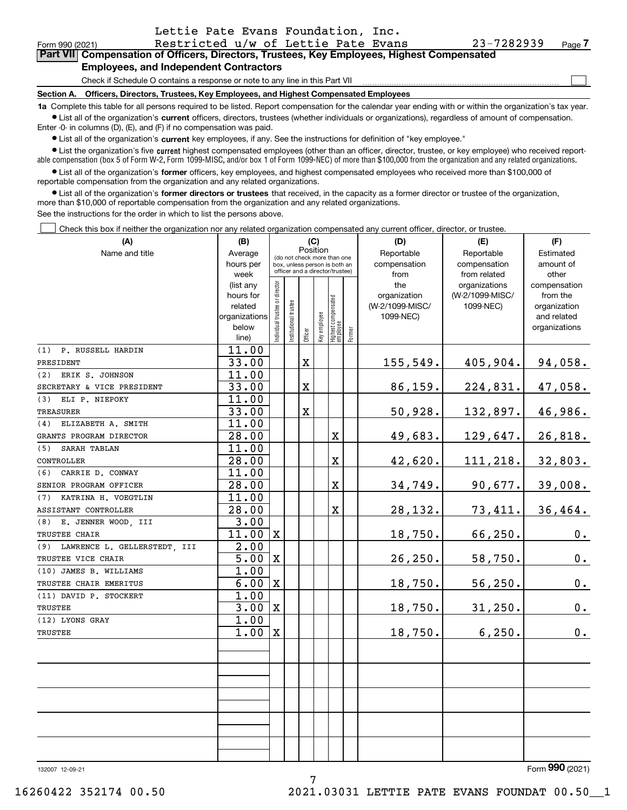|  |  |  | Lettie Pate Evans Foundation, Inc. |  |  |  |  |
|--|--|--|------------------------------------|--|--|--|--|
|  |  |  | _ _ . _                            |  |  |  |  |

Form 990 (2021) Restricted u/w of Lettie Pate Evans 23-7282939 <sub>Page</sub> **7Part VII Compensation of Officers, Directors, Trustees, Key Employees, Highest Compensated**

## **Employees, and Independent Contractors**

Check if Schedule O contains a response or note to any line in this Part VII

**Section A. Officers, Directors, Trustees, Key Employees, and Highest Compensated Employees**

**1a**  Complete this table for all persons required to be listed. Report compensation for the calendar year ending with or within the organization's tax year. **•** List all of the organization's current officers, directors, trustees (whether individuals or organizations), regardless of amount of compensation.

Enter -0- in columns (D), (E), and (F) if no compensation was paid.

 $\bullet$  List all of the organization's  $\sf current$  key employees, if any. See the instructions for definition of "key employee."

**•** List the organization's five current highest compensated employees (other than an officer, director, trustee, or key employee) who received reportable compensation (box 5 of Form W-2, Form 1099-MISC, and/or box 1 of Form 1099-NEC) of more than \$100,000 from the organization and any related organizations.

**•** List all of the organization's former officers, key employees, and highest compensated employees who received more than \$100,000 of reportable compensation from the organization and any related organizations.

**former directors or trustees**  ¥ List all of the organization's that received, in the capacity as a former director or trustee of the organization, more than \$10,000 of reportable compensation from the organization and any related organizations.

See the instructions for the order in which to list the persons above.

Check this box if neither the organization nor any related organization compensated any current officer, director, or trustee.  $\mathcal{L}^{\text{max}}$ 

| (A)                              | (B)                    |                                |                                                                  |             | (C) |                                                 |        | (D)             | (E)             | (F)                          |  |  |
|----------------------------------|------------------------|--------------------------------|------------------------------------------------------------------|-------------|-----|-------------------------------------------------|--------|-----------------|-----------------|------------------------------|--|--|
| Name and title                   | Average                |                                | Position<br>(do not check more than one                          |             |     |                                                 |        | Reportable      | Reportable      | Estimated                    |  |  |
|                                  | hours per              |                                | box, unless person is both an<br>officer and a director/trustee) |             |     |                                                 |        | compensation    | compensation    | amount of                    |  |  |
|                                  | week                   |                                |                                                                  |             |     |                                                 |        | from            | from related    | other                        |  |  |
|                                  | (list any              |                                |                                                                  |             |     |                                                 |        | the             | organizations   | compensation                 |  |  |
|                                  | hours for              |                                |                                                                  |             |     |                                                 |        | organization    | (W-2/1099-MISC/ | from the                     |  |  |
|                                  | related                |                                |                                                                  |             |     |                                                 |        | (W-2/1099-MISC/ | 1099-NEC)       | organization                 |  |  |
|                                  | organizations<br>below |                                |                                                                  |             |     |                                                 |        | 1099-NEC)       |                 | and related<br>organizations |  |  |
|                                  | line)                  | Individual trustee or director | Institutional trustee                                            | Officer     |     | Key employee<br>Highest compensated<br>employee | Former |                 |                 |                              |  |  |
| (1) P. RUSSELL HARDIN            | 11.00                  |                                |                                                                  |             |     |                                                 |        |                 |                 |                              |  |  |
| PRESIDENT                        | 33.00                  |                                |                                                                  | $\mathbf X$ |     |                                                 |        | 155, 549.       | 405,904.        | 94,058.                      |  |  |
| (2) ERIK S. JOHNSON              | 11.00                  |                                |                                                                  |             |     |                                                 |        |                 |                 |                              |  |  |
| SECRETARY & VICE PRESIDENT       | 33.00                  |                                |                                                                  | $\mathbf X$ |     |                                                 |        | 86, 159.        | 224,831.        | 47,058.                      |  |  |
| (3) ELI P. NIEPOKY               | 11.00                  |                                |                                                                  |             |     |                                                 |        |                 |                 |                              |  |  |
| <b>TREASURER</b>                 | 33.00                  |                                |                                                                  | $\mathbf X$ |     |                                                 |        | 50,928.         | 132,897.        | 46,986.                      |  |  |
| (4) ELIZABETH A. SMITH           | 11.00                  |                                |                                                                  |             |     |                                                 |        |                 |                 |                              |  |  |
| GRANTS PROGRAM DIRECTOR          | 28.00                  |                                |                                                                  |             |     | $\mathbf X$                                     |        | 49,683.         | 129,647.        | 26,818.                      |  |  |
| (5)<br>SARAH TABLAN              | 11.00                  |                                |                                                                  |             |     |                                                 |        |                 |                 |                              |  |  |
| CONTROLLER                       | 28.00                  |                                |                                                                  |             |     | $\mathbf X$                                     |        | 42,620.         | 111, 218.       | 32,803.                      |  |  |
| (6) CARRIE D. CONWAY             | 11.00                  |                                |                                                                  |             |     |                                                 |        |                 |                 |                              |  |  |
| SENIOR PROGRAM OFFICER           | 28.00                  |                                |                                                                  |             |     | $\mathbf X$                                     |        | 34,749.         | 90, 677.        | 39,008.                      |  |  |
| KATRINA H. VOEGTLIN<br>(7)       | 11.00                  |                                |                                                                  |             |     |                                                 |        |                 |                 |                              |  |  |
| ASSISTANT CONTROLLER             | 28.00                  |                                |                                                                  |             |     | $\mathbf X$                                     |        | 28,132.         | 73,411.         | 36,464.                      |  |  |
| (8) E. JENNER WOOD, III          | 3.00                   |                                |                                                                  |             |     |                                                 |        |                 |                 |                              |  |  |
| TRUSTEE CHAIR                    | 11.00                  | $\mathbf X$                    |                                                                  |             |     |                                                 |        | 18,750.         | 66, 250.        | 0.                           |  |  |
| (9) LAWRENCE L. GELLERSTEDT, III | 2.00                   |                                |                                                                  |             |     |                                                 |        |                 |                 |                              |  |  |
| TRUSTEE VICE CHAIR               | $\overline{5.00}$      | X                              |                                                                  |             |     |                                                 |        | 26, 250.        | 58,750.         | 0.                           |  |  |
| (10) JAMES B. WILLIAMS           | 1.00                   |                                |                                                                  |             |     |                                                 |        |                 |                 |                              |  |  |
| TRUSTEE CHAIR EMERITUS           | 6.00                   | $\mathbf X$                    |                                                                  |             |     |                                                 |        | 18,750.         | 56, 250.        | 0.                           |  |  |
| (11) DAVID P. STOCKERT           | 1.00                   |                                |                                                                  |             |     |                                                 |        |                 |                 |                              |  |  |
| <b>TRUSTEE</b>                   | 3.00                   | $\mathbf X$                    |                                                                  |             |     |                                                 |        | 18,750.         | 31,250.         | 0.                           |  |  |
| (12) LYONS GRAY                  | 1.00                   |                                |                                                                  |             |     |                                                 |        |                 |                 |                              |  |  |
| <b>TRUSTEE</b>                   | 1.00                   | X                              |                                                                  |             |     |                                                 |        | 18, 750.        | 6, 250.         | 0.                           |  |  |
|                                  |                        |                                |                                                                  |             |     |                                                 |        |                 |                 |                              |  |  |
|                                  |                        |                                |                                                                  |             |     |                                                 |        |                 |                 |                              |  |  |
|                                  |                        |                                |                                                                  |             |     |                                                 |        |                 |                 |                              |  |  |
|                                  |                        |                                |                                                                  |             |     |                                                 |        |                 |                 |                              |  |  |
|                                  |                        |                                |                                                                  |             |     |                                                 |        |                 |                 |                              |  |  |
|                                  |                        |                                |                                                                  |             |     |                                                 |        |                 |                 |                              |  |  |
|                                  |                        |                                |                                                                  |             |     |                                                 |        |                 |                 |                              |  |  |
|                                  |                        |                                |                                                                  |             |     |                                                 |        |                 |                 |                              |  |  |
| 132007 12-09-21                  |                        |                                |                                                                  |             |     |                                                 |        |                 |                 | Form 990 (2021)              |  |  |

7

 $\mathcal{L}^{\text{max}}$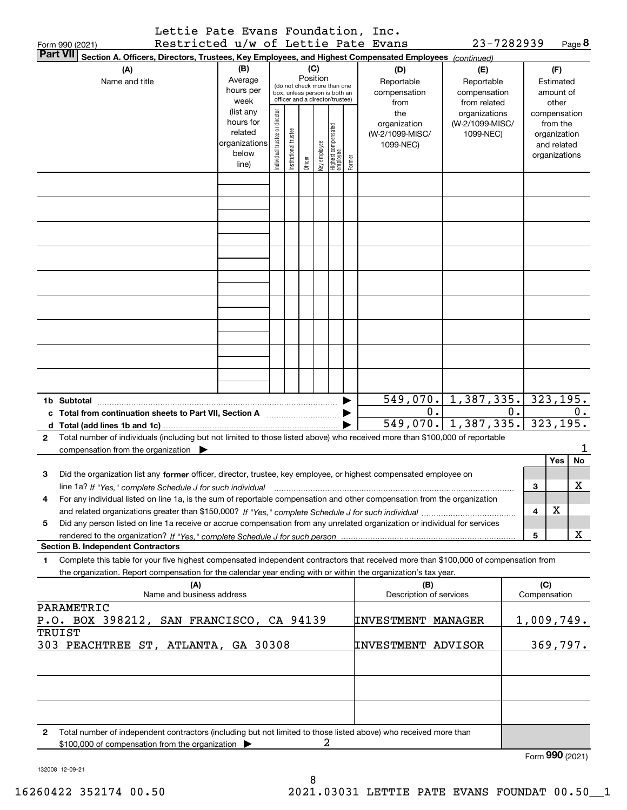|                 | Lettie Pate Evans Foundation, Inc.  |  |            |               |
|-----------------|-------------------------------------|--|------------|---------------|
| Form 990 (2021) | Restricted u/w of Lettie Pate Evans |  | 23-7282939 | Page $\bm{8}$ |

|        | <b>Part VII</b><br>Section A. Officers, Directors, Trustees, Key Employees, and Highest Compensated Employees (continued)                                                                                                                                                                                                                                                         |                        |                               |                      |          |              |                                 |        |                                 |                              |    |                 |                          |           |
|--------|-----------------------------------------------------------------------------------------------------------------------------------------------------------------------------------------------------------------------------------------------------------------------------------------------------------------------------------------------------------------------------------|------------------------|-------------------------------|----------------------|----------|--------------|---------------------------------|--------|---------------------------------|------------------------------|----|-----------------|--------------------------|-----------|
|        | (A)                                                                                                                                                                                                                                                                                                                                                                               | (B)                    |                               |                      |          | (C)          |                                 |        | (D)                             | (E)                          |    |                 | (F)                      |           |
|        | Name and title                                                                                                                                                                                                                                                                                                                                                                    | Average                |                               |                      | Position |              | (do not check more than one     |        | Reportable                      | Reportable                   |    |                 | Estimated                |           |
|        |                                                                                                                                                                                                                                                                                                                                                                                   | hours per              |                               |                      |          |              | box, unless person is both an   |        | compensation                    | compensation                 |    |                 | amount of                |           |
|        |                                                                                                                                                                                                                                                                                                                                                                                   | week                   |                               |                      |          |              | officer and a director/trustee) |        | from                            | from related                 |    |                 | other                    |           |
|        |                                                                                                                                                                                                                                                                                                                                                                                   | (list any<br>hours for |                               |                      |          |              |                                 |        | the                             | organizations                |    |                 | compensation<br>from the |           |
|        |                                                                                                                                                                                                                                                                                                                                                                                   | related                |                               |                      |          |              |                                 |        | organization<br>(W-2/1099-MISC/ | (W-2/1099-MISC/<br>1099-NEC) |    |                 | organization             |           |
|        |                                                                                                                                                                                                                                                                                                                                                                                   | organizations          |                               |                      |          |              |                                 |        | 1099-NEC)                       |                              |    |                 | and related              |           |
|        |                                                                                                                                                                                                                                                                                                                                                                                   | below                  | ndividual trustee or director | nstitutional trustee |          | Key employee | Highest compensated<br>employee |        |                                 |                              |    |                 | organizations            |           |
|        |                                                                                                                                                                                                                                                                                                                                                                                   | line)                  |                               |                      | Officer  |              |                                 | Former |                                 |                              |    |                 |                          |           |
|        |                                                                                                                                                                                                                                                                                                                                                                                   |                        |                               |                      |          |              |                                 |        |                                 |                              |    |                 |                          |           |
|        |                                                                                                                                                                                                                                                                                                                                                                                   |                        |                               |                      |          |              |                                 |        |                                 |                              |    |                 |                          |           |
|        |                                                                                                                                                                                                                                                                                                                                                                                   |                        |                               |                      |          |              |                                 |        |                                 |                              |    |                 |                          |           |
|        |                                                                                                                                                                                                                                                                                                                                                                                   |                        |                               |                      |          |              |                                 |        |                                 |                              |    |                 |                          |           |
|        |                                                                                                                                                                                                                                                                                                                                                                                   |                        |                               |                      |          |              |                                 |        |                                 |                              |    |                 |                          |           |
|        |                                                                                                                                                                                                                                                                                                                                                                                   |                        |                               |                      |          |              |                                 |        |                                 |                              |    |                 |                          |           |
|        |                                                                                                                                                                                                                                                                                                                                                                                   |                        |                               |                      |          |              |                                 |        |                                 |                              |    |                 |                          |           |
|        |                                                                                                                                                                                                                                                                                                                                                                                   |                        |                               |                      |          |              |                                 |        |                                 |                              |    |                 |                          |           |
|        |                                                                                                                                                                                                                                                                                                                                                                                   |                        |                               |                      |          |              |                                 |        |                                 |                              |    |                 |                          |           |
|        |                                                                                                                                                                                                                                                                                                                                                                                   |                        |                               |                      |          |              |                                 |        |                                 |                              |    |                 |                          |           |
|        |                                                                                                                                                                                                                                                                                                                                                                                   |                        |                               |                      |          |              |                                 |        |                                 |                              |    |                 |                          |           |
|        |                                                                                                                                                                                                                                                                                                                                                                                   |                        |                               |                      |          |              |                                 |        |                                 |                              |    |                 |                          |           |
|        |                                                                                                                                                                                                                                                                                                                                                                                   |                        |                               |                      |          |              |                                 |        |                                 |                              |    |                 |                          |           |
|        |                                                                                                                                                                                                                                                                                                                                                                                   |                        |                               |                      |          |              |                                 |        |                                 |                              |    |                 |                          |           |
|        |                                                                                                                                                                                                                                                                                                                                                                                   |                        |                               |                      |          |              |                                 |        |                                 |                              |    |                 |                          |           |
|        |                                                                                                                                                                                                                                                                                                                                                                                   |                        |                               |                      |          |              |                                 |        |                                 |                              |    |                 |                          |           |
|        |                                                                                                                                                                                                                                                                                                                                                                                   |                        |                               |                      |          |              |                                 |        |                                 |                              |    |                 |                          |           |
|        | 1b Subtotal<br>$\begin{picture}(150,10) \put(0,0){\vector(1,0){100}} \put(10,0){\vector(1,0){100}} \put(10,0){\vector(1,0){100}} \put(10,0){\vector(1,0){100}} \put(10,0){\vector(1,0){100}} \put(10,0){\vector(1,0){100}} \put(10,0){\vector(1,0){100}} \put(10,0){\vector(1,0){100}} \put(10,0){\vector(1,0){100}} \put(10,0){\vector(1,0){100}} \put(10,0){\vector(1,0){100}}$ |                        |                               |                      |          |              |                                 |        | $549,070.$ 1, 387, 335.         |                              |    |                 | 323, 195.                |           |
|        | c Total from continuation sheets to Part VII, Section A manufactured in the Total from continuum                                                                                                                                                                                                                                                                                  |                        |                               |                      |          |              |                                 |        | 0.                              |                              | 0. |                 |                          | 0.        |
|        | d Total (add lines 1b and 1c)                                                                                                                                                                                                                                                                                                                                                     |                        |                               |                      |          |              |                                 |        | 549,070.                        | 1,387,335.                   |    |                 | 323,195.                 |           |
| 2      | Total number of individuals (including but not limited to those listed above) who received more than \$100,000 of reportable                                                                                                                                                                                                                                                      |                        |                               |                      |          |              |                                 |        |                                 |                              |    |                 |                          |           |
|        | compensation from the organization $\blacktriangleright$                                                                                                                                                                                                                                                                                                                          |                        |                               |                      |          |              |                                 |        |                                 |                              |    |                 | Yes                      | <b>No</b> |
| 3      | Did the organization list any former officer, director, trustee, key employee, or highest compensated employee on                                                                                                                                                                                                                                                                 |                        |                               |                      |          |              |                                 |        |                                 |                              |    |                 |                          |           |
|        | line 1a? If "Yes," complete Schedule J for such individual                                                                                                                                                                                                                                                                                                                        |                        |                               |                      |          |              |                                 |        |                                 |                              |    | 3               |                          | x         |
| 4      | For any individual listed on line 1a, is the sum of reportable compensation and other compensation from the organization                                                                                                                                                                                                                                                          |                        |                               |                      |          |              |                                 |        |                                 |                              |    |                 |                          |           |
|        |                                                                                                                                                                                                                                                                                                                                                                                   |                        |                               |                      |          |              |                                 |        |                                 |                              |    | 4               | X                        |           |
| 5      | Did any person listed on line 1a receive or accrue compensation from any unrelated organization or individual for services                                                                                                                                                                                                                                                        |                        |                               |                      |          |              |                                 |        |                                 |                              |    |                 |                          |           |
|        |                                                                                                                                                                                                                                                                                                                                                                                   |                        |                               |                      |          |              |                                 |        |                                 |                              |    | 5               |                          | x         |
|        | <b>Section B. Independent Contractors</b>                                                                                                                                                                                                                                                                                                                                         |                        |                               |                      |          |              |                                 |        |                                 |                              |    |                 |                          |           |
| 1      | Complete this table for your five highest compensated independent contractors that received more than \$100,000 of compensation from                                                                                                                                                                                                                                              |                        |                               |                      |          |              |                                 |        |                                 |                              |    |                 |                          |           |
|        | the organization. Report compensation for the calendar year ending with or within the organization's tax year.                                                                                                                                                                                                                                                                    |                        |                               |                      |          |              |                                 |        |                                 |                              |    |                 |                          |           |
|        | (A)                                                                                                                                                                                                                                                                                                                                                                               |                        |                               |                      |          |              |                                 |        | (B)                             |                              |    | (C)             |                          |           |
|        | Name and business address                                                                                                                                                                                                                                                                                                                                                         |                        |                               |                      |          |              |                                 |        | Description of services         |                              |    | Compensation    |                          |           |
|        | PARAMETRIC                                                                                                                                                                                                                                                                                                                                                                        |                        |                               |                      |          |              |                                 |        |                                 |                              |    |                 |                          |           |
| TRUIST | P.O. BOX 398212, SAN FRANCISCO, CA 94139                                                                                                                                                                                                                                                                                                                                          |                        |                               |                      |          |              |                                 |        | <b>INVESTMENT MANAGER</b>       |                              |    | 1,009,749.      |                          |           |
|        | 303 PEACHTREE ST, ATLANTA, GA 30308                                                                                                                                                                                                                                                                                                                                               |                        |                               |                      |          |              |                                 |        | <b>INVESTMENT ADVISOR</b>       |                              |    |                 | 369,797.                 |           |
|        |                                                                                                                                                                                                                                                                                                                                                                                   |                        |                               |                      |          |              |                                 |        |                                 |                              |    |                 |                          |           |
|        |                                                                                                                                                                                                                                                                                                                                                                                   |                        |                               |                      |          |              |                                 |        |                                 |                              |    |                 |                          |           |
|        |                                                                                                                                                                                                                                                                                                                                                                                   |                        |                               |                      |          |              |                                 |        |                                 |                              |    |                 |                          |           |
|        |                                                                                                                                                                                                                                                                                                                                                                                   |                        |                               |                      |          |              |                                 |        |                                 |                              |    |                 |                          |           |
|        |                                                                                                                                                                                                                                                                                                                                                                                   |                        |                               |                      |          |              |                                 |        |                                 |                              |    |                 |                          |           |
|        |                                                                                                                                                                                                                                                                                                                                                                                   |                        |                               |                      |          |              |                                 |        |                                 |                              |    |                 |                          |           |
| 2      | Total number of independent contractors (including but not limited to those listed above) who received more than                                                                                                                                                                                                                                                                  |                        |                               |                      |          |              |                                 |        |                                 |                              |    |                 |                          |           |
|        | \$100,000 of compensation from the organization                                                                                                                                                                                                                                                                                                                                   |                        |                               |                      |          |              | 2                               |        |                                 |                              |    |                 |                          |           |
|        |                                                                                                                                                                                                                                                                                                                                                                                   |                        |                               |                      |          |              |                                 |        |                                 |                              |    | Form 990 (2021) |                          |           |

132008 12-09-21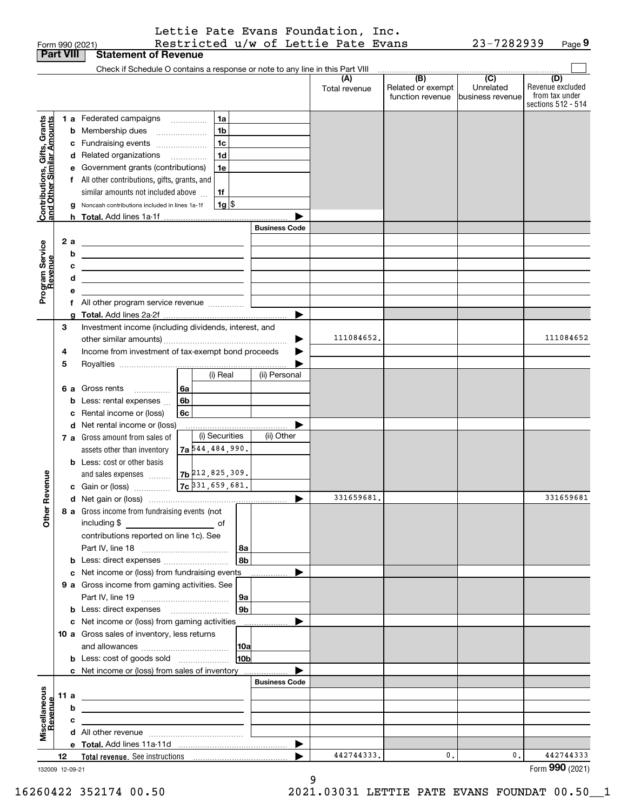| <b>Part VIII</b><br><b>Statement of Revenue</b><br>Check if Schedule O contains a response or note to any line in this Part VIII<br>$\begin{array}{c c c c c c} \hline \text{ } & \text{(B)} & \text{(C)} & \text{ } \end{array}$<br>(D)<br>(A)<br>Related or exempt<br>Unrelated<br>Total revenue<br>function revenue<br>business revenue<br>1 a Federated campaigns<br>1a<br>Contributions, Gifts, Grants<br>and Other Similar Amounts<br>1 <sub>b</sub><br>Membership dues<br>b<br>$\overline{\phantom{a}}$<br>1 <sub>c</sub><br>Fundraising events<br>с<br>1 <sub>d</sub><br>d Related organizations<br>Government grants (contributions)<br>1e<br>е<br>f All other contributions, gifts, grants, and<br>similar amounts not included above<br>1f<br>$1g$ \$<br>Noncash contributions included in lines 1a-1f<br>g<br><b>Business Code</b><br>2a<br>Program Service<br>Revenue<br><u> 1989 - Johann Barn, fransk politik formuler (d. 1989)</u><br>b<br><u> 1989 - Johann Barn, amerikansk politiker (d. 1989)</u><br>с<br><u> 1989 - Johann Harry Harry Harry Harry Harry Harry Harry Harry Harry Harry Harry Harry Harry Harry Harry Harry</u><br>d<br>the control of the control of the control of the control of the control of the control of<br>е<br>Investment income (including dividends, interest, and<br>3<br>111084652.<br>Income from investment of tax-exempt bond proceeds<br>4<br>5<br>(i) Real<br>(ii) Personal<br>6a<br>6 a Gross rents<br>6b<br>Less: rental expenses<br>b<br>Rental income or (loss)<br>6c<br>c<br>d Net rental income or (loss)<br>(i) Securities<br>(ii) Other<br>7 a Gross amount from sales of<br><b>7a</b> 544, 484, 990.<br>assets other than inventory<br><b>b</b> Less: cost or other basis<br>$7b$ 212, 825, 309.<br>evenue<br>and sales expenses<br>$7c$ 31, 659, 681.<br>c Gain or (loss)<br>331659681<br>331659681<br>Other <sub>R</sub><br>8 a Gross income from fundraising events (not<br>contributions reported on line 1c). See<br><b>∣8a</b><br>l 8b l<br><b>b</b> Less: direct expenses <b>constants</b> b<br>c Net income or (loss) from fundraising events<br>9 a Gross income from gaming activities. See<br>∣9a  <br> 9b <br><b>b</b> Less: direct expenses <b>manually</b><br>c Net income or (loss) from gaming activities _______________<br>10 a Gross sales of inventory, less returns<br> 10a<br>10 <sub>b</sub><br>c Net income or (loss) from sales of inventory<br><b>Business Code</b><br>Miscellaneous<br>Revenue<br>11 a<br><u> 1989 - Johann John Stein, fransk politik (d. 1989)</u><br>b<br><u>state and the state of the state of the state of the state of the state of the state of the state of the state of the state of the state of the state of the state of the state of the state of the state of the state of the</u><br>c<br><u> 1989 - Andrea Andrew Maria (h. 1989).</u><br>442744333.<br>0.<br>0.<br>▶<br>12<br>132009 12-09-21 |  | Form 990 (2021) | Restricted u/w of Lettie Pate Evans |  | 23-7282939 | Page 9                                                   |
|------------------------------------------------------------------------------------------------------------------------------------------------------------------------------------------------------------------------------------------------------------------------------------------------------------------------------------------------------------------------------------------------------------------------------------------------------------------------------------------------------------------------------------------------------------------------------------------------------------------------------------------------------------------------------------------------------------------------------------------------------------------------------------------------------------------------------------------------------------------------------------------------------------------------------------------------------------------------------------------------------------------------------------------------------------------------------------------------------------------------------------------------------------------------------------------------------------------------------------------------------------------------------------------------------------------------------------------------------------------------------------------------------------------------------------------------------------------------------------------------------------------------------------------------------------------------------------------------------------------------------------------------------------------------------------------------------------------------------------------------------------------------------------------------------------------------------------------------------------------------------------------------------------------------------------------------------------------------------------------------------------------------------------------------------------------------------------------------------------------------------------------------------------------------------------------------------------------------------------------------------------------------------------------------------------------------------------------------------------------------------------------------------------------------------------------------------------------------------------------------------------------------------------------------------------------------------------------------------------------------------------------------------------------------------------------------------------------------------------------------------------------------------------------------------------------------------------------------------------------------------------------------------------------------------|--|-----------------|-------------------------------------|--|------------|----------------------------------------------------------|
|                                                                                                                                                                                                                                                                                                                                                                                                                                                                                                                                                                                                                                                                                                                                                                                                                                                                                                                                                                                                                                                                                                                                                                                                                                                                                                                                                                                                                                                                                                                                                                                                                                                                                                                                                                                                                                                                                                                                                                                                                                                                                                                                                                                                                                                                                                                                                                                                                                                                                                                                                                                                                                                                                                                                                                                                                                                                                                                              |  |                 |                                     |  |            |                                                          |
|                                                                                                                                                                                                                                                                                                                                                                                                                                                                                                                                                                                                                                                                                                                                                                                                                                                                                                                                                                                                                                                                                                                                                                                                                                                                                                                                                                                                                                                                                                                                                                                                                                                                                                                                                                                                                                                                                                                                                                                                                                                                                                                                                                                                                                                                                                                                                                                                                                                                                                                                                                                                                                                                                                                                                                                                                                                                                                                              |  |                 |                                     |  |            |                                                          |
|                                                                                                                                                                                                                                                                                                                                                                                                                                                                                                                                                                                                                                                                                                                                                                                                                                                                                                                                                                                                                                                                                                                                                                                                                                                                                                                                                                                                                                                                                                                                                                                                                                                                                                                                                                                                                                                                                                                                                                                                                                                                                                                                                                                                                                                                                                                                                                                                                                                                                                                                                                                                                                                                                                                                                                                                                                                                                                                              |  |                 |                                     |  |            | Revenue excluded<br>from tax under<br>sections 512 - 514 |
|                                                                                                                                                                                                                                                                                                                                                                                                                                                                                                                                                                                                                                                                                                                                                                                                                                                                                                                                                                                                                                                                                                                                                                                                                                                                                                                                                                                                                                                                                                                                                                                                                                                                                                                                                                                                                                                                                                                                                                                                                                                                                                                                                                                                                                                                                                                                                                                                                                                                                                                                                                                                                                                                                                                                                                                                                                                                                                                              |  |                 |                                     |  |            |                                                          |
|                                                                                                                                                                                                                                                                                                                                                                                                                                                                                                                                                                                                                                                                                                                                                                                                                                                                                                                                                                                                                                                                                                                                                                                                                                                                                                                                                                                                                                                                                                                                                                                                                                                                                                                                                                                                                                                                                                                                                                                                                                                                                                                                                                                                                                                                                                                                                                                                                                                                                                                                                                                                                                                                                                                                                                                                                                                                                                                              |  |                 |                                     |  |            |                                                          |
|                                                                                                                                                                                                                                                                                                                                                                                                                                                                                                                                                                                                                                                                                                                                                                                                                                                                                                                                                                                                                                                                                                                                                                                                                                                                                                                                                                                                                                                                                                                                                                                                                                                                                                                                                                                                                                                                                                                                                                                                                                                                                                                                                                                                                                                                                                                                                                                                                                                                                                                                                                                                                                                                                                                                                                                                                                                                                                                              |  |                 |                                     |  |            |                                                          |
|                                                                                                                                                                                                                                                                                                                                                                                                                                                                                                                                                                                                                                                                                                                                                                                                                                                                                                                                                                                                                                                                                                                                                                                                                                                                                                                                                                                                                                                                                                                                                                                                                                                                                                                                                                                                                                                                                                                                                                                                                                                                                                                                                                                                                                                                                                                                                                                                                                                                                                                                                                                                                                                                                                                                                                                                                                                                                                                              |  |                 |                                     |  |            |                                                          |
|                                                                                                                                                                                                                                                                                                                                                                                                                                                                                                                                                                                                                                                                                                                                                                                                                                                                                                                                                                                                                                                                                                                                                                                                                                                                                                                                                                                                                                                                                                                                                                                                                                                                                                                                                                                                                                                                                                                                                                                                                                                                                                                                                                                                                                                                                                                                                                                                                                                                                                                                                                                                                                                                                                                                                                                                                                                                                                                              |  |                 |                                     |  |            |                                                          |
|                                                                                                                                                                                                                                                                                                                                                                                                                                                                                                                                                                                                                                                                                                                                                                                                                                                                                                                                                                                                                                                                                                                                                                                                                                                                                                                                                                                                                                                                                                                                                                                                                                                                                                                                                                                                                                                                                                                                                                                                                                                                                                                                                                                                                                                                                                                                                                                                                                                                                                                                                                                                                                                                                                                                                                                                                                                                                                                              |  |                 |                                     |  |            |                                                          |
|                                                                                                                                                                                                                                                                                                                                                                                                                                                                                                                                                                                                                                                                                                                                                                                                                                                                                                                                                                                                                                                                                                                                                                                                                                                                                                                                                                                                                                                                                                                                                                                                                                                                                                                                                                                                                                                                                                                                                                                                                                                                                                                                                                                                                                                                                                                                                                                                                                                                                                                                                                                                                                                                                                                                                                                                                                                                                                                              |  |                 |                                     |  |            |                                                          |
|                                                                                                                                                                                                                                                                                                                                                                                                                                                                                                                                                                                                                                                                                                                                                                                                                                                                                                                                                                                                                                                                                                                                                                                                                                                                                                                                                                                                                                                                                                                                                                                                                                                                                                                                                                                                                                                                                                                                                                                                                                                                                                                                                                                                                                                                                                                                                                                                                                                                                                                                                                                                                                                                                                                                                                                                                                                                                                                              |  |                 |                                     |  |            |                                                          |
|                                                                                                                                                                                                                                                                                                                                                                                                                                                                                                                                                                                                                                                                                                                                                                                                                                                                                                                                                                                                                                                                                                                                                                                                                                                                                                                                                                                                                                                                                                                                                                                                                                                                                                                                                                                                                                                                                                                                                                                                                                                                                                                                                                                                                                                                                                                                                                                                                                                                                                                                                                                                                                                                                                                                                                                                                                                                                                                              |  |                 |                                     |  |            |                                                          |
|                                                                                                                                                                                                                                                                                                                                                                                                                                                                                                                                                                                                                                                                                                                                                                                                                                                                                                                                                                                                                                                                                                                                                                                                                                                                                                                                                                                                                                                                                                                                                                                                                                                                                                                                                                                                                                                                                                                                                                                                                                                                                                                                                                                                                                                                                                                                                                                                                                                                                                                                                                                                                                                                                                                                                                                                                                                                                                                              |  |                 |                                     |  |            |                                                          |
|                                                                                                                                                                                                                                                                                                                                                                                                                                                                                                                                                                                                                                                                                                                                                                                                                                                                                                                                                                                                                                                                                                                                                                                                                                                                                                                                                                                                                                                                                                                                                                                                                                                                                                                                                                                                                                                                                                                                                                                                                                                                                                                                                                                                                                                                                                                                                                                                                                                                                                                                                                                                                                                                                                                                                                                                                                                                                                                              |  |                 |                                     |  |            |                                                          |
|                                                                                                                                                                                                                                                                                                                                                                                                                                                                                                                                                                                                                                                                                                                                                                                                                                                                                                                                                                                                                                                                                                                                                                                                                                                                                                                                                                                                                                                                                                                                                                                                                                                                                                                                                                                                                                                                                                                                                                                                                                                                                                                                                                                                                                                                                                                                                                                                                                                                                                                                                                                                                                                                                                                                                                                                                                                                                                                              |  |                 |                                     |  |            |                                                          |
|                                                                                                                                                                                                                                                                                                                                                                                                                                                                                                                                                                                                                                                                                                                                                                                                                                                                                                                                                                                                                                                                                                                                                                                                                                                                                                                                                                                                                                                                                                                                                                                                                                                                                                                                                                                                                                                                                                                                                                                                                                                                                                                                                                                                                                                                                                                                                                                                                                                                                                                                                                                                                                                                                                                                                                                                                                                                                                                              |  |                 |                                     |  |            |                                                          |
|                                                                                                                                                                                                                                                                                                                                                                                                                                                                                                                                                                                                                                                                                                                                                                                                                                                                                                                                                                                                                                                                                                                                                                                                                                                                                                                                                                                                                                                                                                                                                                                                                                                                                                                                                                                                                                                                                                                                                                                                                                                                                                                                                                                                                                                                                                                                                                                                                                                                                                                                                                                                                                                                                                                                                                                                                                                                                                                              |  |                 |                                     |  |            |                                                          |
|                                                                                                                                                                                                                                                                                                                                                                                                                                                                                                                                                                                                                                                                                                                                                                                                                                                                                                                                                                                                                                                                                                                                                                                                                                                                                                                                                                                                                                                                                                                                                                                                                                                                                                                                                                                                                                                                                                                                                                                                                                                                                                                                                                                                                                                                                                                                                                                                                                                                                                                                                                                                                                                                                                                                                                                                                                                                                                                              |  |                 |                                     |  |            |                                                          |
|                                                                                                                                                                                                                                                                                                                                                                                                                                                                                                                                                                                                                                                                                                                                                                                                                                                                                                                                                                                                                                                                                                                                                                                                                                                                                                                                                                                                                                                                                                                                                                                                                                                                                                                                                                                                                                                                                                                                                                                                                                                                                                                                                                                                                                                                                                                                                                                                                                                                                                                                                                                                                                                                                                                                                                                                                                                                                                                              |  |                 |                                     |  |            |                                                          |
|                                                                                                                                                                                                                                                                                                                                                                                                                                                                                                                                                                                                                                                                                                                                                                                                                                                                                                                                                                                                                                                                                                                                                                                                                                                                                                                                                                                                                                                                                                                                                                                                                                                                                                                                                                                                                                                                                                                                                                                                                                                                                                                                                                                                                                                                                                                                                                                                                                                                                                                                                                                                                                                                                                                                                                                                                                                                                                                              |  |                 |                                     |  |            |                                                          |
|                                                                                                                                                                                                                                                                                                                                                                                                                                                                                                                                                                                                                                                                                                                                                                                                                                                                                                                                                                                                                                                                                                                                                                                                                                                                                                                                                                                                                                                                                                                                                                                                                                                                                                                                                                                                                                                                                                                                                                                                                                                                                                                                                                                                                                                                                                                                                                                                                                                                                                                                                                                                                                                                                                                                                                                                                                                                                                                              |  |                 |                                     |  |            | 111084652                                                |
|                                                                                                                                                                                                                                                                                                                                                                                                                                                                                                                                                                                                                                                                                                                                                                                                                                                                                                                                                                                                                                                                                                                                                                                                                                                                                                                                                                                                                                                                                                                                                                                                                                                                                                                                                                                                                                                                                                                                                                                                                                                                                                                                                                                                                                                                                                                                                                                                                                                                                                                                                                                                                                                                                                                                                                                                                                                                                                                              |  |                 |                                     |  |            |                                                          |
|                                                                                                                                                                                                                                                                                                                                                                                                                                                                                                                                                                                                                                                                                                                                                                                                                                                                                                                                                                                                                                                                                                                                                                                                                                                                                                                                                                                                                                                                                                                                                                                                                                                                                                                                                                                                                                                                                                                                                                                                                                                                                                                                                                                                                                                                                                                                                                                                                                                                                                                                                                                                                                                                                                                                                                                                                                                                                                                              |  |                 |                                     |  |            |                                                          |
|                                                                                                                                                                                                                                                                                                                                                                                                                                                                                                                                                                                                                                                                                                                                                                                                                                                                                                                                                                                                                                                                                                                                                                                                                                                                                                                                                                                                                                                                                                                                                                                                                                                                                                                                                                                                                                                                                                                                                                                                                                                                                                                                                                                                                                                                                                                                                                                                                                                                                                                                                                                                                                                                                                                                                                                                                                                                                                                              |  |                 |                                     |  |            |                                                          |
|                                                                                                                                                                                                                                                                                                                                                                                                                                                                                                                                                                                                                                                                                                                                                                                                                                                                                                                                                                                                                                                                                                                                                                                                                                                                                                                                                                                                                                                                                                                                                                                                                                                                                                                                                                                                                                                                                                                                                                                                                                                                                                                                                                                                                                                                                                                                                                                                                                                                                                                                                                                                                                                                                                                                                                                                                                                                                                                              |  |                 |                                     |  |            |                                                          |
|                                                                                                                                                                                                                                                                                                                                                                                                                                                                                                                                                                                                                                                                                                                                                                                                                                                                                                                                                                                                                                                                                                                                                                                                                                                                                                                                                                                                                                                                                                                                                                                                                                                                                                                                                                                                                                                                                                                                                                                                                                                                                                                                                                                                                                                                                                                                                                                                                                                                                                                                                                                                                                                                                                                                                                                                                                                                                                                              |  |                 |                                     |  |            |                                                          |
|                                                                                                                                                                                                                                                                                                                                                                                                                                                                                                                                                                                                                                                                                                                                                                                                                                                                                                                                                                                                                                                                                                                                                                                                                                                                                                                                                                                                                                                                                                                                                                                                                                                                                                                                                                                                                                                                                                                                                                                                                                                                                                                                                                                                                                                                                                                                                                                                                                                                                                                                                                                                                                                                                                                                                                                                                                                                                                                              |  |                 |                                     |  |            |                                                          |
|                                                                                                                                                                                                                                                                                                                                                                                                                                                                                                                                                                                                                                                                                                                                                                                                                                                                                                                                                                                                                                                                                                                                                                                                                                                                                                                                                                                                                                                                                                                                                                                                                                                                                                                                                                                                                                                                                                                                                                                                                                                                                                                                                                                                                                                                                                                                                                                                                                                                                                                                                                                                                                                                                                                                                                                                                                                                                                                              |  |                 |                                     |  |            |                                                          |
|                                                                                                                                                                                                                                                                                                                                                                                                                                                                                                                                                                                                                                                                                                                                                                                                                                                                                                                                                                                                                                                                                                                                                                                                                                                                                                                                                                                                                                                                                                                                                                                                                                                                                                                                                                                                                                                                                                                                                                                                                                                                                                                                                                                                                                                                                                                                                                                                                                                                                                                                                                                                                                                                                                                                                                                                                                                                                                                              |  |                 |                                     |  |            |                                                          |
|                                                                                                                                                                                                                                                                                                                                                                                                                                                                                                                                                                                                                                                                                                                                                                                                                                                                                                                                                                                                                                                                                                                                                                                                                                                                                                                                                                                                                                                                                                                                                                                                                                                                                                                                                                                                                                                                                                                                                                                                                                                                                                                                                                                                                                                                                                                                                                                                                                                                                                                                                                                                                                                                                                                                                                                                                                                                                                                              |  |                 |                                     |  |            |                                                          |
|                                                                                                                                                                                                                                                                                                                                                                                                                                                                                                                                                                                                                                                                                                                                                                                                                                                                                                                                                                                                                                                                                                                                                                                                                                                                                                                                                                                                                                                                                                                                                                                                                                                                                                                                                                                                                                                                                                                                                                                                                                                                                                                                                                                                                                                                                                                                                                                                                                                                                                                                                                                                                                                                                                                                                                                                                                                                                                                              |  |                 |                                     |  |            |                                                          |
|                                                                                                                                                                                                                                                                                                                                                                                                                                                                                                                                                                                                                                                                                                                                                                                                                                                                                                                                                                                                                                                                                                                                                                                                                                                                                                                                                                                                                                                                                                                                                                                                                                                                                                                                                                                                                                                                                                                                                                                                                                                                                                                                                                                                                                                                                                                                                                                                                                                                                                                                                                                                                                                                                                                                                                                                                                                                                                                              |  |                 |                                     |  |            |                                                          |
|                                                                                                                                                                                                                                                                                                                                                                                                                                                                                                                                                                                                                                                                                                                                                                                                                                                                                                                                                                                                                                                                                                                                                                                                                                                                                                                                                                                                                                                                                                                                                                                                                                                                                                                                                                                                                                                                                                                                                                                                                                                                                                                                                                                                                                                                                                                                                                                                                                                                                                                                                                                                                                                                                                                                                                                                                                                                                                                              |  |                 |                                     |  |            |                                                          |
|                                                                                                                                                                                                                                                                                                                                                                                                                                                                                                                                                                                                                                                                                                                                                                                                                                                                                                                                                                                                                                                                                                                                                                                                                                                                                                                                                                                                                                                                                                                                                                                                                                                                                                                                                                                                                                                                                                                                                                                                                                                                                                                                                                                                                                                                                                                                                                                                                                                                                                                                                                                                                                                                                                                                                                                                                                                                                                                              |  |                 |                                     |  |            |                                                          |
|                                                                                                                                                                                                                                                                                                                                                                                                                                                                                                                                                                                                                                                                                                                                                                                                                                                                                                                                                                                                                                                                                                                                                                                                                                                                                                                                                                                                                                                                                                                                                                                                                                                                                                                                                                                                                                                                                                                                                                                                                                                                                                                                                                                                                                                                                                                                                                                                                                                                                                                                                                                                                                                                                                                                                                                                                                                                                                                              |  |                 |                                     |  |            |                                                          |
|                                                                                                                                                                                                                                                                                                                                                                                                                                                                                                                                                                                                                                                                                                                                                                                                                                                                                                                                                                                                                                                                                                                                                                                                                                                                                                                                                                                                                                                                                                                                                                                                                                                                                                                                                                                                                                                                                                                                                                                                                                                                                                                                                                                                                                                                                                                                                                                                                                                                                                                                                                                                                                                                                                                                                                                                                                                                                                                              |  |                 |                                     |  |            |                                                          |
|                                                                                                                                                                                                                                                                                                                                                                                                                                                                                                                                                                                                                                                                                                                                                                                                                                                                                                                                                                                                                                                                                                                                                                                                                                                                                                                                                                                                                                                                                                                                                                                                                                                                                                                                                                                                                                                                                                                                                                                                                                                                                                                                                                                                                                                                                                                                                                                                                                                                                                                                                                                                                                                                                                                                                                                                                                                                                                                              |  |                 |                                     |  |            |                                                          |
|                                                                                                                                                                                                                                                                                                                                                                                                                                                                                                                                                                                                                                                                                                                                                                                                                                                                                                                                                                                                                                                                                                                                                                                                                                                                                                                                                                                                                                                                                                                                                                                                                                                                                                                                                                                                                                                                                                                                                                                                                                                                                                                                                                                                                                                                                                                                                                                                                                                                                                                                                                                                                                                                                                                                                                                                                                                                                                                              |  |                 |                                     |  |            |                                                          |
|                                                                                                                                                                                                                                                                                                                                                                                                                                                                                                                                                                                                                                                                                                                                                                                                                                                                                                                                                                                                                                                                                                                                                                                                                                                                                                                                                                                                                                                                                                                                                                                                                                                                                                                                                                                                                                                                                                                                                                                                                                                                                                                                                                                                                                                                                                                                                                                                                                                                                                                                                                                                                                                                                                                                                                                                                                                                                                                              |  |                 |                                     |  |            |                                                          |
|                                                                                                                                                                                                                                                                                                                                                                                                                                                                                                                                                                                                                                                                                                                                                                                                                                                                                                                                                                                                                                                                                                                                                                                                                                                                                                                                                                                                                                                                                                                                                                                                                                                                                                                                                                                                                                                                                                                                                                                                                                                                                                                                                                                                                                                                                                                                                                                                                                                                                                                                                                                                                                                                                                                                                                                                                                                                                                                              |  |                 |                                     |  |            |                                                          |
|                                                                                                                                                                                                                                                                                                                                                                                                                                                                                                                                                                                                                                                                                                                                                                                                                                                                                                                                                                                                                                                                                                                                                                                                                                                                                                                                                                                                                                                                                                                                                                                                                                                                                                                                                                                                                                                                                                                                                                                                                                                                                                                                                                                                                                                                                                                                                                                                                                                                                                                                                                                                                                                                                                                                                                                                                                                                                                                              |  |                 |                                     |  |            |                                                          |
|                                                                                                                                                                                                                                                                                                                                                                                                                                                                                                                                                                                                                                                                                                                                                                                                                                                                                                                                                                                                                                                                                                                                                                                                                                                                                                                                                                                                                                                                                                                                                                                                                                                                                                                                                                                                                                                                                                                                                                                                                                                                                                                                                                                                                                                                                                                                                                                                                                                                                                                                                                                                                                                                                                                                                                                                                                                                                                                              |  |                 |                                     |  |            |                                                          |
|                                                                                                                                                                                                                                                                                                                                                                                                                                                                                                                                                                                                                                                                                                                                                                                                                                                                                                                                                                                                                                                                                                                                                                                                                                                                                                                                                                                                                                                                                                                                                                                                                                                                                                                                                                                                                                                                                                                                                                                                                                                                                                                                                                                                                                                                                                                                                                                                                                                                                                                                                                                                                                                                                                                                                                                                                                                                                                                              |  |                 |                                     |  |            |                                                          |
|                                                                                                                                                                                                                                                                                                                                                                                                                                                                                                                                                                                                                                                                                                                                                                                                                                                                                                                                                                                                                                                                                                                                                                                                                                                                                                                                                                                                                                                                                                                                                                                                                                                                                                                                                                                                                                                                                                                                                                                                                                                                                                                                                                                                                                                                                                                                                                                                                                                                                                                                                                                                                                                                                                                                                                                                                                                                                                                              |  |                 |                                     |  |            |                                                          |
|                                                                                                                                                                                                                                                                                                                                                                                                                                                                                                                                                                                                                                                                                                                                                                                                                                                                                                                                                                                                                                                                                                                                                                                                                                                                                                                                                                                                                                                                                                                                                                                                                                                                                                                                                                                                                                                                                                                                                                                                                                                                                                                                                                                                                                                                                                                                                                                                                                                                                                                                                                                                                                                                                                                                                                                                                                                                                                                              |  |                 |                                     |  |            |                                                          |
|                                                                                                                                                                                                                                                                                                                                                                                                                                                                                                                                                                                                                                                                                                                                                                                                                                                                                                                                                                                                                                                                                                                                                                                                                                                                                                                                                                                                                                                                                                                                                                                                                                                                                                                                                                                                                                                                                                                                                                                                                                                                                                                                                                                                                                                                                                                                                                                                                                                                                                                                                                                                                                                                                                                                                                                                                                                                                                                              |  |                 |                                     |  |            |                                                          |
|                                                                                                                                                                                                                                                                                                                                                                                                                                                                                                                                                                                                                                                                                                                                                                                                                                                                                                                                                                                                                                                                                                                                                                                                                                                                                                                                                                                                                                                                                                                                                                                                                                                                                                                                                                                                                                                                                                                                                                                                                                                                                                                                                                                                                                                                                                                                                                                                                                                                                                                                                                                                                                                                                                                                                                                                                                                                                                                              |  |                 |                                     |  |            |                                                          |
|                                                                                                                                                                                                                                                                                                                                                                                                                                                                                                                                                                                                                                                                                                                                                                                                                                                                                                                                                                                                                                                                                                                                                                                                                                                                                                                                                                                                                                                                                                                                                                                                                                                                                                                                                                                                                                                                                                                                                                                                                                                                                                                                                                                                                                                                                                                                                                                                                                                                                                                                                                                                                                                                                                                                                                                                                                                                                                                              |  |                 |                                     |  |            |                                                          |
|                                                                                                                                                                                                                                                                                                                                                                                                                                                                                                                                                                                                                                                                                                                                                                                                                                                                                                                                                                                                                                                                                                                                                                                                                                                                                                                                                                                                                                                                                                                                                                                                                                                                                                                                                                                                                                                                                                                                                                                                                                                                                                                                                                                                                                                                                                                                                                                                                                                                                                                                                                                                                                                                                                                                                                                                                                                                                                                              |  |                 |                                     |  |            |                                                          |
|                                                                                                                                                                                                                                                                                                                                                                                                                                                                                                                                                                                                                                                                                                                                                                                                                                                                                                                                                                                                                                                                                                                                                                                                                                                                                                                                                                                                                                                                                                                                                                                                                                                                                                                                                                                                                                                                                                                                                                                                                                                                                                                                                                                                                                                                                                                                                                                                                                                                                                                                                                                                                                                                                                                                                                                                                                                                                                                              |  |                 |                                     |  |            |                                                          |
|                                                                                                                                                                                                                                                                                                                                                                                                                                                                                                                                                                                                                                                                                                                                                                                                                                                                                                                                                                                                                                                                                                                                                                                                                                                                                                                                                                                                                                                                                                                                                                                                                                                                                                                                                                                                                                                                                                                                                                                                                                                                                                                                                                                                                                                                                                                                                                                                                                                                                                                                                                                                                                                                                                                                                                                                                                                                                                                              |  |                 |                                     |  |            |                                                          |
|                                                                                                                                                                                                                                                                                                                                                                                                                                                                                                                                                                                                                                                                                                                                                                                                                                                                                                                                                                                                                                                                                                                                                                                                                                                                                                                                                                                                                                                                                                                                                                                                                                                                                                                                                                                                                                                                                                                                                                                                                                                                                                                                                                                                                                                                                                                                                                                                                                                                                                                                                                                                                                                                                                                                                                                                                                                                                                                              |  |                 |                                     |  |            |                                                          |
|                                                                                                                                                                                                                                                                                                                                                                                                                                                                                                                                                                                                                                                                                                                                                                                                                                                                                                                                                                                                                                                                                                                                                                                                                                                                                                                                                                                                                                                                                                                                                                                                                                                                                                                                                                                                                                                                                                                                                                                                                                                                                                                                                                                                                                                                                                                                                                                                                                                                                                                                                                                                                                                                                                                                                                                                                                                                                                                              |  |                 |                                     |  |            |                                                          |
|                                                                                                                                                                                                                                                                                                                                                                                                                                                                                                                                                                                                                                                                                                                                                                                                                                                                                                                                                                                                                                                                                                                                                                                                                                                                                                                                                                                                                                                                                                                                                                                                                                                                                                                                                                                                                                                                                                                                                                                                                                                                                                                                                                                                                                                                                                                                                                                                                                                                                                                                                                                                                                                                                                                                                                                                                                                                                                                              |  |                 |                                     |  |            | 442744333<br>Form 990 (2021)                             |

9

Lettie Pate Evans Foundation, Inc.

132009 12-09-21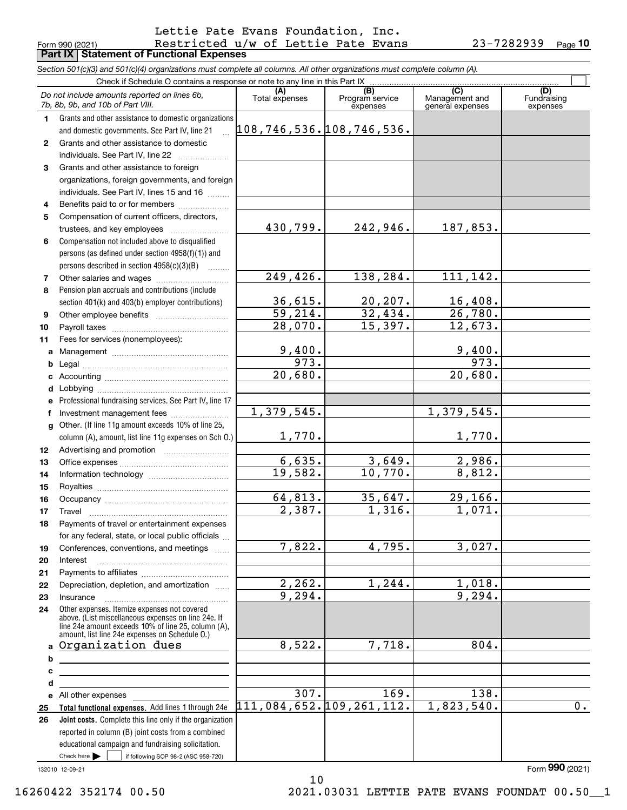### Form 990 (2021) Restricted  $\,$ u/w of Lettie Pate Evans 23-7282939 <sub>Page</sub> **Part IX Statement of Functional Expenses** Lettie Pate Evans Foundation, Inc.

**10**

|              | Section 501(c)(3) and 501(c)(4) organizations must complete all columns. All other organizations must complete column (A). |                                   |                             |                                    |                         |
|--------------|----------------------------------------------------------------------------------------------------------------------------|-----------------------------------|-----------------------------|------------------------------------|-------------------------|
|              | Check if Schedule O contains a response or note to any line in this Part IX                                                | (A)                               | (B)                         | (C)                                | (D)                     |
|              | Do not include amounts reported on lines 6b,<br>7b, 8b, 9b, and 10b of Part VIII.                                          | Total expenses                    | Program service<br>expenses | Management and<br>general expenses | Fundraising<br>expenses |
| 1.           | Grants and other assistance to domestic organizations                                                                      |                                   |                             |                                    |                         |
|              | and domestic governments. See Part IV, line 21                                                                             | $108, 746, 536.$ $108, 746, 536.$ |                             |                                    |                         |
| $\mathbf{2}$ | Grants and other assistance to domestic                                                                                    |                                   |                             |                                    |                         |
|              | individuals. See Part IV, line 22                                                                                          |                                   |                             |                                    |                         |
| 3            | Grants and other assistance to foreign                                                                                     |                                   |                             |                                    |                         |
|              | organizations, foreign governments, and foreign                                                                            |                                   |                             |                                    |                         |
|              | individuals. See Part IV, lines 15 and 16                                                                                  |                                   |                             |                                    |                         |
| 4            | Benefits paid to or for members                                                                                            |                                   |                             |                                    |                         |
| 5            | Compensation of current officers, directors,                                                                               |                                   |                             |                                    |                         |
|              | trustees, and key employees                                                                                                | 430,799.                          | 242,946.                    | 187,853.                           |                         |
| 6            | Compensation not included above to disqualified                                                                            |                                   |                             |                                    |                         |
|              |                                                                                                                            |                                   |                             |                                    |                         |
|              | persons (as defined under section 4958(f)(1)) and                                                                          |                                   |                             |                                    |                         |
|              | persons described in section 4958(c)(3)(B)                                                                                 | 249,426.                          | 138, 284.                   | 111,142.                           |                         |
| 7            |                                                                                                                            |                                   |                             |                                    |                         |
| 8            | Pension plan accruals and contributions (include                                                                           | 36,615.                           | 20, 207.                    | 16,408.                            |                         |
|              | section 401(k) and 403(b) employer contributions)                                                                          | $\overline{59,214}$ .             | 32,434.                     |                                    |                         |
| 9            |                                                                                                                            |                                   |                             | 26,780.                            |                         |
| 10           |                                                                                                                            | 28,070.                           | 15,397.                     | 12,673.                            |                         |
| 11           | Fees for services (nonemployees):                                                                                          |                                   |                             |                                    |                         |
| a            |                                                                                                                            | 9,400.                            |                             | 9,400.                             |                         |
| b            |                                                                                                                            | 973.                              |                             | 973.                               |                         |
| с            |                                                                                                                            | 20,680.                           |                             | 20,680.                            |                         |
| d            |                                                                                                                            |                                   |                             |                                    |                         |
| е            | Professional fundraising services. See Part IV, line 17                                                                    |                                   |                             |                                    |                         |
| f            | Investment management fees                                                                                                 | 1,379,545.                        |                             | 1,379,545.                         |                         |
| g            | Other. (If line 11g amount exceeds 10% of line 25,                                                                         |                                   |                             |                                    |                         |
|              | column (A), amount, list line 11g expenses on Sch O.)                                                                      | 1,770.                            |                             | 1,770.                             |                         |
| 12           |                                                                                                                            |                                   |                             |                                    |                         |
| 13           |                                                                                                                            | 6,635.                            | 3,649.                      | $\overline{2,986}$ .               |                         |
| 14           |                                                                                                                            | 19,582.                           | 10,770.                     | 8,812.                             |                         |
| 15           |                                                                                                                            |                                   |                             |                                    |                         |
| 16           |                                                                                                                            | 64,813.                           | 35,647.                     | 29, 166.                           |                         |
| 17           |                                                                                                                            | 2,387.                            | 1,316.                      | 1,071.                             |                         |
| 18           | Payments of travel or entertainment expenses                                                                               |                                   |                             |                                    |                         |
|              | for any federal, state, or local public officials                                                                          |                                   |                             |                                    |                         |
| 19           | Conferences, conventions, and meetings                                                                                     | 7,822.                            | 4,795.                      | 3,027.                             |                         |
| 20           | Interest                                                                                                                   |                                   |                             |                                    |                         |
| 21           |                                                                                                                            |                                   |                             |                                    |                         |
| 22           | Depreciation, depletion, and amortization                                                                                  | 2, 262.                           | 1, 244.                     | 1,018.                             |                         |
| 23           | Insurance                                                                                                                  | 9,294.                            |                             | 9,294.                             |                         |
| 24           | Other expenses. Itemize expenses not covered                                                                               |                                   |                             |                                    |                         |
|              | above. (List miscellaneous expenses on line 24e. If                                                                        |                                   |                             |                                    |                         |
|              | line 24e amount exceeds 10% of line 25, column (A),<br>amount, list line 24e expenses on Schedule O.)                      |                                   |                             |                                    |                         |
| a            | Organization dues                                                                                                          | 8,522.                            | 7,718.                      | 804.                               |                         |
| b            |                                                                                                                            |                                   |                             |                                    |                         |
| c            |                                                                                                                            |                                   |                             |                                    |                         |
| d            |                                                                                                                            |                                   |                             |                                    |                         |
| е            | All other expenses                                                                                                         | 307.                              | 169.                        | 138.                               |                         |
| 25           | Total functional expenses. Add lines 1 through 24e                                                                         |                                   | 111,084,652.109,261,112.    | 1,823,540.                         | 0.                      |
| 26           | Joint costs. Complete this line only if the organization                                                                   |                                   |                             |                                    |                         |
|              | reported in column (B) joint costs from a combined                                                                         |                                   |                             |                                    |                         |
|              | educational campaign and fundraising solicitation.                                                                         |                                   |                             |                                    |                         |
|              | Check here $\blacktriangleright$<br>if following SOP 98-2 (ASC 958-720)                                                    |                                   |                             |                                    |                         |
|              |                                                                                                                            |                                   |                             |                                    |                         |

10

132010 12-09-21

Form (2021) **990**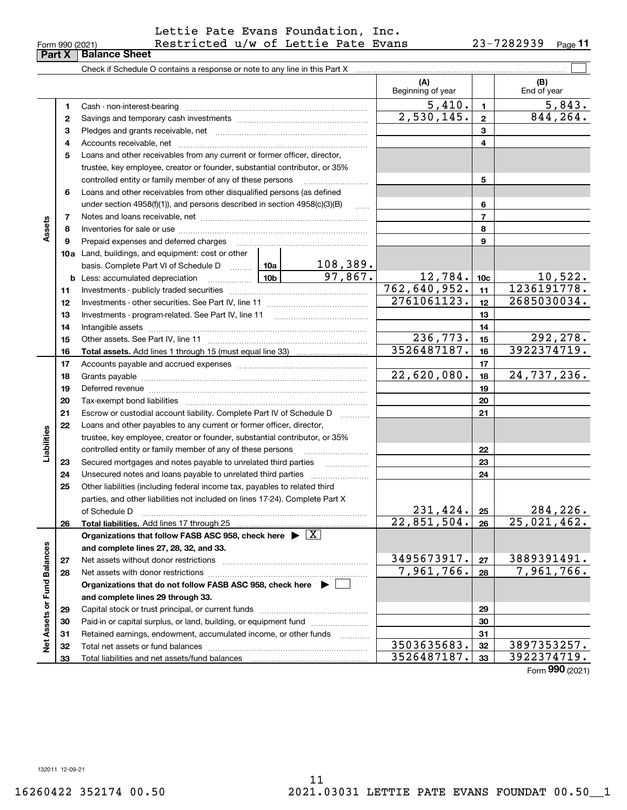| Form 990 (2021)               |  |  |
|-------------------------------|--|--|
| <b>Part X   Balance Sheet</b> |  |  |

## Form 990 (2021) Restricted  $\,$ u/w of Lettie Pate Evans 23-7282939 <sub>Page</sub> Lettie Pate Evans Foundation, Inc.

|                             |                |                                                                                                                                                                                                                                |                            | (A)<br>Beginning of year       |              | (B)<br>End of year       |
|-----------------------------|----------------|--------------------------------------------------------------------------------------------------------------------------------------------------------------------------------------------------------------------------------|----------------------------|--------------------------------|--------------|--------------------------|
|                             | 1              |                                                                                                                                                                                                                                |                            | $\overline{5}$ , 410.          | $\mathbf{1}$ | 5,843.                   |
|                             | 2              |                                                                                                                                                                                                                                |                            | 2,530,145.                     | $\mathbf{2}$ | 844, 264.                |
|                             | 3              |                                                                                                                                                                                                                                |                            |                                | 3            |                          |
|                             | 4              |                                                                                                                                                                                                                                |                            |                                | 4            |                          |
|                             | 5              | Loans and other receivables from any current or former officer, director,                                                                                                                                                      |                            |                                |              |                          |
|                             |                | trustee, key employee, creator or founder, substantial contributor, or 35%                                                                                                                                                     |                            |                                |              |                          |
|                             |                | controlled entity or family member of any of these persons                                                                                                                                                                     |                            |                                | 5            |                          |
|                             | 6              | Loans and other receivables from other disqualified persons (as defined                                                                                                                                                        |                            |                                |              |                          |
|                             |                | under section $4958(f)(1)$ , and persons described in section $4958(c)(3)(B)$                                                                                                                                                  | المتمت                     |                                | 6            |                          |
|                             | $\overline{7}$ |                                                                                                                                                                                                                                |                            | $\overline{7}$                 |              |                          |
| Assets                      | 8              |                                                                                                                                                                                                                                |                            |                                | 8            |                          |
|                             | 9              |                                                                                                                                                                                                                                |                            |                                | 9            |                          |
|                             |                | 10a Land, buildings, and equipment: cost or other                                                                                                                                                                              |                            |                                |              |                          |
|                             |                | basis. Complete Part VI of Schedule D  10a                                                                                                                                                                                     | 108,389.<br>97,867.        |                                |              |                          |
|                             |                |                                                                                                                                                                                                                                | 12,784.                    | 10 <sub>c</sub>                | $10,522$ .   |                          |
|                             | 11             |                                                                                                                                                                                                                                | $\overline{762,640,952}$ . | 11                             | 1236191778.  |                          |
|                             | 12             |                                                                                                                                                                                                                                | 2761061123.                | 12                             | 2685030034.  |                          |
|                             | 13             |                                                                                                                                                                                                                                |                            | 13                             |              |                          |
|                             | 14             |                                                                                                                                                                                                                                |                            | 14                             |              |                          |
|                             | 15             |                                                                                                                                                                                                                                |                            | 236,773.                       | 15           | 292,278.                 |
|                             | 16             |                                                                                                                                                                                                                                |                            | 3526487187.                    | 16           | 3922374719.              |
|                             | 17             |                                                                                                                                                                                                                                |                            | 22,620,080.                    | 17           | 24,737,236.              |
|                             | 18             |                                                                                                                                                                                                                                |                            | 18                             |              |                          |
|                             | 19             | Deferred revenue manual contracts and contracts are contracted and contract and contract are contracted and contract are contracted and contract are contracted and contract are contracted and contract are contracted and co |                            | 19                             |              |                          |
|                             | 20             |                                                                                                                                                                                                                                |                            |                                | 20           |                          |
|                             | 21             | Escrow or custodial account liability. Complete Part IV of Schedule D                                                                                                                                                          |                            |                                | 21           |                          |
|                             | 22             | Loans and other payables to any current or former officer, director,                                                                                                                                                           |                            |                                |              |                          |
| Liabilities                 |                | trustee, key employee, creator or founder, substantial contributor, or 35%<br>controlled entity or family member of any of these persons                                                                                       |                            |                                | 22           |                          |
|                             | 23             | Secured mortgages and notes payable to unrelated third parties                                                                                                                                                                 |                            |                                | 23           |                          |
|                             | 24             |                                                                                                                                                                                                                                |                            |                                | 24           |                          |
|                             | 25             | Other liabilities (including federal income tax, payables to related third                                                                                                                                                     |                            |                                |              |                          |
|                             |                | parties, and other liabilities not included on lines 17-24). Complete Part X                                                                                                                                                   |                            |                                |              |                          |
|                             |                | of Schedule D                                                                                                                                                                                                                  |                            |                                | 25           | 284,226.                 |
|                             | 26             | Total liabilities. Add lines 17 through 25                                                                                                                                                                                     |                            | $\frac{231,424.}{22,851,504.}$ | 26           | $\overline{25,021,462.}$ |
|                             |                | Organizations that follow FASB ASC 958, check here $\blacktriangleright \boxed{X}$                                                                                                                                             |                            |                                |              |                          |
|                             |                | and complete lines 27, 28, 32, and 33.                                                                                                                                                                                         |                            |                                |              |                          |
|                             | 27             |                                                                                                                                                                                                                                |                            | 3495673917.                    | 27           | 3889391491.              |
|                             | 28             |                                                                                                                                                                                                                                |                            | 7,961,766.                     | 28           | 7,961,766.               |
|                             |                | Organizations that do not follow FASB ASC 958, check here $\;\blacktriangleright\;\square$                                                                                                                                     |                            |                                |              |                          |
|                             |                | and complete lines 29 through 33.                                                                                                                                                                                              |                            |                                |              |                          |
| Net Assets or Fund Balances | 29             |                                                                                                                                                                                                                                |                            |                                | 29           |                          |
|                             | 30             | Paid-in or capital surplus, or land, building, or equipment fund                                                                                                                                                               |                            |                                | 30           |                          |
|                             | 31             | Retained earnings, endowment, accumulated income, or other funds                                                                                                                                                               |                            |                                | 31           |                          |
|                             | 32             |                                                                                                                                                                                                                                |                            | 3503635683.                    | 32           | 3897353257.              |
|                             | 33             | Total liabilities and net assets/fund balances                                                                                                                                                                                 |                            | 3526487187.                    | 33           | 3922374719.              |

Form (2021) **990**

132011 12-09-21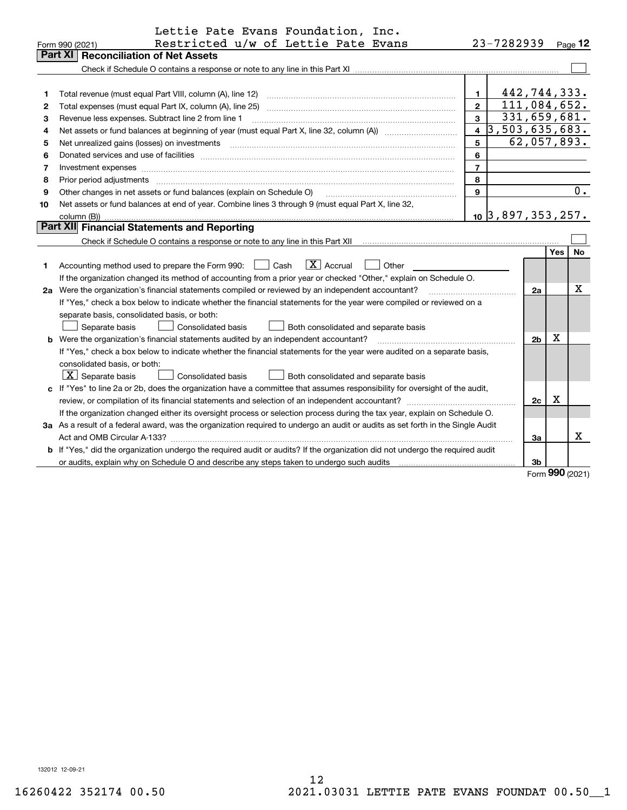|    | Lettie Pate Evans Foundation, Inc.                                                                                                                                                                                                                                                                                                                                                                                                                                         |                         |                              |                |            |           |  |  |  |
|----|----------------------------------------------------------------------------------------------------------------------------------------------------------------------------------------------------------------------------------------------------------------------------------------------------------------------------------------------------------------------------------------------------------------------------------------------------------------------------|-------------------------|------------------------------|----------------|------------|-----------|--|--|--|
|    | Restricted u/w of Lettie Pate Evans<br>Form 990 (2021)<br><b>Part XI   Reconciliation of Net Assets</b>                                                                                                                                                                                                                                                                                                                                                                    |                         | 23-7282939                   |                |            | $Page$ 12 |  |  |  |
|    |                                                                                                                                                                                                                                                                                                                                                                                                                                                                            |                         |                              |                |            |           |  |  |  |
|    |                                                                                                                                                                                                                                                                                                                                                                                                                                                                            |                         |                              |                |            |           |  |  |  |
| 1  | Total revenue (must equal Part VIII, column (A), line 12)                                                                                                                                                                                                                                                                                                                                                                                                                  | $\mathbf 1$             |                              | 442,744,333.   |            |           |  |  |  |
| 2  | 111,084,652.<br>$\overline{2}$                                                                                                                                                                                                                                                                                                                                                                                                                                             |                         |                              |                |            |           |  |  |  |
| з  | 331,659,681.<br>$\overline{3}$<br>Revenue less expenses. Subtract line 2 from line 1                                                                                                                                                                                                                                                                                                                                                                                       |                         |                              |                |            |           |  |  |  |
| 4  |                                                                                                                                                                                                                                                                                                                                                                                                                                                                            | $\overline{\mathbf{4}}$ | $\overline{3,503,635,683}$ . |                |            |           |  |  |  |
| 5  | Net unrealized gains (losses) on investments<br>$\overline{a_1, \ldots, a_n, \ldots, a_n, \ldots, a_n, \ldots, a_n, \ldots, a_n, \ldots, a_n, \ldots, a_n, \ldots, a_n, \ldots, a_n, \ldots, a_n, \ldots, a_n, \ldots, a_n, \ldots, a_n, \ldots, a_n, \ldots, a_n, \ldots, a_n, \ldots, a_n, \ldots, a_n, \ldots, a_n, \ldots, a_n, \ldots, a_n, \ldots, a_n, \ldots, a_n, \ldots, a_n, \ldots, a_n, \ldots, a_n, \ldots, a_n, \ldots, a_n, \ldots, a_n, \ldots, a_n, \ld$ | 5                       |                              | 62,057,893.    |            |           |  |  |  |
| 6  |                                                                                                                                                                                                                                                                                                                                                                                                                                                                            | 6                       |                              |                |            |           |  |  |  |
| 7  |                                                                                                                                                                                                                                                                                                                                                                                                                                                                            | $\overline{7}$          |                              |                |            |           |  |  |  |
| 8  | Prior period adjustments                                                                                                                                                                                                                                                                                                                                                                                                                                                   | 8                       |                              |                |            |           |  |  |  |
| 9  | Other changes in net assets or fund balances (explain on Schedule O)                                                                                                                                                                                                                                                                                                                                                                                                       | $\mathbf{9}$            |                              |                |            | $0$ .     |  |  |  |
| 10 | Net assets or fund balances at end of year. Combine lines 3 through 9 (must equal Part X, line 32,                                                                                                                                                                                                                                                                                                                                                                         |                         |                              |                |            |           |  |  |  |
|    | column (B))                                                                                                                                                                                                                                                                                                                                                                                                                                                                |                         | $10$ 3,897,353,257.          |                |            |           |  |  |  |
|    | Part XII Financial Statements and Reporting                                                                                                                                                                                                                                                                                                                                                                                                                                |                         |                              |                |            |           |  |  |  |
|    |                                                                                                                                                                                                                                                                                                                                                                                                                                                                            |                         |                              |                |            |           |  |  |  |
|    |                                                                                                                                                                                                                                                                                                                                                                                                                                                                            |                         |                              |                | Yes        | No        |  |  |  |
| 1  | $\boxed{\text{X}}$ Accrual<br>Accounting method used to prepare the Form 990: <u>[16</u> ] Cash<br>Other                                                                                                                                                                                                                                                                                                                                                                   |                         |                              |                |            |           |  |  |  |
|    | If the organization changed its method of accounting from a prior year or checked "Other," explain on Schedule O.                                                                                                                                                                                                                                                                                                                                                          |                         |                              |                |            |           |  |  |  |
|    | 2a Were the organization's financial statements compiled or reviewed by an independent accountant?                                                                                                                                                                                                                                                                                                                                                                         |                         |                              | 2a             |            | x         |  |  |  |
|    | If "Yes," check a box below to indicate whether the financial statements for the year were compiled or reviewed on a                                                                                                                                                                                                                                                                                                                                                       |                         |                              |                |            |           |  |  |  |
|    | separate basis, consolidated basis, or both:                                                                                                                                                                                                                                                                                                                                                                                                                               |                         |                              |                |            |           |  |  |  |
|    | Separate basis<br><b>Consolidated basis</b><br>Both consolidated and separate basis                                                                                                                                                                                                                                                                                                                                                                                        |                         |                              |                |            |           |  |  |  |
|    | <b>b</b> Were the organization's financial statements audited by an independent accountant?                                                                                                                                                                                                                                                                                                                                                                                |                         |                              | 2 <sub>b</sub> | x          |           |  |  |  |
|    | If "Yes," check a box below to indicate whether the financial statements for the year were audited on a separate basis,                                                                                                                                                                                                                                                                                                                                                    |                         |                              |                |            |           |  |  |  |
|    | consolidated basis, or both:                                                                                                                                                                                                                                                                                                                                                                                                                                               |                         |                              |                |            |           |  |  |  |
|    | $\boxed{\textbf{X}}$ Separate basis<br>Consolidated basis<br>Both consolidated and separate basis                                                                                                                                                                                                                                                                                                                                                                          |                         |                              |                |            |           |  |  |  |
|    | c If "Yes" to line 2a or 2b, does the organization have a committee that assumes responsibility for oversight of the audit,                                                                                                                                                                                                                                                                                                                                                |                         |                              |                |            |           |  |  |  |
|    |                                                                                                                                                                                                                                                                                                                                                                                                                                                                            |                         |                              | 2c             | х          |           |  |  |  |
|    | If the organization changed either its oversight process or selection process during the tax year, explain on Schedule O.                                                                                                                                                                                                                                                                                                                                                  |                         |                              |                |            |           |  |  |  |
|    | 3a As a result of a federal award, was the organization required to undergo an audit or audits as set forth in the Single Audit                                                                                                                                                                                                                                                                                                                                            |                         |                              | За             |            | x         |  |  |  |
|    |                                                                                                                                                                                                                                                                                                                                                                                                                                                                            |                         |                              |                |            |           |  |  |  |
|    | b If "Yes," did the organization undergo the required audit or audits? If the organization did not undergo the required audit                                                                                                                                                                                                                                                                                                                                              |                         |                              |                |            |           |  |  |  |
|    |                                                                                                                                                                                                                                                                                                                                                                                                                                                                            |                         |                              | 3b             | <u>nnn</u> |           |  |  |  |

Form (2021) **990**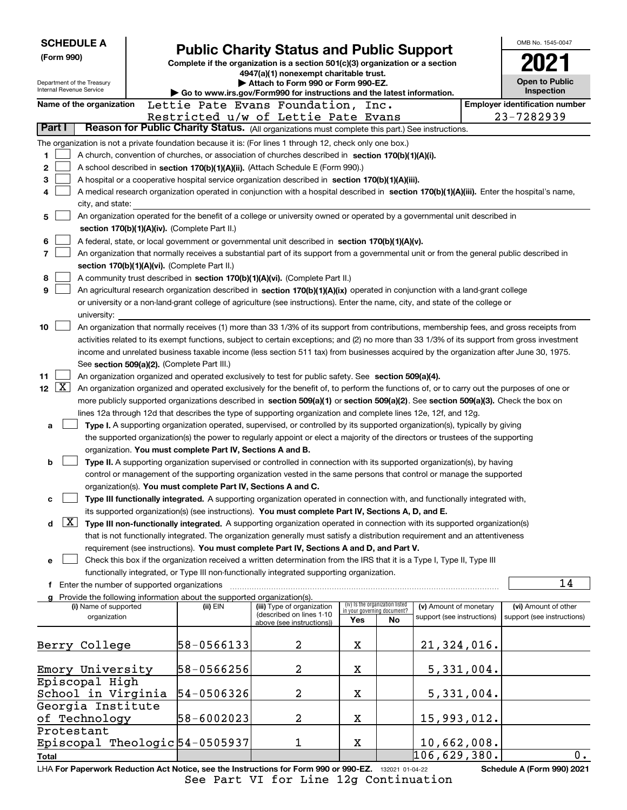| <b>SCHEDULE A</b>                      |                                                                                                                                                                                                                                               | <b>Public Charity Status and Public Support</b>                               |                                                                |    |                            |            | OMB No. 1545-0047                     |  |  |
|----------------------------------------|-----------------------------------------------------------------------------------------------------------------------------------------------------------------------------------------------------------------------------------------------|-------------------------------------------------------------------------------|----------------------------------------------------------------|----|----------------------------|------------|---------------------------------------|--|--|
| (Form 990)                             |                                                                                                                                                                                                                                               | Complete if the organization is a section 501(c)(3) organization or a section |                                                                |    |                            |            |                                       |  |  |
| Department of the Treasury             |                                                                                                                                                                                                                                               | 4947(a)(1) nonexempt charitable trust.<br>Attach to Form 990 or Form 990-EZ.  |                                                                |    |                            |            | Open to Public                        |  |  |
| Internal Revenue Service               |                                                                                                                                                                                                                                               | Go to www.irs.gov/Form990 for instructions and the latest information.        |                                                                |    |                            |            | Inspection                            |  |  |
| Name of the organization               | Lettie Pate Evans Foundation, Inc.                                                                                                                                                                                                            |                                                                               |                                                                |    |                            |            | <b>Employer identification number</b> |  |  |
|                                        | Restricted u/w of Lettie Pate Evans                                                                                                                                                                                                           |                                                                               |                                                                |    |                            |            | 23-7282939                            |  |  |
| Part I                                 | Reason for Public Charity Status. (All organizations must complete this part.) See instructions.                                                                                                                                              |                                                                               |                                                                |    |                            |            |                                       |  |  |
|                                        | The organization is not a private foundation because it is: (For lines 1 through 12, check only one box.)                                                                                                                                     |                                                                               |                                                                |    |                            |            |                                       |  |  |
| 1                                      | A church, convention of churches, or association of churches described in section 170(b)(1)(A)(i).                                                                                                                                            |                                                                               |                                                                |    |                            |            |                                       |  |  |
| 2                                      | A school described in section 170(b)(1)(A)(ii). (Attach Schedule E (Form 990).)                                                                                                                                                               |                                                                               |                                                                |    |                            |            |                                       |  |  |
| 3                                      | A hospital or a cooperative hospital service organization described in section 170(b)(1)(A)(iii).                                                                                                                                             |                                                                               |                                                                |    |                            |            |                                       |  |  |
| 4                                      | A medical research organization operated in conjunction with a hospital described in section 170(b)(1)(A)(iii). Enter the hospital's name,                                                                                                    |                                                                               |                                                                |    |                            |            |                                       |  |  |
| city, and state:                       | An organization operated for the benefit of a college or university owned or operated by a governmental unit described in                                                                                                                     |                                                                               |                                                                |    |                            |            |                                       |  |  |
| 5                                      |                                                                                                                                                                                                                                               |                                                                               |                                                                |    |                            |            |                                       |  |  |
|                                        | section 170(b)(1)(A)(iv). (Complete Part II.)                                                                                                                                                                                                 |                                                                               |                                                                |    |                            |            |                                       |  |  |
| 6<br>7                                 | A federal, state, or local government or governmental unit described in section 170(b)(1)(A)(v).<br>An organization that normally receives a substantial part of its support from a governmental unit or from the general public described in |                                                                               |                                                                |    |                            |            |                                       |  |  |
|                                        | section 170(b)(1)(A)(vi). (Complete Part II.)                                                                                                                                                                                                 |                                                                               |                                                                |    |                            |            |                                       |  |  |
| 8                                      | A community trust described in section 170(b)(1)(A)(vi). (Complete Part II.)                                                                                                                                                                  |                                                                               |                                                                |    |                            |            |                                       |  |  |
| 9                                      | An agricultural research organization described in section 170(b)(1)(A)(ix) operated in conjunction with a land-grant college                                                                                                                 |                                                                               |                                                                |    |                            |            |                                       |  |  |
|                                        | or university or a non-land-grant college of agriculture (see instructions). Enter the name, city, and state of the college or                                                                                                                |                                                                               |                                                                |    |                            |            |                                       |  |  |
| university:                            |                                                                                                                                                                                                                                               |                                                                               |                                                                |    |                            |            |                                       |  |  |
| 10                                     | An organization that normally receives (1) more than 33 1/3% of its support from contributions, membership fees, and gross receipts from                                                                                                      |                                                                               |                                                                |    |                            |            |                                       |  |  |
|                                        | activities related to its exempt functions, subject to certain exceptions; and (2) no more than 33 1/3% of its support from gross investment                                                                                                  |                                                                               |                                                                |    |                            |            |                                       |  |  |
|                                        | income and unrelated business taxable income (less section 511 tax) from businesses acquired by the organization after June 30, 1975.                                                                                                         |                                                                               |                                                                |    |                            |            |                                       |  |  |
|                                        | See section 509(a)(2). (Complete Part III.)                                                                                                                                                                                                   |                                                                               |                                                                |    |                            |            |                                       |  |  |
| 11                                     | An organization organized and operated exclusively to test for public safety. See section 509(a)(4).                                                                                                                                          |                                                                               |                                                                |    |                            |            |                                       |  |  |
| $\lfloor x \rfloor$<br>12 <sub>2</sub> | An organization organized and operated exclusively for the benefit of, to perform the functions of, or to carry out the purposes of one or                                                                                                    |                                                                               |                                                                |    |                            |            |                                       |  |  |
|                                        | more publicly supported organizations described in section $509(a)(1)$ or section $509(a)(2)$ . See section $509(a)(3)$ . Check the box on                                                                                                    |                                                                               |                                                                |    |                            |            |                                       |  |  |
| a                                      | lines 12a through 12d that describes the type of supporting organization and complete lines 12e, 12f, and 12g.<br>Type I. A supporting organization operated, supervised, or controlled by its supported organization(s), typically by giving |                                                                               |                                                                |    |                            |            |                                       |  |  |
|                                        | the supported organization(s) the power to regularly appoint or elect a majority of the directors or trustees of the supporting                                                                                                               |                                                                               |                                                                |    |                            |            |                                       |  |  |
|                                        | organization. You must complete Part IV, Sections A and B.                                                                                                                                                                                    |                                                                               |                                                                |    |                            |            |                                       |  |  |
| b                                      | Type II. A supporting organization supervised or controlled in connection with its supported organization(s), by having                                                                                                                       |                                                                               |                                                                |    |                            |            |                                       |  |  |
|                                        | control or management of the supporting organization vested in the same persons that control or manage the supported                                                                                                                          |                                                                               |                                                                |    |                            |            |                                       |  |  |
|                                        | organization(s). You must complete Part IV, Sections A and C.                                                                                                                                                                                 |                                                                               |                                                                |    |                            |            |                                       |  |  |
| c                                      | Type III functionally integrated. A supporting organization operated in connection with, and functionally integrated with,                                                                                                                    |                                                                               |                                                                |    |                            |            |                                       |  |  |
|                                        | its supported organization(s) (see instructions). You must complete Part IV, Sections A, D, and E.                                                                                                                                            |                                                                               |                                                                |    |                            |            |                                       |  |  |
| $\lfloor x \rfloor$<br>d               | Type III non-functionally integrated. A supporting organization operated in connection with its supported organization(s)                                                                                                                     |                                                                               |                                                                |    |                            |            |                                       |  |  |
|                                        | that is not functionally integrated. The organization generally must satisfy a distribution requirement and an attentiveness                                                                                                                  |                                                                               |                                                                |    |                            |            |                                       |  |  |
|                                        | requirement (see instructions). You must complete Part IV, Sections A and D, and Part V.                                                                                                                                                      |                                                                               |                                                                |    |                            |            |                                       |  |  |
| е                                      | Check this box if the organization received a written determination from the IRS that it is a Type I, Type II, Type III                                                                                                                       |                                                                               |                                                                |    |                            |            |                                       |  |  |
|                                        | functionally integrated, or Type III non-functionally integrated supporting organization.<br><b>f</b> Enter the number of supported organizations                                                                                             |                                                                               |                                                                |    |                            |            | 14                                    |  |  |
|                                        | g Provide the following information about the supported organization(s)                                                                                                                                                                       |                                                                               |                                                                |    |                            |            |                                       |  |  |
| (i) Name of supported                  | (ii) EIN                                                                                                                                                                                                                                      | (iii) Type of organization                                                    | (iv) Is the organization listed<br>in your governing document? |    | (v) Amount of monetary     |            | (vi) Amount of other                  |  |  |
| organization                           |                                                                                                                                                                                                                                               | (described on lines 1-10<br>above (see instructions))                         | Yes                                                            | No | support (see instructions) |            | support (see instructions)            |  |  |
|                                        |                                                                                                                                                                                                                                               |                                                                               |                                                                |    |                            |            |                                       |  |  |
| Berry College                          | 58-0566133                                                                                                                                                                                                                                    | 2                                                                             | X                                                              |    | 21,324,016.                |            |                                       |  |  |
|                                        |                                                                                                                                                                                                                                               |                                                                               |                                                                |    |                            |            |                                       |  |  |
| Emory University                       | 58-0566256                                                                                                                                                                                                                                    | 2                                                                             | x                                                              |    |                            | 5,331,004. |                                       |  |  |
| Episcopal High                         |                                                                                                                                                                                                                                               |                                                                               |                                                                |    |                            |            |                                       |  |  |
| School in Virginia                     | 54-0506326                                                                                                                                                                                                                                    | 2                                                                             | X                                                              |    |                            | 5,331,004. |                                       |  |  |
| Georgia Institute                      | 58-6002023                                                                                                                                                                                                                                    | 2                                                                             | X                                                              |    |                            |            |                                       |  |  |
| of Technology<br>Protestant            |                                                                                                                                                                                                                                               |                                                                               |                                                                |    | 15,993,012.                |            |                                       |  |  |
|                                        | Episcopal Theologic 54-0505937                                                                                                                                                                                                                | 1                                                                             | X                                                              |    | 10,662,008.                |            |                                       |  |  |
| Total                                  |                                                                                                                                                                                                                                               |                                                                               |                                                                |    | 106,629,380.               |            | 0.                                    |  |  |
|                                        | $1 H\Delta$ For Panerwork Reduction Act Notice, see the Instructions for Form 990 or 990-FZ $\rightarrow$ 132021 01.04.22                                                                                                                     |                                                                               |                                                                |    |                            |            | Schedule A (Form 990) 2021            |  |  |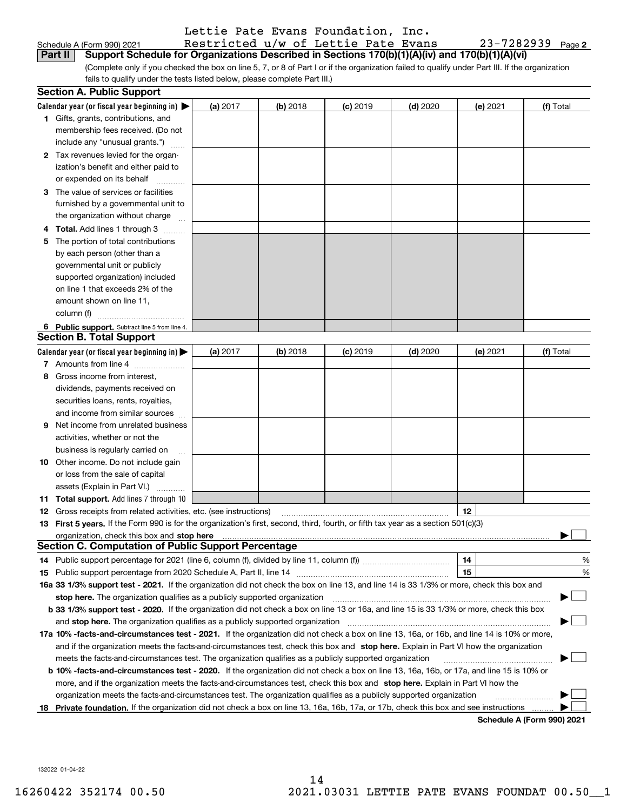|  | Lettie Pate Evans Foundation, Inc. |  |
|--|------------------------------------|--|
|  | Postricted u/w of Lettie Pate Fuar |  |

| Schedule A (Form 990) 2021                                                                                    | Restricted u/w of Lettie Pate Evans |  |  | 23-7282939 |
|---------------------------------------------------------------------------------------------------------------|-------------------------------------|--|--|------------|
| <b>Part II</b> Support Schedule for Organizations Described in Sections 170(b)(1)(A)(iv) and 170(b)(1)(A)(vi) |                                     |  |  |            |

(Complete only if you checked the box on line 5, 7, or 8 of Part I or if the organization failed to qualify under Part III. If the organization fails to qualify under the tests listed below, please complete Part III.)

|    | <b>Section A. Public Support</b>                                                                                                               |          |            |            |            |          |                            |
|----|------------------------------------------------------------------------------------------------------------------------------------------------|----------|------------|------------|------------|----------|----------------------------|
|    | Calendar year (or fiscal year beginning in) $\blacktriangleright$                                                                              | (a) 2017 | $(b)$ 2018 | $(c)$ 2019 | $(d)$ 2020 | (e) 2021 | (f) Total                  |
|    | <b>1</b> Gifts, grants, contributions, and                                                                                                     |          |            |            |            |          |                            |
|    | membership fees received. (Do not                                                                                                              |          |            |            |            |          |                            |
|    | include any "unusual grants.")                                                                                                                 |          |            |            |            |          |                            |
|    | <b>2</b> Tax revenues levied for the organ-                                                                                                    |          |            |            |            |          |                            |
|    | ization's benefit and either paid to                                                                                                           |          |            |            |            |          |                            |
|    | or expended on its behalf                                                                                                                      |          |            |            |            |          |                            |
|    | 3 The value of services or facilities                                                                                                          |          |            |            |            |          |                            |
|    | furnished by a governmental unit to                                                                                                            |          |            |            |            |          |                            |
|    | the organization without charge                                                                                                                |          |            |            |            |          |                            |
|    | 4 Total. Add lines 1 through 3                                                                                                                 |          |            |            |            |          |                            |
| 5  | The portion of total contributions                                                                                                             |          |            |            |            |          |                            |
|    | by each person (other than a                                                                                                                   |          |            |            |            |          |                            |
|    | governmental unit or publicly                                                                                                                  |          |            |            |            |          |                            |
|    | supported organization) included                                                                                                               |          |            |            |            |          |                            |
|    | on line 1 that exceeds 2% of the                                                                                                               |          |            |            |            |          |                            |
|    | amount shown on line 11,                                                                                                                       |          |            |            |            |          |                            |
|    | column (f)                                                                                                                                     |          |            |            |            |          |                            |
|    | 6 Public support. Subtract line 5 from line 4.                                                                                                 |          |            |            |            |          |                            |
|    | <b>Section B. Total Support</b>                                                                                                                |          |            |            |            |          |                            |
|    | Calendar year (or fiscal year beginning in)                                                                                                    | (a) 2017 | $(b)$ 2018 | $(c)$ 2019 | $(d)$ 2020 | (e) 2021 | (f) Total                  |
|    | 7 Amounts from line 4                                                                                                                          |          |            |            |            |          |                            |
|    | 8 Gross income from interest,                                                                                                                  |          |            |            |            |          |                            |
|    | dividends, payments received on                                                                                                                |          |            |            |            |          |                            |
|    | securities loans, rents, royalties,                                                                                                            |          |            |            |            |          |                            |
|    | and income from similar sources                                                                                                                |          |            |            |            |          |                            |
| 9. | Net income from unrelated business                                                                                                             |          |            |            |            |          |                            |
|    | activities, whether or not the                                                                                                                 |          |            |            |            |          |                            |
|    | business is regularly carried on                                                                                                               |          |            |            |            |          |                            |
|    | <b>10</b> Other income. Do not include gain                                                                                                    |          |            |            |            |          |                            |
|    | or loss from the sale of capital                                                                                                               |          |            |            |            |          |                            |
|    | assets (Explain in Part VI.)                                                                                                                   |          |            |            |            |          |                            |
|    | <b>11 Total support.</b> Add lines 7 through 10                                                                                                |          |            |            |            |          |                            |
|    | <b>12</b> Gross receipts from related activities, etc. (see instructions)                                                                      |          |            |            |            | 12       |                            |
|    | 13 First 5 years. If the Form 990 is for the organization's first, second, third, fourth, or fifth tax year as a section 501(c)(3)             |          |            |            |            |          |                            |
|    | organization, check this box and <b>stop here</b> www.communication.communication.communication.communication.communic                         |          |            |            |            |          |                            |
|    | <b>Section C. Computation of Public Support Percentage</b>                                                                                     |          |            |            |            |          |                            |
|    |                                                                                                                                                |          |            |            |            | 14       | %                          |
|    |                                                                                                                                                |          |            |            |            | 15       | $\%$                       |
|    | 16a 33 1/3% support test - 2021. If the organization did not check the box on line 13, and line 14 is 33 1/3% or more, check this box and      |          |            |            |            |          |                            |
|    | stop here. The organization qualifies as a publicly supported organization                                                                     |          |            |            |            |          |                            |
|    | b 33 1/3% support test - 2020. If the organization did not check a box on line 13 or 16a, and line 15 is 33 1/3% or more, check this box       |          |            |            |            |          |                            |
|    | and stop here. The organization qualifies as a publicly supported organization                                                                 |          |            |            |            |          |                            |
|    | 17a 10% -facts-and-circumstances test - 2021. If the organization did not check a box on line 13, 16a, or 16b, and line 14 is 10% or more,     |          |            |            |            |          |                            |
|    | and if the organization meets the facts-and-circumstances test, check this box and stop here. Explain in Part VI how the organization          |          |            |            |            |          |                            |
|    | meets the facts-and-circumstances test. The organization qualifies as a publicly supported organization                                        |          |            |            |            |          |                            |
|    | <b>b 10% -facts-and-circumstances test - 2020.</b> If the organization did not check a box on line 13, 16a, 16b, or 17a, and line 15 is 10% or |          |            |            |            |          |                            |
|    | more, and if the organization meets the facts-and-circumstances test, check this box and stop here. Explain in Part VI how the                 |          |            |            |            |          |                            |
|    | organization meets the facts-and-circumstances test. The organization qualifies as a publicly supported organization                           |          |            |            |            |          |                            |
| 18 | Private foundation. If the organization did not check a box on line 13, 16a, 16b, 17a, or 17b, check this box and see instructions             |          |            |            |            |          |                            |
|    |                                                                                                                                                |          |            |            |            |          | Schadula A (Form 990) 2021 |

**Schedule A (Form 990) 2021**

**2**

132022 01-04-22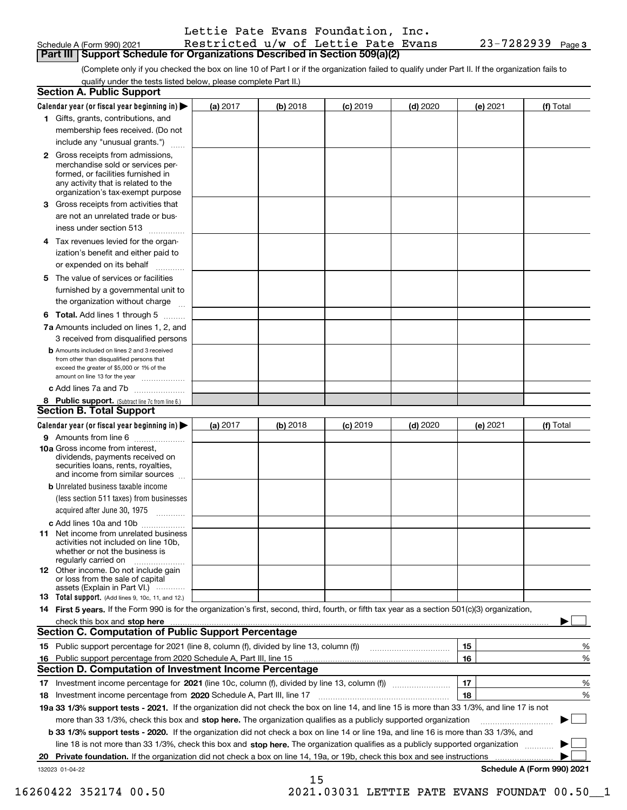| Schedule A (Form 990) 202 <sup>.</sup> |  |  |
|----------------------------------------|--|--|

Schedule A (Form 990) 2021 Restricted u/w of Lettie Pate Evans 23-7282939 Page **Part III Support Schedule for Organizations Described in Section 509(a)(2)** 

(Complete only if you checked the box on line 10 of Part I or if the organization failed to qualify under Part II. If the organization fails to qualify under the tests listed below, please complete Part II.)

|    | <b>Section A. Public Support</b>                                                                                                                                                         |          |          |            |            |          |                            |
|----|------------------------------------------------------------------------------------------------------------------------------------------------------------------------------------------|----------|----------|------------|------------|----------|----------------------------|
|    | Calendar year (or fiscal year beginning in) $\blacktriangleright$                                                                                                                        | (a) 2017 | (b) 2018 | $(c)$ 2019 | $(d)$ 2020 | (e) 2021 | (f) Total                  |
|    | 1 Gifts, grants, contributions, and                                                                                                                                                      |          |          |            |            |          |                            |
|    | membership fees received. (Do not                                                                                                                                                        |          |          |            |            |          |                            |
|    | include any "unusual grants.")                                                                                                                                                           |          |          |            |            |          |                            |
|    | 2 Gross receipts from admissions,<br>merchandise sold or services per-<br>formed, or facilities furnished in<br>any activity that is related to the<br>organization's tax-exempt purpose |          |          |            |            |          |                            |
|    | 3 Gross receipts from activities that<br>are not an unrelated trade or bus-<br>iness under section 513                                                                                   |          |          |            |            |          |                            |
|    | 4 Tax revenues levied for the organ-                                                                                                                                                     |          |          |            |            |          |                            |
|    | ization's benefit and either paid to                                                                                                                                                     |          |          |            |            |          |                            |
|    | or expended on its behalf<br>.                                                                                                                                                           |          |          |            |            |          |                            |
|    | 5 The value of services or facilities                                                                                                                                                    |          |          |            |            |          |                            |
|    | furnished by a governmental unit to                                                                                                                                                      |          |          |            |            |          |                            |
|    | the organization without charge                                                                                                                                                          |          |          |            |            |          |                            |
|    | <b>6 Total.</b> Add lines 1 through 5                                                                                                                                                    |          |          |            |            |          |                            |
|    | 7a Amounts included on lines 1, 2, and                                                                                                                                                   |          |          |            |            |          |                            |
|    | 3 received from disqualified persons                                                                                                                                                     |          |          |            |            |          |                            |
|    | <b>b</b> Amounts included on lines 2 and 3 received<br>from other than disqualified persons that                                                                                         |          |          |            |            |          |                            |
|    | exceed the greater of \$5,000 or 1% of the                                                                                                                                               |          |          |            |            |          |                            |
|    | amount on line 13 for the year                                                                                                                                                           |          |          |            |            |          |                            |
|    | c Add lines 7a and 7b                                                                                                                                                                    |          |          |            |            |          |                            |
|    | 8 Public support. (Subtract line 7c from line 6.)<br><b>Section B. Total Support</b>                                                                                                     |          |          |            |            |          |                            |
|    |                                                                                                                                                                                          |          |          |            |            |          |                            |
|    | Calendar year (or fiscal year beginning in)                                                                                                                                              | (a) 2017 | (b) 2018 | $(c)$ 2019 | $(d)$ 2020 | (e) 2021 | (f) Total                  |
|    | 9 Amounts from line 6                                                                                                                                                                    |          |          |            |            |          |                            |
|    | <b>10a</b> Gross income from interest,<br>dividends, payments received on<br>securities loans, rents, royalties,<br>and income from similar sources                                      |          |          |            |            |          |                            |
|    | <b>b</b> Unrelated business taxable income                                                                                                                                               |          |          |            |            |          |                            |
|    | (less section 511 taxes) from businesses                                                                                                                                                 |          |          |            |            |          |                            |
|    | acquired after June 30, 1975                                                                                                                                                             |          |          |            |            |          |                            |
|    | c Add lines 10a and 10b<br>11 Net income from unrelated business<br>activities not included on line 10b,<br>whether or not the business is<br>regularly carried on                       |          |          |            |            |          |                            |
|    | <b>12</b> Other income. Do not include gain<br>or loss from the sale of capital<br>assets (Explain in Part VI.)                                                                          |          |          |            |            |          |                            |
|    | <b>13</b> Total support. (Add lines 9, 10c, 11, and 12.)                                                                                                                                 |          |          |            |            |          |                            |
|    | 14 First 5 years. If the Form 990 is for the organization's first, second, third, fourth, or fifth tax year as a section 501(c)(3) organization,                                         |          |          |            |            |          |                            |
|    | check this box and stop here www.altamana.com/management/community/community/community/community/community/comm                                                                          |          |          |            |            |          |                            |
|    | <b>Section C. Computation of Public Support Percentage</b>                                                                                                                               |          |          |            |            |          |                            |
|    |                                                                                                                                                                                          |          |          |            |            | 15       | %                          |
|    | 16 Public support percentage from 2020 Schedule A, Part III, line 15                                                                                                                     |          |          |            |            | 16       | %                          |
|    | <b>Section D. Computation of Investment Income Percentage</b>                                                                                                                            |          |          |            |            |          |                            |
|    | 17 Investment income percentage for 2021 (line 10c, column (f), divided by line 13, column (f))                                                                                          |          |          |            |            | 17       | %                          |
|    | 18 Investment income percentage from 2020 Schedule A, Part III, line 17                                                                                                                  |          |          |            |            | 18       | %                          |
|    | 19a 33 1/3% support tests - 2021. If the organization did not check the box on line 14, and line 15 is more than 33 1/3%, and line 17 is not                                             |          |          |            |            |          |                            |
|    | more than 33 1/3%, check this box and stop here. The organization qualifies as a publicly supported organization                                                                         |          |          |            |            |          | ▶                          |
|    | b 33 1/3% support tests - 2020. If the organization did not check a box on line 14 or line 19a, and line 16 is more than 33 1/3%, and                                                    |          |          |            |            |          |                            |
|    | line 18 is not more than 33 1/3%, check this box and stop here. The organization qualifies as a publicly supported organization                                                          |          |          |            |            |          |                            |
| 20 | Private foundation. If the organization did not check a box on line 14, 19a, or 19b, check this box and see instructions                                                                 |          |          |            |            |          |                            |
|    | 132023 01-04-22                                                                                                                                                                          |          |          |            |            |          | Schedule A (Form 990) 2021 |

15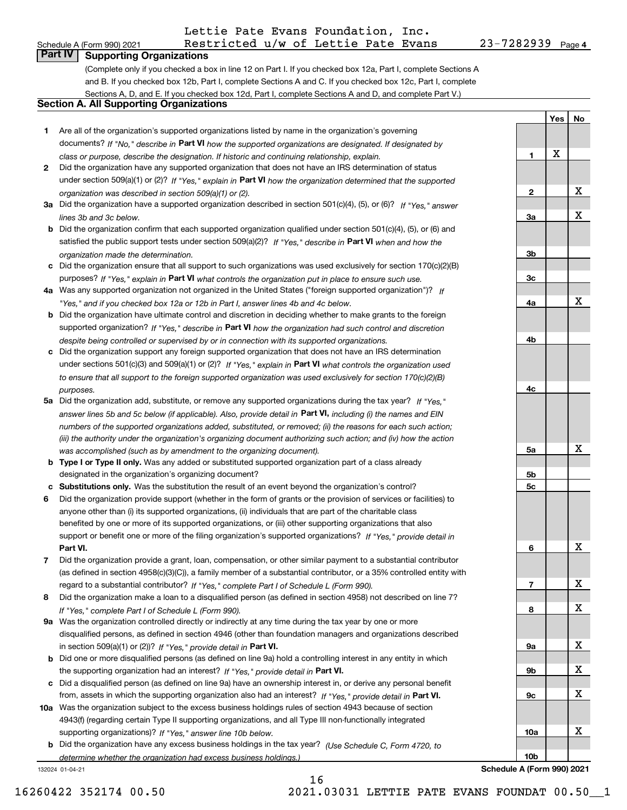## Schedule A (Form 990) 2021 Restricted u/w of Lettie Pate Evans 23-7282939 Page Lettie Pate Evans Foundation, Inc.

**1**

**Yes**

X

**No**

## **Part IV Supporting Organizations**

(Complete only if you checked a box in line 12 on Part I. If you checked box 12a, Part I, complete Sections A and B. If you checked box 12b, Part I, complete Sections A and C. If you checked box 12c, Part I, complete Sections A, D, and E. If you checked box 12d, Part I, complete Sections A and D, and complete Part V.)

## **Section A. All Supporting Organizations**

- **1** Are all of the organization's supported organizations listed by name in the organization's governing documents? If "No," describe in **Part VI** how the supported organizations are designated. If designated by *class or purpose, describe the designation. If historic and continuing relationship, explain.*
- **2** Did the organization have any supported organization that does not have an IRS determination of status under section 509(a)(1) or (2)? If "Yes," explain in Part VI how the organization determined that the supported *organization was described in section 509(a)(1) or (2).*
- **3a** Did the organization have a supported organization described in section 501(c)(4), (5), or (6)? If "Yes," answer *lines 3b and 3c below.*
- **b** Did the organization confirm that each supported organization qualified under section 501(c)(4), (5), or (6) and satisfied the public support tests under section 509(a)(2)? If "Yes," describe in **Part VI** when and how the *organization made the determination.*
- **c**Did the organization ensure that all support to such organizations was used exclusively for section 170(c)(2)(B) purposes? If "Yes," explain in **Part VI** what controls the organization put in place to ensure such use.
- **4a***If* Was any supported organization not organized in the United States ("foreign supported organization")? *"Yes," and if you checked box 12a or 12b in Part I, answer lines 4b and 4c below.*
- **b** Did the organization have ultimate control and discretion in deciding whether to make grants to the foreign supported organization? If "Yes," describe in **Part VI** how the organization had such control and discretion *despite being controlled or supervised by or in connection with its supported organizations.*
- **c** Did the organization support any foreign supported organization that does not have an IRS determination under sections 501(c)(3) and 509(a)(1) or (2)? If "Yes," explain in **Part VI** what controls the organization used *to ensure that all support to the foreign supported organization was used exclusively for section 170(c)(2)(B) purposes.*
- **5a** Did the organization add, substitute, or remove any supported organizations during the tax year? If "Yes," answer lines 5b and 5c below (if applicable). Also, provide detail in **Part VI,** including (i) the names and EIN *numbers of the supported organizations added, substituted, or removed; (ii) the reasons for each such action; (iii) the authority under the organization's organizing document authorizing such action; and (iv) how the action was accomplished (such as by amendment to the organizing document).*
- **b** Type I or Type II only. Was any added or substituted supported organization part of a class already designated in the organization's organizing document?
- **cSubstitutions only.**  Was the substitution the result of an event beyond the organization's control?
- **6** Did the organization provide support (whether in the form of grants or the provision of services or facilities) to **Part VI.** *If "Yes," provide detail in* support or benefit one or more of the filing organization's supported organizations? anyone other than (i) its supported organizations, (ii) individuals that are part of the charitable class benefited by one or more of its supported organizations, or (iii) other supporting organizations that also
- **7**Did the organization provide a grant, loan, compensation, or other similar payment to a substantial contributor *If "Yes," complete Part I of Schedule L (Form 990).* regard to a substantial contributor? (as defined in section 4958(c)(3)(C)), a family member of a substantial contributor, or a 35% controlled entity with
- **8** Did the organization make a loan to a disqualified person (as defined in section 4958) not described on line 7? *If "Yes," complete Part I of Schedule L (Form 990).*
- **9a** Was the organization controlled directly or indirectly at any time during the tax year by one or more in section 509(a)(1) or (2))? If "Yes," *provide detail in* <code>Part VI.</code> disqualified persons, as defined in section 4946 (other than foundation managers and organizations described
- **b**the supporting organization had an interest? If "Yes," provide detail in P**art VI**. Did one or more disqualified persons (as defined on line 9a) hold a controlling interest in any entity in which
- **c**Did a disqualified person (as defined on line 9a) have an ownership interest in, or derive any personal benefit from, assets in which the supporting organization also had an interest? If "Yes," provide detail in P**art VI.**
- **10a** Was the organization subject to the excess business holdings rules of section 4943 because of section supporting organizations)? If "Yes," answer line 10b below. 4943(f) (regarding certain Type II supporting organizations, and all Type III non-functionally integrated
- **b** Did the organization have any excess business holdings in the tax year? (Use Schedule C, Form 4720, to *determine whether the organization had excess business holdings.)*

132024 01-04-21



16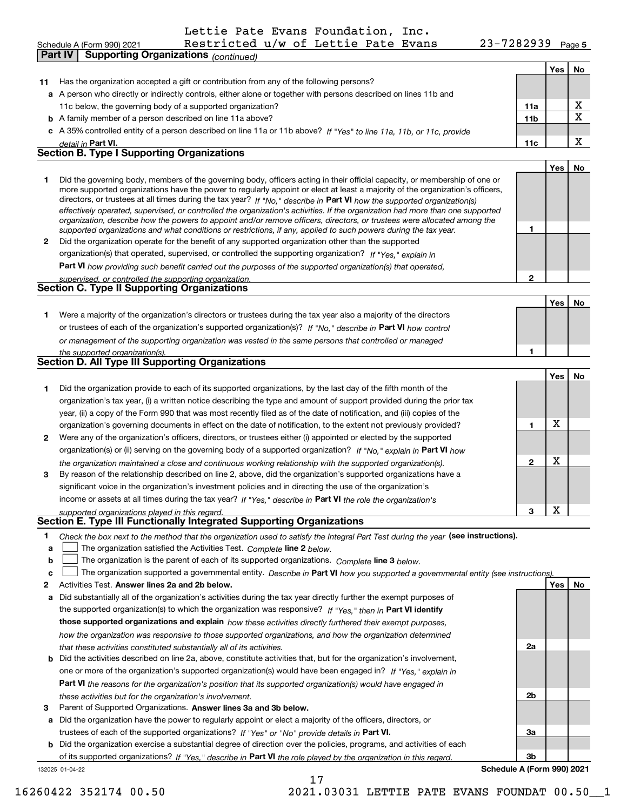**Part IV Supporting Organizations** *(continued)*

**5** Schedule A (Form 990) 2021 Restricted u/w of Lettie Pate Evans 23-7282939 Page

**Yes No**

| 11 | Has the organization accepted a gift or contribution from any of the following persons?                                                                                                                                                                                                                                                                                                                                                                                                                                                                                                                                                              |              |     |                         |
|----|------------------------------------------------------------------------------------------------------------------------------------------------------------------------------------------------------------------------------------------------------------------------------------------------------------------------------------------------------------------------------------------------------------------------------------------------------------------------------------------------------------------------------------------------------------------------------------------------------------------------------------------------------|--------------|-----|-------------------------|
|    | a A person who directly or indirectly controls, either alone or together with persons described on lines 11b and                                                                                                                                                                                                                                                                                                                                                                                                                                                                                                                                     |              |     |                         |
|    | 11c below, the governing body of a supported organization?                                                                                                                                                                                                                                                                                                                                                                                                                                                                                                                                                                                           | 11a          |     | $\mathbf{x}$            |
| b  | A family member of a person described on line 11a above?                                                                                                                                                                                                                                                                                                                                                                                                                                                                                                                                                                                             | 11b          |     | $\overline{\textbf{x}}$ |
|    | c A 35% controlled entity of a person described on line 11a or 11b above? If "Yes" to line 11a, 11b, or 11c, provide<br>detail in Part VI.                                                                                                                                                                                                                                                                                                                                                                                                                                                                                                           | 11c          |     | X                       |
|    | <b>Section B. Type I Supporting Organizations</b>                                                                                                                                                                                                                                                                                                                                                                                                                                                                                                                                                                                                    |              |     |                         |
|    |                                                                                                                                                                                                                                                                                                                                                                                                                                                                                                                                                                                                                                                      |              | Yes | No                      |
| 1  | Did the governing body, members of the governing body, officers acting in their official capacity, or membership of one or<br>more supported organizations have the power to regularly appoint or elect at least a majority of the organization's officers,<br>directors, or trustees at all times during the tax year? If "No," describe in Part VI how the supported organization(s)<br>effectively operated, supervised, or controlled the organization's activities. If the organization had more than one supported<br>organization, describe how the powers to appoint and/or remove officers, directors, or trustees were allocated among the |              |     |                         |
| 2  | supported organizations and what conditions or restrictions, if any, applied to such powers during the tax year.<br>Did the organization operate for the benefit of any supported organization other than the supported                                                                                                                                                                                                                                                                                                                                                                                                                              | 1            |     |                         |
|    | organization(s) that operated, supervised, or controlled the supporting organization? If "Yes," explain in                                                                                                                                                                                                                                                                                                                                                                                                                                                                                                                                           |              |     |                         |
|    | Part VI how providing such benefit carried out the purposes of the supported organization(s) that operated,                                                                                                                                                                                                                                                                                                                                                                                                                                                                                                                                          |              |     |                         |
|    | supervised, or controlled the supporting organization.<br>Section C. Type II Supporting Organizations                                                                                                                                                                                                                                                                                                                                                                                                                                                                                                                                                | $\mathbf{2}$ |     |                         |
|    |                                                                                                                                                                                                                                                                                                                                                                                                                                                                                                                                                                                                                                                      |              |     |                         |
|    |                                                                                                                                                                                                                                                                                                                                                                                                                                                                                                                                                                                                                                                      |              | Yes | No                      |
| 1. | Were a majority of the organization's directors or trustees during the tax year also a majority of the directors                                                                                                                                                                                                                                                                                                                                                                                                                                                                                                                                     |              |     |                         |
|    | or trustees of each of the organization's supported organization(s)? If "No." describe in Part VI how control                                                                                                                                                                                                                                                                                                                                                                                                                                                                                                                                        |              |     |                         |
|    | or management of the supporting organization was vested in the same persons that controlled or managed                                                                                                                                                                                                                                                                                                                                                                                                                                                                                                                                               | 1            |     |                         |
|    | the supported organization(s).<br><b>Section D. All Type III Supporting Organizations</b>                                                                                                                                                                                                                                                                                                                                                                                                                                                                                                                                                            |              |     |                         |
|    |                                                                                                                                                                                                                                                                                                                                                                                                                                                                                                                                                                                                                                                      |              | Yes | No                      |
| 1. | Did the organization provide to each of its supported organizations, by the last day of the fifth month of the                                                                                                                                                                                                                                                                                                                                                                                                                                                                                                                                       |              |     |                         |
|    | organization's tax year, (i) a written notice describing the type and amount of support provided during the prior tax                                                                                                                                                                                                                                                                                                                                                                                                                                                                                                                                |              |     |                         |
|    | year, (ii) a copy of the Form 990 that was most recently filed as of the date of notification, and (iii) copies of the                                                                                                                                                                                                                                                                                                                                                                                                                                                                                                                               |              |     |                         |
|    | organization's governing documents in effect on the date of notification, to the extent not previously provided?                                                                                                                                                                                                                                                                                                                                                                                                                                                                                                                                     | 1            | X   |                         |
| 2  | Were any of the organization's officers, directors, or trustees either (i) appointed or elected by the supported                                                                                                                                                                                                                                                                                                                                                                                                                                                                                                                                     |              |     |                         |
|    | organization(s) or (ii) serving on the governing body of a supported organization? If "No," explain in Part VI how                                                                                                                                                                                                                                                                                                                                                                                                                                                                                                                                   |              |     |                         |
|    | the organization maintained a close and continuous working relationship with the supported organization(s).                                                                                                                                                                                                                                                                                                                                                                                                                                                                                                                                          | $\mathbf 2$  | X   |                         |
| 3  | By reason of the relationship described on line 2, above, did the organization's supported organizations have a<br>significant voice in the organization's investment policies and in directing the use of the organization's                                                                                                                                                                                                                                                                                                                                                                                                                        |              |     |                         |
|    | income or assets at all times during the tax year? If "Yes," describe in Part VI the role the organization's                                                                                                                                                                                                                                                                                                                                                                                                                                                                                                                                         |              |     |                         |
|    | supported organizations played in this regard.                                                                                                                                                                                                                                                                                                                                                                                                                                                                                                                                                                                                       | 3            | X   |                         |
|    | Section E. Type III Functionally Integrated Supporting Organizations                                                                                                                                                                                                                                                                                                                                                                                                                                                                                                                                                                                 |              |     |                         |
| а  | 1 Check the box next to the method that the organization used to satisfy the Integral Part Test during the year (see instructions).<br>The organization satisfied the Activities Test. Complete line 2 below.                                                                                                                                                                                                                                                                                                                                                                                                                                        |              |     |                         |
| b  | The organization is the parent of each of its supported organizations. Complete line 3 below.                                                                                                                                                                                                                                                                                                                                                                                                                                                                                                                                                        |              |     |                         |
| c  | The organization supported a governmental entity. Describe in Part VI how you supported a governmental entity (see instructions).                                                                                                                                                                                                                                                                                                                                                                                                                                                                                                                    |              |     |                         |
| 2  | Activities Test. Answer lines 2a and 2b below.                                                                                                                                                                                                                                                                                                                                                                                                                                                                                                                                                                                                       |              | Yes | No                      |
| a  | Did substantially all of the organization's activities during the tax year directly further the exempt purposes of                                                                                                                                                                                                                                                                                                                                                                                                                                                                                                                                   |              |     |                         |
|    | the supported organization(s) to which the organization was responsive? If "Yes," then in Part VI identify                                                                                                                                                                                                                                                                                                                                                                                                                                                                                                                                           |              |     |                         |
|    | those supported organizations and explain how these activities directly furthered their exempt purposes,                                                                                                                                                                                                                                                                                                                                                                                                                                                                                                                                             |              |     |                         |
|    | how the organization was responsive to those supported organizations, and how the organization determined                                                                                                                                                                                                                                                                                                                                                                                                                                                                                                                                            |              |     |                         |
|    | that these activities constituted substantially all of its activities.                                                                                                                                                                                                                                                                                                                                                                                                                                                                                                                                                                               | 2a           |     |                         |
| b  | Did the activities described on line 2a, above, constitute activities that, but for the organization's involvement,                                                                                                                                                                                                                                                                                                                                                                                                                                                                                                                                  |              |     |                         |
|    | one or more of the organization's supported organization(s) would have been engaged in? If "Yes," explain in                                                                                                                                                                                                                                                                                                                                                                                                                                                                                                                                         |              |     |                         |
|    | Part VI the reasons for the organization's position that its supported organization(s) would have engaged in                                                                                                                                                                                                                                                                                                                                                                                                                                                                                                                                         | 2b           |     |                         |
|    | these activities but for the organization's involvement.<br>Parent of Supported Organizations. Answer lines 3a and 3b below.                                                                                                                                                                                                                                                                                                                                                                                                                                                                                                                         |              |     |                         |
|    |                                                                                                                                                                                                                                                                                                                                                                                                                                                                                                                                                                                                                                                      |              |     |                         |
| 3  |                                                                                                                                                                                                                                                                                                                                                                                                                                                                                                                                                                                                                                                      |              |     |                         |
| a  | Did the organization have the power to regularly appoint or elect a majority of the officers, directors, or                                                                                                                                                                                                                                                                                                                                                                                                                                                                                                                                          |              |     |                         |
|    | trustees of each of the supported organizations? If "Yes" or "No" provide details in Part VI.                                                                                                                                                                                                                                                                                                                                                                                                                                                                                                                                                        | За           |     |                         |
|    | <b>b</b> Did the organization exercise a substantial degree of direction over the policies, programs, and activities of each<br>of its supported organizations? If "Yes," describe in Part VI the role played by the organization in this regard.                                                                                                                                                                                                                                                                                                                                                                                                    | 3b           |     |                         |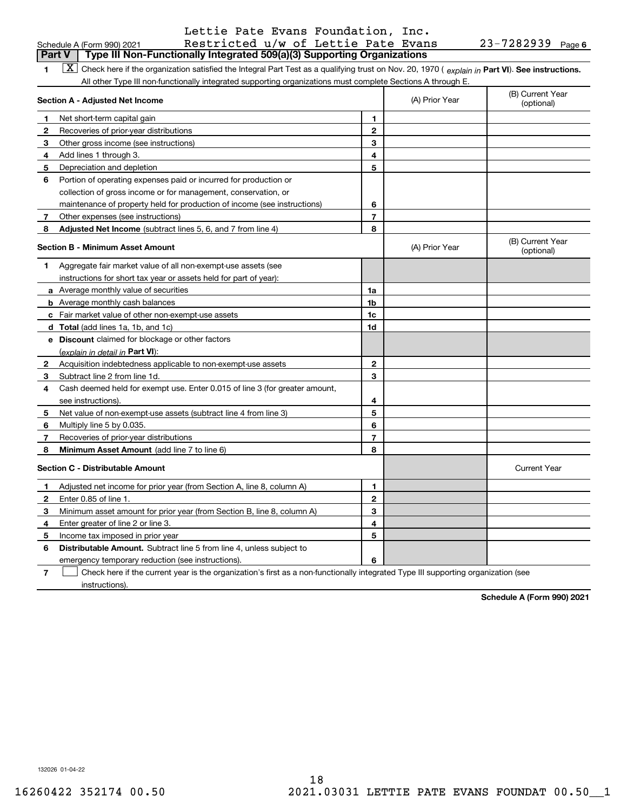| Schedule A (Form 990) 202 <sup>.</sup> |  |  |
|----------------------------------------|--|--|

## Schedule A (Form 990) 2021 Restricted u/w of Lettie Pate Evans 23-7282939 Page Lettie Pate Evans Foundation, Inc.

#### **1**1 **X** Check here if the organization satisfied the Integral Part Test as a qualifying trust on Nov. 20, 1970 (explain in Part VI). See instructions. All other Type III non-functionally integrated supporting organizations must complete Sections A through E. **Part V Type III Non-Functionally Integrated 509(a)(3) Supporting Organizations**

|              | Section A - Adjusted Net Income                                                                                                   |                | (A) Prior Year | (B) Current Year<br>(optional) |
|--------------|-----------------------------------------------------------------------------------------------------------------------------------|----------------|----------------|--------------------------------|
| 1            | Net short-term capital gain                                                                                                       | 1              |                |                                |
| 2            | Recoveries of prior-year distributions                                                                                            | $\mathbf{2}$   |                |                                |
| 3            | Other gross income (see instructions)                                                                                             | 3              |                |                                |
| 4            | Add lines 1 through 3.                                                                                                            | 4              |                |                                |
| 5            | Depreciation and depletion                                                                                                        | 5              |                |                                |
| 6            | Portion of operating expenses paid or incurred for production or                                                                  |                |                |                                |
|              | collection of gross income or for management, conservation, or                                                                    |                |                |                                |
|              | maintenance of property held for production of income (see instructions)                                                          | 6              |                |                                |
| 7            | Other expenses (see instructions)                                                                                                 | $\overline{7}$ |                |                                |
| 8            | Adjusted Net Income (subtract lines 5, 6, and 7 from line 4)                                                                      | 8              |                |                                |
|              | <b>Section B - Minimum Asset Amount</b>                                                                                           |                | (A) Prior Year | (B) Current Year<br>(optional) |
| 1            | Aggregate fair market value of all non-exempt-use assets (see                                                                     |                |                |                                |
|              | instructions for short tax year or assets held for part of year):                                                                 |                |                |                                |
|              | <b>a</b> Average monthly value of securities                                                                                      | 1a             |                |                                |
|              | <b>b</b> Average monthly cash balances                                                                                            | 1 <sub>b</sub> |                |                                |
|              | <b>c</b> Fair market value of other non-exempt-use assets                                                                         | 1c             |                |                                |
|              | <b>d</b> Total (add lines 1a, 1b, and 1c)                                                                                         | 1d             |                |                                |
|              | e Discount claimed for blockage or other factors                                                                                  |                |                |                                |
|              | (explain in detail in <b>Part VI</b> ):                                                                                           |                |                |                                |
| 2            | Acquisition indebtedness applicable to non-exempt-use assets                                                                      | $\mathbf{2}$   |                |                                |
| 3            | Subtract line 2 from line 1d.                                                                                                     | 3              |                |                                |
| 4            | Cash deemed held for exempt use. Enter 0.015 of line 3 (for greater amount,                                                       |                |                |                                |
|              | see instructions).                                                                                                                | 4              |                |                                |
| 5            | Net value of non-exempt-use assets (subtract line 4 from line 3)                                                                  | 5              |                |                                |
| 6            | Multiply line 5 by 0.035.                                                                                                         | 6              |                |                                |
| 7            | Recoveries of prior-year distributions                                                                                            | 7              |                |                                |
| 8            | Minimum Asset Amount (add line 7 to line 6)                                                                                       | 8              |                |                                |
|              | <b>Section C - Distributable Amount</b>                                                                                           |                |                | <b>Current Year</b>            |
| 1            | Adjusted net income for prior year (from Section A, line 8, column A)                                                             | 1              |                |                                |
| $\mathbf{2}$ | Enter 0.85 of line 1.                                                                                                             | $\overline{2}$ |                |                                |
| 3            | Minimum asset amount for prior year (from Section B, line 8, column A)                                                            | 3              |                |                                |
| 4            | Enter greater of line 2 or line 3.                                                                                                | 4              |                |                                |
| 5            | Income tax imposed in prior year                                                                                                  | 5              |                |                                |
| 6            | <b>Distributable Amount.</b> Subtract line 5 from line 4, unless subject to                                                       |                |                |                                |
|              | emergency temporary reduction (see instructions).                                                                                 | 6              |                |                                |
| 7            | Check here if the current year is the organization's first as a non-functionally integrated Type III supporting organization (see |                |                |                                |

instructions).

**Schedule A (Form 990) 2021**

132026 01-04-22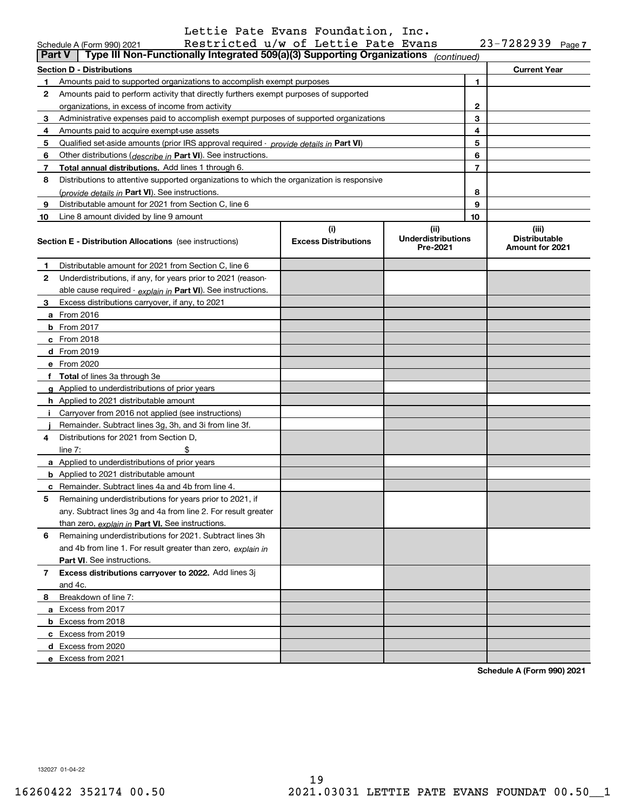|               | 23-7282939<br>Restricted u/w of Lettie Pate Evans<br>Schedule A (Form 990) 2021<br>Page 7                                                             |  |                     |              |                                                  |  |  |
|---------------|-------------------------------------------------------------------------------------------------------------------------------------------------------|--|---------------------|--------------|--------------------------------------------------|--|--|
| <b>Part V</b> | Type III Non-Functionally Integrated 509(a)(3) Supporting Organizations                                                                               |  | (continued)         |              |                                                  |  |  |
|               | <b>Section D - Distributions</b>                                                                                                                      |  | <b>Current Year</b> |              |                                                  |  |  |
| 1             | Amounts paid to supported organizations to accomplish exempt purposes                                                                                 |  |                     | 1            |                                                  |  |  |
| 2             | Amounts paid to perform activity that directly furthers exempt purposes of supported                                                                  |  |                     |              |                                                  |  |  |
|               | organizations, in excess of income from activity                                                                                                      |  |                     | $\mathbf{2}$ |                                                  |  |  |
| 3             | Administrative expenses paid to accomplish exempt purposes of supported organizations                                                                 |  |                     | 3            |                                                  |  |  |
| 4             | Amounts paid to acquire exempt-use assets                                                                                                             |  |                     | 4            |                                                  |  |  |
| 5             | Qualified set-aside amounts (prior IRS approval required - provide details in Part VI)                                                                |  |                     | 5            |                                                  |  |  |
| 6             | Other distributions ( <i>describe in</i> Part VI). See instructions.                                                                                  |  |                     | 6            |                                                  |  |  |
| 7             | Total annual distributions. Add lines 1 through 6.                                                                                                    |  |                     | 7            |                                                  |  |  |
| 8             | Distributions to attentive supported organizations to which the organization is responsive                                                            |  |                     |              |                                                  |  |  |
|               | (provide details in Part VI). See instructions.                                                                                                       |  |                     | 8            |                                                  |  |  |
| 9             | Distributable amount for 2021 from Section C, line 6                                                                                                  |  |                     | 9            |                                                  |  |  |
| 10            | Line 8 amount divided by line 9 amount                                                                                                                |  |                     | 10           |                                                  |  |  |
|               | (i)<br>(ii)<br><b>Underdistributions</b><br><b>Excess Distributions</b><br><b>Section E - Distribution Allocations</b> (see instructions)<br>Pre-2021 |  |                     |              | (iii)<br><b>Distributable</b><br>Amount for 2021 |  |  |
| 1             | Distributable amount for 2021 from Section C, line 6                                                                                                  |  |                     |              |                                                  |  |  |
| 2             | Underdistributions, if any, for years prior to 2021 (reason-                                                                                          |  |                     |              |                                                  |  |  |
|               | able cause required - explain in Part VI). See instructions.                                                                                          |  |                     |              |                                                  |  |  |
| 3             | Excess distributions carryover, if any, to 2021                                                                                                       |  |                     |              |                                                  |  |  |
|               | a From 2016                                                                                                                                           |  |                     |              |                                                  |  |  |
|               | <b>b</b> From 2017                                                                                                                                    |  |                     |              |                                                  |  |  |
|               | $c$ From 2018                                                                                                                                         |  |                     |              |                                                  |  |  |
|               | d From 2019                                                                                                                                           |  |                     |              |                                                  |  |  |
|               | e From 2020                                                                                                                                           |  |                     |              |                                                  |  |  |
|               | f Total of lines 3a through 3e                                                                                                                        |  |                     |              |                                                  |  |  |
|               | g Applied to underdistributions of prior years                                                                                                        |  |                     |              |                                                  |  |  |
|               | <b>h</b> Applied to 2021 distributable amount                                                                                                         |  |                     |              |                                                  |  |  |
|               | Carryover from 2016 not applied (see instructions)                                                                                                    |  |                     |              |                                                  |  |  |
|               | Remainder. Subtract lines 3g, 3h, and 3i from line 3f.                                                                                                |  |                     |              |                                                  |  |  |
| 4             | Distributions for 2021 from Section D.                                                                                                                |  |                     |              |                                                  |  |  |
|               | line $7:$                                                                                                                                             |  |                     |              |                                                  |  |  |
|               | a Applied to underdistributions of prior years                                                                                                        |  |                     |              |                                                  |  |  |
|               | <b>b</b> Applied to 2021 distributable amount                                                                                                         |  |                     |              |                                                  |  |  |
|               | c Remainder. Subtract lines 4a and 4b from line 4.                                                                                                    |  |                     |              |                                                  |  |  |
|               | Remaining underdistributions for years prior to 2021, if                                                                                              |  |                     |              |                                                  |  |  |
|               | any. Subtract lines 3q and 4a from line 2. For result greater                                                                                         |  |                     |              |                                                  |  |  |
|               | than zero, explain in Part VI. See instructions.                                                                                                      |  |                     |              |                                                  |  |  |
| 6             | Remaining underdistributions for 2021. Subtract lines 3h                                                                                              |  |                     |              |                                                  |  |  |
|               | and 4b from line 1. For result greater than zero, explain in                                                                                          |  |                     |              |                                                  |  |  |
|               | Part VI. See instructions.                                                                                                                            |  |                     |              |                                                  |  |  |
| 7             | Excess distributions carryover to 2022. Add lines 3j                                                                                                  |  |                     |              |                                                  |  |  |
|               | and 4c.                                                                                                                                               |  |                     |              |                                                  |  |  |
| 8             | Breakdown of line 7:                                                                                                                                  |  |                     |              |                                                  |  |  |
|               | a Excess from 2017                                                                                                                                    |  |                     |              |                                                  |  |  |
|               | <b>b</b> Excess from 2018                                                                                                                             |  |                     |              |                                                  |  |  |
|               | c Excess from 2019                                                                                                                                    |  |                     |              |                                                  |  |  |
|               | d Excess from 2020                                                                                                                                    |  |                     |              |                                                  |  |  |
|               | e Excess from 2021                                                                                                                                    |  |                     |              |                                                  |  |  |

**Schedule A (Form 990) 2021**

132027 01-04-22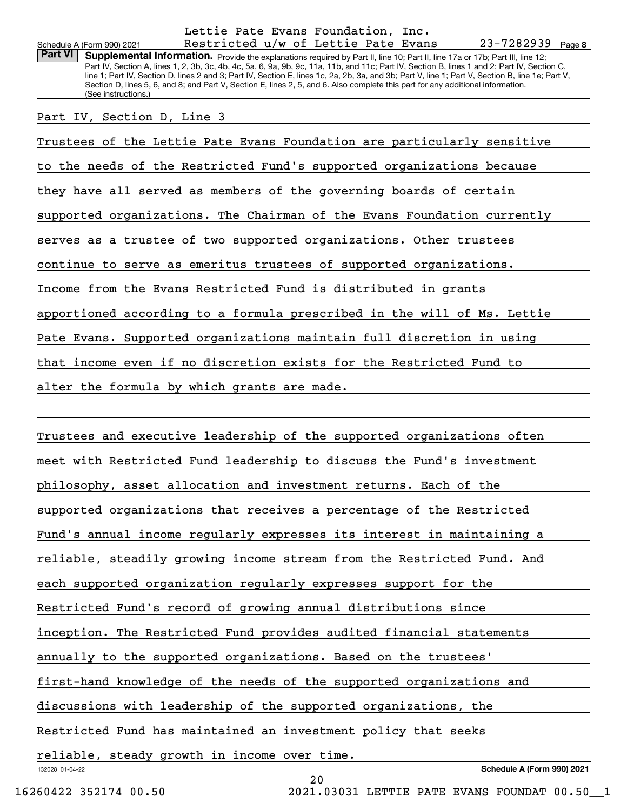**8**23-7282939 Schedule A (Form 990) 2021 Restricted u/w of Lettie Pate Evans 23-7282939 <sub>Page</sub> Part VI | Supplemental Information. Provide the explanations required by Part II, line 10; Part II, line 17a or 17b; Part III, line 12; Part IV, Section A, lines 1, 2, 3b, 3c, 4b, 4c, 5a, 6, 9a, 9b, 9c, 11a, 11b, and 11c; Part IV, Section B, lines 1 and 2; Part IV, Section C, line 1; Part IV, Section D, lines 2 and 3; Part IV, Section E, lines 1c, 2a, 2b, 3a, and 3b; Part V, line 1; Part V, Section B, line 1e; Part V, Section D, lines 5, 6, and 8; and Part V, Section E, lines 2, 5, and 6. Also complete this part for any additional information. (See instructions.) Trustees of the Lettie Pate Evans Foundation are particularly sensitive to the needs of the Restricted Fund's supported organizations because they have all served as members of the governing boards of certain supported organizations. The Chairman of the Evans Foundation currently serves as a trustee of two supported organizations. Other trustees continue to serve as emeritus trustees of supported organizations. Income from the Evans Restricted Fund is distributed in grants apportioned according to a formula prescribed in the will of Ms. Lettie Pate Evans. Supported organizations maintain full discretion in using that income even if no discretion exists for the Restricted Fund to alter the formula by which grants are made. Part IV, Section D, Line 3 Lettie Pate Evans Foundation, Inc.

132028 01-04-22 **Schedule A (Form 990) 2021** Trustees and executive leadership of the supported organizations often meet with Restricted Fund leadership to discuss the Fund's investment philosophy, asset allocation and investment returns. Each of the supported organizations that receives a percentage of the Restricted Fund's annual income regularly expresses its interest in maintaining a reliable, steadily growing income stream from the Restricted Fund. And each supported organization regularly expresses support for the Restricted Fund's record of growing annual distributions since inception. The Restricted Fund provides audited financial statements annually to the supported organizations. Based on the trustees' first-hand knowledge of the needs of the supported organizations and discussions with leadership of the supported organizations, the Restricted Fund has maintained an investment policy that seeks reliable, steady growth in income over time.

20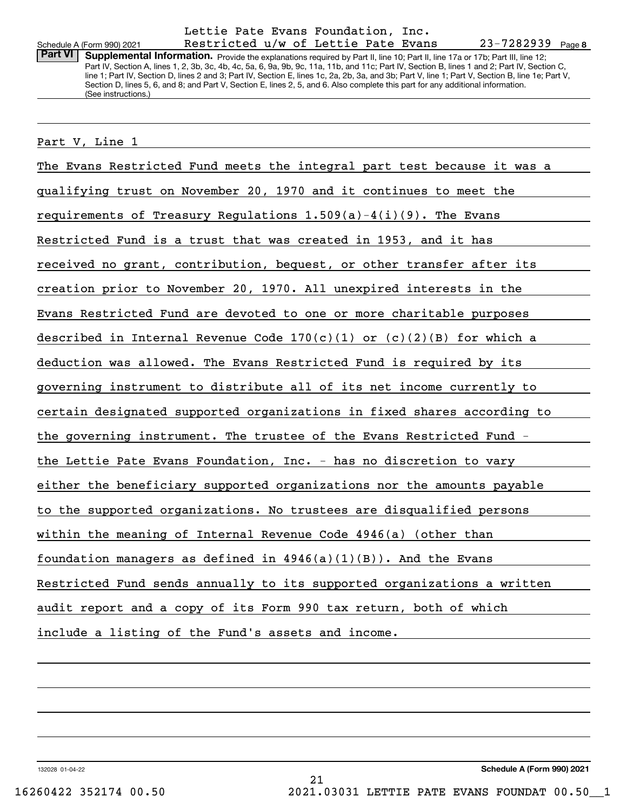## Schedule A (Form 990) 2021 Restricted u/w of Lettie Pate Evans 23-7282939 Page Lettie Pate Evans Foundation, Inc.

Part VI | Supplemental Information. Provide the explanations required by Part II, line 10; Part II, line 17a or 17b; Part III, line 12; Part IV, Section A, lines 1, 2, 3b, 3c, 4b, 4c, 5a, 6, 9a, 9b, 9c, 11a, 11b, and 11c; Part IV, Section B, lines 1 and 2; Part IV, Section C, line 1; Part IV, Section D, lines 2 and 3; Part IV, Section E, lines 1c, 2a, 2b, 3a, and 3b; Part V, line 1; Part V, Section B, line 1e; Part V, Section D, lines 5, 6, and 8; and Part V, Section E, lines 2, 5, and 6. Also complete this part for any additional information. (See instructions.)

#### Part V, Line 1

The Evans Restricted Fund meets the integral part test because it was a qualifying trust on November 20, 1970 and it continues to meet the requirements of Treasury Regulations  $1.509(a)-4(i)(9)$ . The Evans Restricted Fund is a trust that was created in 1953, and it has received no grant, contribution, bequest, or other transfer after its creation prior to November 20, 1970. All unexpired interests in the Evans Restricted Fund are devoted to one or more charitable purposes described in Internal Revenue Code  $170(c)(1)$  or  $(c)(2)(B)$  for which a deduction was allowed. The Evans Restricted Fund is required by its governing instrument to distribute all of its net income currently to certain designated supported organizations in fixed shares according to the governing instrument. The trustee of the Evans Restricted Fund the Lettie Pate Evans Foundation, Inc. - has no discretion to vary either the beneficiary supported organizations nor the amounts payable to the supported organizations. No trustees are disqualified persons within the meaning of Internal Revenue Code 4946(a) (other than foundation managers as defined in  $4946(a)(1)(B)$ . And the Evans Restricted Fund sends annually to its supported organizations a written audit report and a copy of its Form 990 tax return, both of which include a listing of the Fund's assets and income.

132028 01-04-22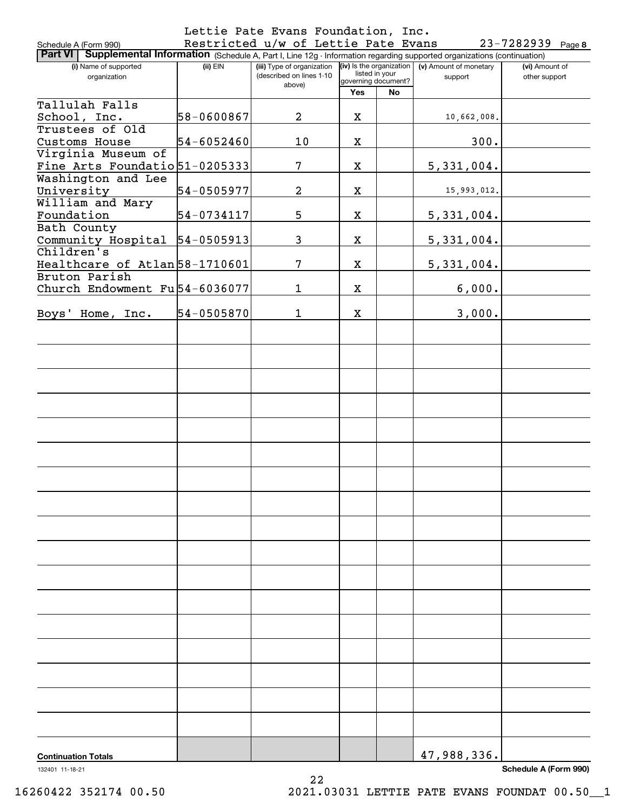|                                                                                                                                 |                | Lettie Pate Evans Foundation, Inc.  |                     |                |                                                     |                       |
|---------------------------------------------------------------------------------------------------------------------------------|----------------|-------------------------------------|---------------------|----------------|-----------------------------------------------------|-----------------------|
| Schedule A (Form 990)                                                                                                           |                | Restricted u/w of Lettie Pate Evans |                     |                |                                                     | $23 - 7282939$ Page 8 |
| Part VI   Supplemental Information (Schedule A, Part I, Line 12g - Information regarding supported organizations (continuation) |                |                                     |                     |                |                                                     |                       |
| (i) Name of supported                                                                                                           | $(ii)$ EIN     | (iii) Type of organization          |                     | listed in your | $(iv)$ is the organization $(v)$ Amount of monetary | (vi) Amount of        |
| organization                                                                                                                    |                | (described on lines 1-10<br>above)  | governing document? |                | support                                             | other support         |
|                                                                                                                                 |                |                                     | Yes                 | No             |                                                     |                       |
| Tallulah Falls                                                                                                                  |                |                                     |                     |                |                                                     |                       |
| School, Inc.                                                                                                                    | 58-0600867     | $\overline{a}$                      | X                   |                | 10,662,008.                                         |                       |
| Trustees of Old                                                                                                                 |                |                                     |                     |                |                                                     |                       |
| Customs House                                                                                                                   | 54-6052460     | 10                                  | X                   |                | 300.                                                |                       |
| Virginia Museum of                                                                                                              |                |                                     |                     |                |                                                     |                       |
| Fine Arts Foundatio 51-0205333                                                                                                  |                | 7                                   | X                   |                | 5,331,004.                                          |                       |
| Washington and Lee                                                                                                              |                |                                     |                     |                |                                                     |                       |
| University                                                                                                                      | 54-0505977     | $\overline{a}$                      | X                   |                | 15,993,012.                                         |                       |
| William and Mary                                                                                                                |                |                                     |                     |                |                                                     |                       |
| Foundation                                                                                                                      | 54-0734117     | 5                                   | X                   |                | 5,331,004.                                          |                       |
| Bath County                                                                                                                     |                | 3                                   |                     |                |                                                     |                       |
| Community Hospital<br>Children's                                                                                                | 54-0505913     |                                     | X                   |                | 5,331,004.                                          |                       |
| Healthcare of Atlan 58-1710601                                                                                                  |                | 7                                   | X                   |                |                                                     |                       |
| Bruton Parish                                                                                                                   |                |                                     |                     |                | 5,331,004.                                          |                       |
| Church Endowment Fu 54-6036077                                                                                                  |                | 1                                   | X                   |                | 6,000.                                              |                       |
|                                                                                                                                 |                |                                     |                     |                |                                                     |                       |
| Boys' Home, Inc.                                                                                                                | $54 - 0505870$ | 1                                   | X                   |                | 3,000.                                              |                       |
|                                                                                                                                 |                |                                     |                     |                |                                                     |                       |
|                                                                                                                                 |                |                                     |                     |                |                                                     |                       |
|                                                                                                                                 |                |                                     |                     |                |                                                     |                       |
|                                                                                                                                 |                |                                     |                     |                |                                                     |                       |
|                                                                                                                                 |                |                                     |                     |                |                                                     |                       |
|                                                                                                                                 |                |                                     |                     |                |                                                     |                       |
|                                                                                                                                 |                |                                     |                     |                |                                                     |                       |
|                                                                                                                                 |                |                                     |                     |                |                                                     |                       |
|                                                                                                                                 |                |                                     |                     |                |                                                     |                       |
|                                                                                                                                 |                |                                     |                     |                |                                                     |                       |
|                                                                                                                                 |                |                                     |                     |                |                                                     |                       |
|                                                                                                                                 |                |                                     |                     |                |                                                     |                       |
|                                                                                                                                 |                |                                     |                     |                |                                                     |                       |
|                                                                                                                                 |                |                                     |                     |                |                                                     |                       |
|                                                                                                                                 |                |                                     |                     |                |                                                     |                       |
|                                                                                                                                 |                |                                     |                     |                |                                                     |                       |
|                                                                                                                                 |                |                                     |                     |                |                                                     |                       |
|                                                                                                                                 |                |                                     |                     |                |                                                     |                       |
|                                                                                                                                 |                |                                     |                     |                |                                                     |                       |
|                                                                                                                                 |                |                                     |                     |                |                                                     |                       |
|                                                                                                                                 |                |                                     |                     |                |                                                     |                       |
|                                                                                                                                 |                |                                     |                     |                |                                                     |                       |
|                                                                                                                                 |                |                                     |                     |                |                                                     |                       |
|                                                                                                                                 |                |                                     |                     |                |                                                     |                       |
|                                                                                                                                 |                |                                     |                     |                |                                                     |                       |
|                                                                                                                                 |                |                                     |                     |                |                                                     |                       |
|                                                                                                                                 |                |                                     |                     |                |                                                     |                       |
|                                                                                                                                 |                |                                     |                     |                |                                                     |                       |
|                                                                                                                                 |                |                                     |                     |                |                                                     |                       |
|                                                                                                                                 |                |                                     |                     |                |                                                     |                       |
|                                                                                                                                 |                |                                     |                     |                |                                                     |                       |
|                                                                                                                                 |                |                                     |                     |                |                                                     |                       |
|                                                                                                                                 |                |                                     |                     |                |                                                     |                       |
|                                                                                                                                 |                |                                     |                     |                |                                                     |                       |
| <b>Continuation Totals</b>                                                                                                      |                |                                     |                     |                | 47,988,336.                                         |                       |

22

132401 11-18-21

**Schedule A (Form 990)**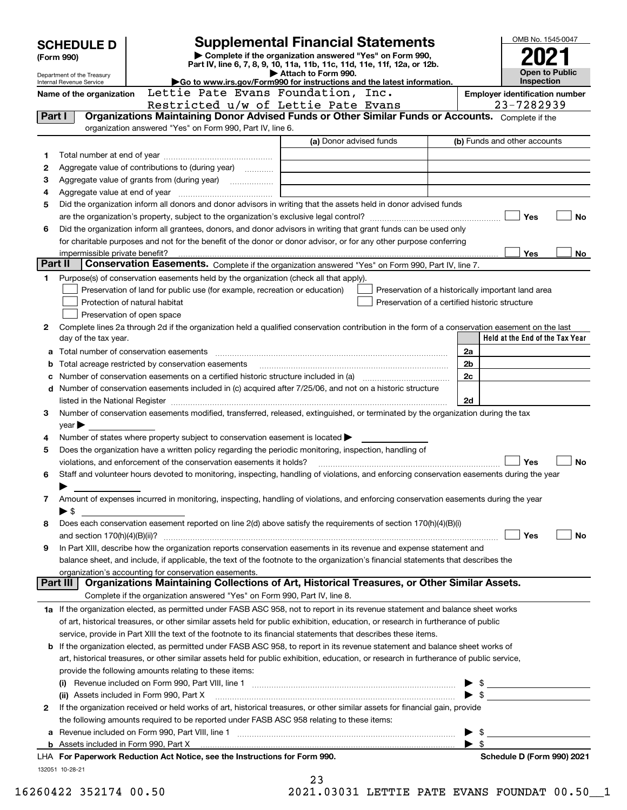|         | <b>SCHEDULE D</b>                                                                                                                      | <b>Supplemental Financial Statements</b>                                                                                                                                                   |                         |                                                    |                |                                       | OMB No. 1545-0047                                                                                                    |           |
|---------|----------------------------------------------------------------------------------------------------------------------------------------|--------------------------------------------------------------------------------------------------------------------------------------------------------------------------------------------|-------------------------|----------------------------------------------------|----------------|---------------------------------------|----------------------------------------------------------------------------------------------------------------------|-----------|
|         | (Form 990)                                                                                                                             | Complete if the organization answered "Yes" on Form 990,<br>Part IV, line 6, 7, 8, 9, 10, 11a, 11b, 11c, 11d, 11e, 11f, 12a, or 12b.                                                       |                         |                                                    |                |                                       |                                                                                                                      |           |
|         | Department of the Treasury                                                                                                             |                                                                                                                                                                                            | Attach to Form 990.     |                                                    |                |                                       | <b>Open to Public</b>                                                                                                |           |
|         | Internal Revenue Service<br>Name of the organization                                                                                   | Go to www.irs.gov/Form990 for instructions and the latest information.<br>Lettie Pate Evans Foundation, Inc.                                                                               |                         |                                                    |                | <b>Employer identification number</b> | Inspection                                                                                                           |           |
|         |                                                                                                                                        | Restricted u/w of Lettie Pate Evans                                                                                                                                                        |                         |                                                    |                |                                       | 23-7282939                                                                                                           |           |
| Part I  |                                                                                                                                        | Organizations Maintaining Donor Advised Funds or Other Similar Funds or Accounts. Complete if the                                                                                          |                         |                                                    |                |                                       |                                                                                                                      |           |
|         |                                                                                                                                        | organization answered "Yes" on Form 990, Part IV, line 6.                                                                                                                                  |                         |                                                    |                |                                       |                                                                                                                      |           |
|         |                                                                                                                                        |                                                                                                                                                                                            | (a) Donor advised funds |                                                    |                | (b) Funds and other accounts          |                                                                                                                      |           |
| 1       |                                                                                                                                        |                                                                                                                                                                                            |                         |                                                    |                |                                       |                                                                                                                      |           |
| 2       |                                                                                                                                        | Aggregate value of contributions to (during year)                                                                                                                                          |                         |                                                    |                |                                       |                                                                                                                      |           |
| 3       |                                                                                                                                        |                                                                                                                                                                                            |                         |                                                    |                |                                       |                                                                                                                      |           |
| 4       |                                                                                                                                        |                                                                                                                                                                                            |                         |                                                    |                |                                       |                                                                                                                      |           |
| 5       |                                                                                                                                        | Did the organization inform all donors and donor advisors in writing that the assets held in donor advised funds                                                                           |                         |                                                    |                |                                       |                                                                                                                      |           |
| 6       |                                                                                                                                        | Did the organization inform all grantees, donors, and donor advisors in writing that grant funds can be used only                                                                          |                         |                                                    |                |                                       | Yes                                                                                                                  | <b>No</b> |
|         |                                                                                                                                        | for charitable purposes and not for the benefit of the donor or donor advisor, or for any other purpose conferring                                                                         |                         |                                                    |                |                                       |                                                                                                                      |           |
|         |                                                                                                                                        |                                                                                                                                                                                            |                         |                                                    |                |                                       | Yes                                                                                                                  | No        |
| Part II |                                                                                                                                        | Conservation Easements. Complete if the organization answered "Yes" on Form 990, Part IV, line 7.                                                                                          |                         |                                                    |                |                                       |                                                                                                                      |           |
| 1       |                                                                                                                                        | Purpose(s) of conservation easements held by the organization (check all that apply).                                                                                                      |                         |                                                    |                |                                       |                                                                                                                      |           |
|         |                                                                                                                                        | Preservation of land for public use (for example, recreation or education)                                                                                                                 |                         | Preservation of a historically important land area |                |                                       |                                                                                                                      |           |
|         |                                                                                                                                        | Protection of natural habitat                                                                                                                                                              |                         | Preservation of a certified historic structure     |                |                                       |                                                                                                                      |           |
|         |                                                                                                                                        | Preservation of open space                                                                                                                                                                 |                         |                                                    |                |                                       |                                                                                                                      |           |
| 2       |                                                                                                                                        | Complete lines 2a through 2d if the organization held a qualified conservation contribution in the form of a conservation easement on the last                                             |                         |                                                    |                |                                       |                                                                                                                      |           |
|         | day of the tax year.                                                                                                                   |                                                                                                                                                                                            |                         |                                                    |                |                                       | Held at the End of the Tax Year                                                                                      |           |
| а       |                                                                                                                                        |                                                                                                                                                                                            |                         |                                                    | 2a             |                                       |                                                                                                                      |           |
| b       |                                                                                                                                        | Total acreage restricted by conservation easements                                                                                                                                         |                         |                                                    | 2 <sub>b</sub> |                                       |                                                                                                                      |           |
| c       | 2c                                                                                                                                     |                                                                                                                                                                                            |                         |                                                    |                |                                       |                                                                                                                      |           |
|         | Number of conservation easements included in (c) acquired after 7/25/06, and not on a historic structure<br>d                          |                                                                                                                                                                                            |                         |                                                    |                |                                       |                                                                                                                      |           |
| 3       | 2d<br>Number of conservation easements modified, transferred, released, extinguished, or terminated by the organization during the tax |                                                                                                                                                                                            |                         |                                                    |                |                                       |                                                                                                                      |           |
|         | $year \blacktriangleright$                                                                                                             |                                                                                                                                                                                            |                         |                                                    |                |                                       |                                                                                                                      |           |
| 4       |                                                                                                                                        | Number of states where property subject to conservation easement is located $\blacktriangleright$                                                                                          |                         |                                                    |                |                                       |                                                                                                                      |           |
| 5       |                                                                                                                                        | Does the organization have a written policy regarding the periodic monitoring, inspection, handling of                                                                                     |                         |                                                    |                |                                       |                                                                                                                      |           |
|         |                                                                                                                                        | violations, and enforcement of the conservation easements it holds?                                                                                                                        |                         |                                                    |                |                                       | Yes                                                                                                                  | <b>No</b> |
| 6       |                                                                                                                                        | Staff and volunteer hours devoted to monitoring, inspecting, handling of violations, and enforcing conservation easements during the year                                                  |                         |                                                    |                |                                       |                                                                                                                      |           |
|         |                                                                                                                                        |                                                                                                                                                                                            |                         |                                                    |                |                                       |                                                                                                                      |           |
| 7       |                                                                                                                                        | Amount of expenses incurred in monitoring, inspecting, handling of violations, and enforcing conservation easements during the year                                                        |                         |                                                    |                |                                       |                                                                                                                      |           |
|         | $\blacktriangleright$ \$                                                                                                               |                                                                                                                                                                                            |                         |                                                    |                |                                       |                                                                                                                      |           |
| 8       |                                                                                                                                        | Does each conservation easement reported on line 2(d) above satisfy the requirements of section 170(h)(4)(B)(i)                                                                            |                         |                                                    |                |                                       |                                                                                                                      |           |
|         |                                                                                                                                        |                                                                                                                                                                                            |                         |                                                    |                |                                       | Yes                                                                                                                  | No        |
| 9       |                                                                                                                                        | In Part XIII, describe how the organization reports conservation easements in its revenue and expense statement and                                                                        |                         |                                                    |                |                                       |                                                                                                                      |           |
|         |                                                                                                                                        | balance sheet, and include, if applicable, the text of the footnote to the organization's financial statements that describes the<br>organization's accounting for conservation easements. |                         |                                                    |                |                                       |                                                                                                                      |           |
|         | Part III                                                                                                                               | Organizations Maintaining Collections of Art, Historical Treasures, or Other Similar Assets.                                                                                               |                         |                                                    |                |                                       |                                                                                                                      |           |
|         |                                                                                                                                        | Complete if the organization answered "Yes" on Form 990, Part IV, line 8.                                                                                                                  |                         |                                                    |                |                                       |                                                                                                                      |           |
|         |                                                                                                                                        | 1a If the organization elected, as permitted under FASB ASC 958, not to report in its revenue statement and balance sheet works                                                            |                         |                                                    |                |                                       |                                                                                                                      |           |
|         |                                                                                                                                        | of art, historical treasures, or other similar assets held for public exhibition, education, or research in furtherance of public                                                          |                         |                                                    |                |                                       |                                                                                                                      |           |
|         |                                                                                                                                        | service, provide in Part XIII the text of the footnote to its financial statements that describes these items.                                                                             |                         |                                                    |                |                                       |                                                                                                                      |           |
| b       |                                                                                                                                        | If the organization elected, as permitted under FASB ASC 958, to report in its revenue statement and balance sheet works of                                                                |                         |                                                    |                |                                       |                                                                                                                      |           |
|         |                                                                                                                                        | art, historical treasures, or other similar assets held for public exhibition, education, or research in furtherance of public service,                                                    |                         |                                                    |                |                                       |                                                                                                                      |           |
|         |                                                                                                                                        | provide the following amounts relating to these items:                                                                                                                                     |                         |                                                    |                |                                       |                                                                                                                      |           |
|         |                                                                                                                                        |                                                                                                                                                                                            |                         |                                                    |                | $\blacktriangleright$ \$              |                                                                                                                      |           |
|         |                                                                                                                                        | (ii) Assets included in Form 990, Part X                                                                                                                                                   |                         |                                                    |                | $\blacktriangleright$ \$              | <u> 1989 - Jan Barbara Barbara, prima prima prima prima prima prima prima prima prima prima prima prima prima pr</u> |           |
| 2       |                                                                                                                                        | If the organization received or held works of art, historical treasures, or other similar assets for financial gain, provide                                                               |                         |                                                    |                |                                       |                                                                                                                      |           |
|         |                                                                                                                                        | the following amounts required to be reported under FASB ASC 958 relating to these items:                                                                                                  |                         |                                                    |                |                                       |                                                                                                                      |           |
| а       |                                                                                                                                        |                                                                                                                                                                                            |                         |                                                    |                | - \$                                  |                                                                                                                      |           |
|         |                                                                                                                                        |                                                                                                                                                                                            |                         |                                                    |                | $\blacktriangleright$ s               |                                                                                                                      |           |
|         |                                                                                                                                        | LHA For Paperwork Reduction Act Notice, see the Instructions for Form 990.                                                                                                                 |                         |                                                    |                |                                       | Schedule D (Form 990) 2021                                                                                           |           |
|         | 132051 10-28-21                                                                                                                        |                                                                                                                                                                                            | 23                      |                                                    |                |                                       |                                                                                                                      |           |

| 16260422 352174 00.5 |  |  |  |
|----------------------|--|--|--|
|----------------------|--|--|--|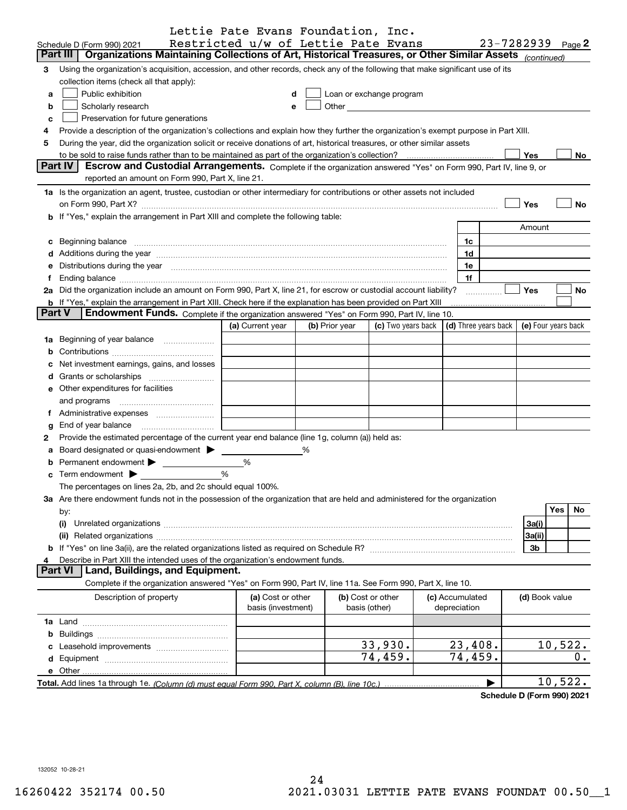|               |                                                                                                                                                                                                                                | Lettie Pate Evans Foundation, Inc.      |   |                |                          |                                 |            |                |                     |
|---------------|--------------------------------------------------------------------------------------------------------------------------------------------------------------------------------------------------------------------------------|-----------------------------------------|---|----------------|--------------------------|---------------------------------|------------|----------------|---------------------|
|               | Schedule D (Form 990) 2021                                                                                                                                                                                                     | Restricted u/w of Lettie Pate Evans     |   |                |                          |                                 | 23-7282939 |                | Page 2              |
|               | Part III<br>Organizations Maintaining Collections of Art, Historical Treasures, or Other Similar Assets (continued)                                                                                                            |                                         |   |                |                          |                                 |            |                |                     |
| 3             | Using the organization's acquisition, accession, and other records, check any of the following that make significant use of its                                                                                                |                                         |   |                |                          |                                 |            |                |                     |
|               | collection items (check all that apply):                                                                                                                                                                                       |                                         |   |                |                          |                                 |            |                |                     |
| a             | Public exhibition                                                                                                                                                                                                              | d                                       |   |                | Loan or exchange program |                                 |            |                |                     |
| b             | Scholarly research                                                                                                                                                                                                             | e                                       |   |                |                          |                                 |            |                |                     |
|               |                                                                                                                                                                                                                                |                                         |   |                |                          |                                 |            |                |                     |
| c             | Preservation for future generations                                                                                                                                                                                            |                                         |   |                |                          |                                 |            |                |                     |
| 4             | Provide a description of the organization's collections and explain how they further the organization's exempt purpose in Part XIII.                                                                                           |                                         |   |                |                          |                                 |            |                |                     |
| 5             | During the year, did the organization solicit or receive donations of art, historical treasures, or other similar assets                                                                                                       |                                         |   |                |                          |                                 |            |                |                     |
|               |                                                                                                                                                                                                                                |                                         |   |                |                          |                                 | <b>Yes</b> |                | No                  |
|               | Part IV<br>Escrow and Custodial Arrangements. Complete if the organization answered "Yes" on Form 990, Part IV, line 9, or                                                                                                     |                                         |   |                |                          |                                 |            |                |                     |
|               | reported an amount on Form 990, Part X, line 21.                                                                                                                                                                               |                                         |   |                |                          |                                 |            |                |                     |
|               | 1a Is the organization an agent, trustee, custodian or other intermediary for contributions or other assets not included                                                                                                       |                                         |   |                |                          |                                 |            |                |                     |
|               | on Form 990, Part X? [11] matter contract the contract of the contract of the contract of the contract of the contract of the contract of the contract of the contract of the contract of the contract of the contract of the  |                                         |   |                |                          |                                 | Yes        |                | No                  |
|               | <b>b</b> If "Yes," explain the arrangement in Part XIII and complete the following table:                                                                                                                                      |                                         |   |                |                          |                                 |            |                |                     |
|               |                                                                                                                                                                                                                                |                                         |   |                |                          |                                 |            | Amount         |                     |
|               | c Beginning balance measurements and the contract of the contract of the contract of the contract of the contract of the contract of the contract of the contract of the contract of the contract of the contract of the contr |                                         |   |                |                          | 1c                              |            |                |                     |
|               | d Additions during the year measurements are also contained a state of the year measurement of the year measurement of the state of the state of the state of the state of the state of the state of the state of the state of |                                         |   |                |                          | 1d                              |            |                |                     |
|               | e Distributions during the year manufactured and contain an according to the year manufactured and the year manufactured and the year manufactured and the year manufactured and the year manufactured and the year manufactur |                                         |   |                |                          | 1e                              |            |                |                     |
| f             |                                                                                                                                                                                                                                |                                         |   |                |                          | 1f                              |            |                |                     |
|               | 2a Did the organization include an amount on Form 990, Part X, line 21, for escrow or custodial account liability?                                                                                                             |                                         |   |                |                          |                                 | <b>Yes</b> |                | No                  |
|               | b If "Yes," explain the arrangement in Part XIII. Check here if the explanation has been provided on Part XIII                                                                                                                 |                                         |   |                |                          |                                 |            |                |                     |
| <b>Part V</b> | Endowment Funds. Complete if the organization answered "Yes" on Form 990, Part IV, line 10.                                                                                                                                    |                                         |   |                |                          |                                 |            |                |                     |
|               |                                                                                                                                                                                                                                | (a) Current year                        |   | (b) Prior year | (c) Two years back       | (d) Three years back            |            |                | (e) Four years back |
|               | 1a Beginning of year balance                                                                                                                                                                                                   |                                         |   |                |                          |                                 |            |                |                     |
|               |                                                                                                                                                                                                                                |                                         |   |                |                          |                                 |            |                |                     |
|               |                                                                                                                                                                                                                                |                                         |   |                |                          |                                 |            |                |                     |
|               | c Net investment earnings, gains, and losses                                                                                                                                                                                   |                                         |   |                |                          |                                 |            |                |                     |
|               |                                                                                                                                                                                                                                |                                         |   |                |                          |                                 |            |                |                     |
|               | e Other expenditures for facilities                                                                                                                                                                                            |                                         |   |                |                          |                                 |            |                |                     |
|               | and programs                                                                                                                                                                                                                   |                                         |   |                |                          |                                 |            |                |                     |
|               |                                                                                                                                                                                                                                |                                         |   |                |                          |                                 |            |                |                     |
| g             | End of year balance                                                                                                                                                                                                            |                                         |   |                |                          |                                 |            |                |                     |
| 2             | Provide the estimated percentage of the current year end balance (line 1g, column (a)) held as:                                                                                                                                |                                         |   |                |                          |                                 |            |                |                     |
|               | a Board designated or quasi-endowment > _____                                                                                                                                                                                  |                                         | % |                |                          |                                 |            |                |                     |
|               |                                                                                                                                                                                                                                | %                                       |   |                |                          |                                 |            |                |                     |
|               | %                                                                                                                                                                                                                              |                                         |   |                |                          |                                 |            |                |                     |
|               | The percentages on lines 2a, 2b, and 2c should equal 100%.                                                                                                                                                                     |                                         |   |                |                          |                                 |            |                |                     |
|               | 3a Are there endowment funds not in the possession of the organization that are held and administered for the organization                                                                                                     |                                         |   |                |                          |                                 |            |                |                     |
|               | by:                                                                                                                                                                                                                            |                                         |   |                |                          |                                 |            | Yes            | No.                 |
|               | (i)                                                                                                                                                                                                                            |                                         |   |                |                          |                                 |            | 3a(i)          |                     |
|               |                                                                                                                                                                                                                                |                                         |   |                |                          |                                 |            | 3a(ii)         |                     |
|               |                                                                                                                                                                                                                                |                                         |   |                |                          |                                 |            | 3b             |                     |
| 4             | Describe in Part XIII the intended uses of the organization's endowment funds.                                                                                                                                                 |                                         |   |                |                          |                                 |            |                |                     |
|               | Land, Buildings, and Equipment.<br><b>Part VI</b>                                                                                                                                                                              |                                         |   |                |                          |                                 |            |                |                     |
|               | Complete if the organization answered "Yes" on Form 990, Part IV, line 11a. See Form 990, Part X, line 10.                                                                                                                     |                                         |   |                |                          |                                 |            |                |                     |
|               |                                                                                                                                                                                                                                |                                         |   |                |                          |                                 |            |                |                     |
|               | Description of property                                                                                                                                                                                                        | (a) Cost or other<br>basis (investment) |   | basis (other)  | (b) Cost or other        | (c) Accumulated<br>depreciation |            | (d) Book value |                     |
|               |                                                                                                                                                                                                                                |                                         |   |                |                          |                                 |            |                |                     |
|               |                                                                                                                                                                                                                                |                                         |   |                |                          |                                 |            |                |                     |
|               |                                                                                                                                                                                                                                |                                         |   |                |                          |                                 |            |                |                     |
|               |                                                                                                                                                                                                                                |                                         |   |                | 33,930.                  | 23,408.                         |            |                | 10,522.             |
|               |                                                                                                                                                                                                                                |                                         |   |                | 74,459.                  | 74,459.                         |            |                | 0.                  |
|               |                                                                                                                                                                                                                                |                                         |   |                |                          |                                 |            |                |                     |
|               |                                                                                                                                                                                                                                |                                         |   |                |                          |                                 |            |                | 10,522.             |

**Schedule D (Form 990) 2021**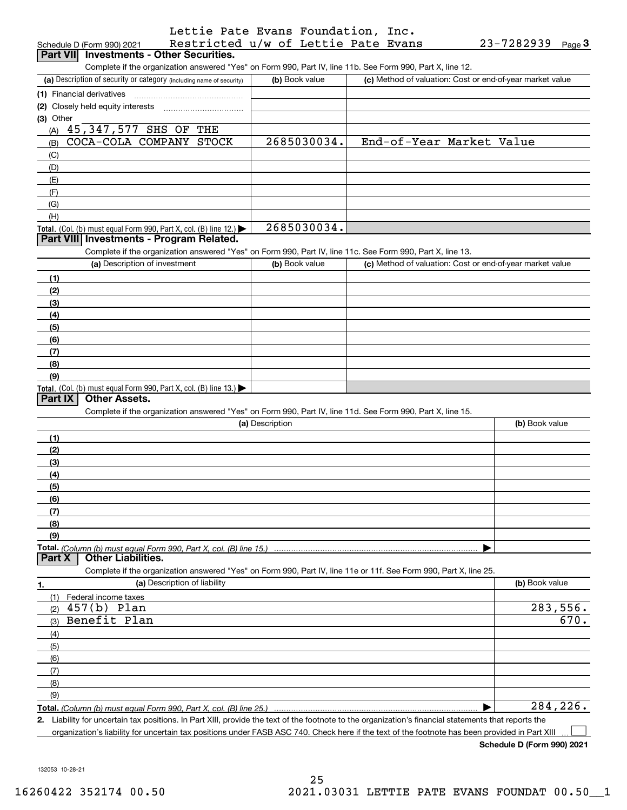| Lettie Pate Evans Foundation, Inc.                                                                                |                 |                |                          |                                                           |           |
|-------------------------------------------------------------------------------------------------------------------|-----------------|----------------|--------------------------|-----------------------------------------------------------|-----------|
| Restricted u/w of Lettie Pate Evans<br>Schedule D (Form 990) 2021                                                 |                 |                |                          | 23-7282939                                                | $Page$ 3  |
| Part VII Investments - Other Securities.                                                                          |                 |                |                          |                                                           |           |
| Complete if the organization answered "Yes" on Form 990, Part IV, line 11b. See Form 990, Part X, line 12.        |                 |                |                          |                                                           |           |
| (a) Description of security or category (including name of security)                                              |                 | (b) Book value |                          | (c) Method of valuation: Cost or end-of-year market value |           |
| (1) Financial derivatives                                                                                         |                 |                |                          |                                                           |           |
| (2) Closely held equity interests [11] [2] Closely held equity interests                                          |                 |                |                          |                                                           |           |
| (3) Other                                                                                                         |                 |                |                          |                                                           |           |
| (A) 45,347,577 SHS OF THE                                                                                         |                 |                |                          |                                                           |           |
| COCA-COLA COMPANY STOCK                                                                                           |                 | 2685030034.    | End-of-Year Market Value |                                                           |           |
| (B)                                                                                                               |                 |                |                          |                                                           |           |
| (C)                                                                                                               |                 |                |                          |                                                           |           |
| (D)                                                                                                               |                 |                |                          |                                                           |           |
| (E)                                                                                                               |                 |                |                          |                                                           |           |
| (F)                                                                                                               |                 |                |                          |                                                           |           |
| (G)                                                                                                               |                 |                |                          |                                                           |           |
| (H)                                                                                                               |                 |                |                          |                                                           |           |
| Total. (Col. (b) must equal Form 990, Part X, col. (B) line 12.)                                                  |                 | 2685030034.    |                          |                                                           |           |
| Part VIII Investments - Program Related.                                                                          |                 |                |                          |                                                           |           |
| Complete if the organization answered "Yes" on Form 990, Part IV, line 11c. See Form 990, Part X, line 13.        |                 |                |                          |                                                           |           |
| (a) Description of investment                                                                                     |                 | (b) Book value |                          | (c) Method of valuation: Cost or end-of-year market value |           |
| (1)                                                                                                               |                 |                |                          |                                                           |           |
| (2)                                                                                                               |                 |                |                          |                                                           |           |
| (3)                                                                                                               |                 |                |                          |                                                           |           |
| (4)                                                                                                               |                 |                |                          |                                                           |           |
| (5)                                                                                                               |                 |                |                          |                                                           |           |
| (6)                                                                                                               |                 |                |                          |                                                           |           |
| (7)                                                                                                               |                 |                |                          |                                                           |           |
| (8)                                                                                                               |                 |                |                          |                                                           |           |
| (9)                                                                                                               |                 |                |                          |                                                           |           |
| Total. (Col. (b) must equal Form 990, Part X, col. (B) line 13.)                                                  |                 |                |                          |                                                           |           |
| <b>Other Assets.</b><br>Part IX                                                                                   |                 |                |                          |                                                           |           |
| Complete if the organization answered "Yes" on Form 990, Part IV, line 11d. See Form 990, Part X, line 15.        |                 |                |                          |                                                           |           |
|                                                                                                                   | (a) Description |                |                          | (b) Book value                                            |           |
| (1)                                                                                                               |                 |                |                          |                                                           |           |
| (2)                                                                                                               |                 |                |                          |                                                           |           |
| (3)                                                                                                               |                 |                |                          |                                                           |           |
| (4)                                                                                                               |                 |                |                          |                                                           |           |
|                                                                                                                   |                 |                |                          |                                                           |           |
| (5)                                                                                                               |                 |                |                          |                                                           |           |
| (6)                                                                                                               |                 |                |                          |                                                           |           |
| (7)                                                                                                               |                 |                |                          |                                                           |           |
| (8)                                                                                                               |                 |                |                          |                                                           |           |
| (9)                                                                                                               |                 |                |                          |                                                           |           |
| Total. (Column (b) must equal Form 990, Part X, col. (B) line 15.)<br><b>Other Liabilities.</b><br><b>Part X</b>  |                 |                |                          |                                                           |           |
|                                                                                                                   |                 |                |                          |                                                           |           |
| Complete if the organization answered "Yes" on Form 990, Part IV, line 11e or 11f. See Form 990, Part X, line 25. |                 |                |                          |                                                           |           |
| (a) Description of liability<br>1.                                                                                |                 |                |                          | (b) Book value                                            |           |
| (1)<br>Federal income taxes                                                                                       |                 |                |                          |                                                           |           |
| $457(b)$ Plan<br>(2)                                                                                              |                 |                |                          |                                                           | 283,556.  |
| Benefit Plan<br>(3)                                                                                               |                 |                |                          |                                                           | 670.      |
| (4)                                                                                                               |                 |                |                          |                                                           |           |
| (5)                                                                                                               |                 |                |                          |                                                           |           |
| (6)                                                                                                               |                 |                |                          |                                                           |           |
| (7)                                                                                                               |                 |                |                          |                                                           |           |
| (8)                                                                                                               |                 |                |                          |                                                           |           |
| (9)                                                                                                               |                 |                |                          |                                                           |           |
| Total. (Column (b) must equal Form 990. Part X, col. (B) line 25.)                                                |                 |                |                          |                                                           | 284, 226. |
|                                                                                                                   |                 |                |                          |                                                           |           |

**2.** Liability for uncertain tax positions. In Part XIII, provide the text of the footnote to the organization's financial statements that reports the organization's liability for uncertain tax positions under FASB ASC 740. Check here if the text of the footnote has been provided in Part XIII

**Schedule D (Form 990) 2021**

 $\mathcal{L}^{\text{max}}$ 

132053 10-28-21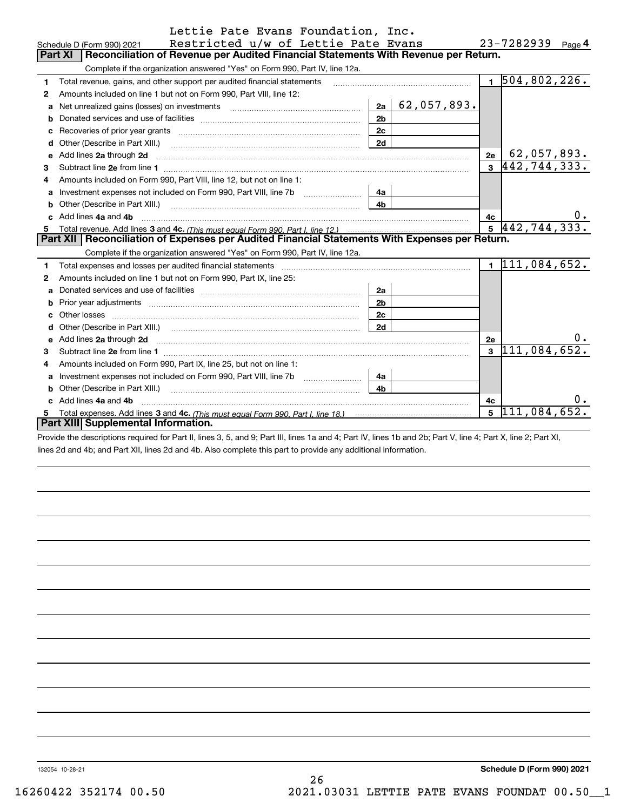|    | Lettie Pate Evans Foundation, Inc.                                                                                                                                                                                                  |                |                       |           |                               |    |  |  |
|----|-------------------------------------------------------------------------------------------------------------------------------------------------------------------------------------------------------------------------------------|----------------|-----------------------|-----------|-------------------------------|----|--|--|
|    | Restricted u/w of Lettie Pate Evans<br>Schedule D (Form 990) 2021                                                                                                                                                                   |                |                       |           | $23 - 7282939$ Page 4         |    |  |  |
|    | Reconciliation of Revenue per Audited Financial Statements With Revenue per Return.<br>Part XI                                                                                                                                      |                |                       |           |                               |    |  |  |
|    | Complete if the organization answered "Yes" on Form 990, Part IV, line 12a.                                                                                                                                                         |                |                       |           |                               |    |  |  |
| 1  | Total revenue, gains, and other support per audited financial statements                                                                                                                                                            |                |                       |           | $1\overline{504, 802, 226}$ . |    |  |  |
| 2  | Amounts included on line 1 but not on Form 990, Part VIII, line 12:                                                                                                                                                                 |                |                       |           |                               |    |  |  |
|    | a Net unrealized gains (losses) on investments [11] [12] Net unrealized gains (losses) on investments [11] [12]                                                                                                                     |                | $2a \mid 62,057,893.$ |           |                               |    |  |  |
| b  |                                                                                                                                                                                                                                     | 2 <sub>b</sub> |                       |           |                               |    |  |  |
| c  |                                                                                                                                                                                                                                     | 2c             |                       |           |                               |    |  |  |
|    |                                                                                                                                                                                                                                     | 2d             |                       |           |                               |    |  |  |
|    | e Add lines 2a through 2d <b>contract and a contract and a contract a</b> contract a contract and a contract a contract a contract a contract a contract a contract a contract a contract a contract a contract a contract a contra |                |                       | 2e        | 62,05 <u>7,893.</u>           |    |  |  |
| 3  |                                                                                                                                                                                                                                     |                |                       |           | $3 \vert 442, 744, 333.$      |    |  |  |
| 4  | Amounts included on Form 990, Part VIII, line 12, but not on line 1:                                                                                                                                                                |                |                       |           |                               |    |  |  |
| a  |                                                                                                                                                                                                                                     | 4a             |                       |           |                               |    |  |  |
|    |                                                                                                                                                                                                                                     | 4 <sub>h</sub> |                       |           |                               |    |  |  |
|    | c Add lines 4a and 4b                                                                                                                                                                                                               |                |                       | 4с        |                               |    |  |  |
|    | $5\sqrt{442,744,333}$ .                                                                                                                                                                                                             |                |                       |           |                               |    |  |  |
|    | Part XII   Reconciliation of Expenses per Audited Financial Statements With Expenses per Return.                                                                                                                                    |                |                       |           |                               |    |  |  |
|    | Complete if the organization answered "Yes" on Form 990, Part IV, line 12a.                                                                                                                                                         |                |                       |           |                               |    |  |  |
| 1. | Total expenses and losses per audited financial statements [11, 11] manuscription control expenses and losses per audited financial statements [11] manuscription of the statements [11] manuscription of the statements [11]       |                |                       |           | 111,084,652.                  |    |  |  |
| 2  | Amounts included on line 1 but not on Form 990, Part IX, line 25:                                                                                                                                                                   |                |                       |           |                               |    |  |  |
| a  |                                                                                                                                                                                                                                     | 2a             |                       |           |                               |    |  |  |
|    | Prior year adjustments <i>www.www.www.www.www.www.www.www.www.</i> ww.                                                                                                                                                              | 2 <sub>b</sub> |                       |           |                               |    |  |  |
|    |                                                                                                                                                                                                                                     | 2 <sub>c</sub> |                       |           |                               |    |  |  |
|    |                                                                                                                                                                                                                                     | 2d             |                       |           |                               |    |  |  |
|    | e Add lines 2a through 2d <b>must be a constructed as a constructed and a</b> construction of the Add lines 2a through 2d                                                                                                           |                |                       | <b>2e</b> |                               | υ. |  |  |
| 3  |                                                                                                                                                                                                                                     |                |                       |           | $3\vert 111, 084, 652.$       |    |  |  |
| 4  | Amounts included on Form 990, Part IX, line 25, but not on line 1:                                                                                                                                                                  |                |                       |           |                               |    |  |  |
| a  |                                                                                                                                                                                                                                     | 4a             |                       |           |                               |    |  |  |
|    | <b>b</b> Other (Describe in Part XIII.)                                                                                                                                                                                             | 4 <sub>h</sub> |                       |           |                               |    |  |  |
|    | Add lines 4a and 4b                                                                                                                                                                                                                 |                |                       | 4c        |                               | υ. |  |  |
| 5  |                                                                                                                                                                                                                                     |                |                       |           | $\overline{5}$ 111,084,652.   |    |  |  |
|    | Part XIII Supplemental Information.                                                                                                                                                                                                 |                |                       |           |                               |    |  |  |
|    | Dravide the descriptions required for Dort II, lines 2, E. and O. Dort III, lines 1e and 4: Dort IV, lines 1h and Ob: Dort V, line 4: Dort V, line 2: Dort VI                                                                       |                |                       |           |                               |    |  |  |

Provide the descriptions required for Part II, lines 3, 5, and 9; Part III, lines 1a and 4; Part IV, lines 1b and 2b; Part V, line 4; Part X, line 2; Part XI, lines 2d and 4b; and Part XII, lines 2d and 4b. Also complete this part to provide any additional information.

132054 10-28-21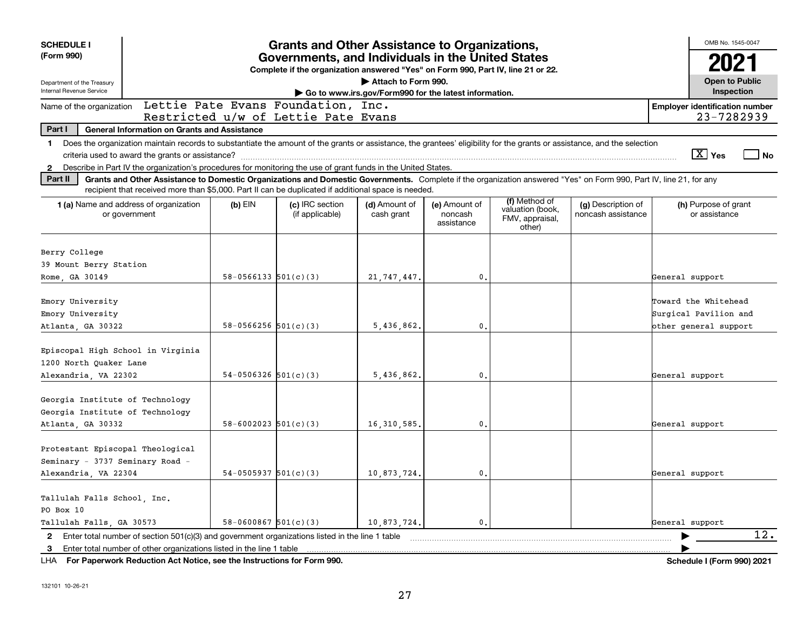| <b>SCHEDULE I</b><br>(Form 990)                                                                                                                                                                                                                                                                                                                                                                                                                                                                                                                                                                                  |                            | <b>Grants and Other Assistance to Organizations,</b><br>Governments, and Individuals in the United States<br>Complete if the organization answered "Yes" on Form 990, Part IV, line 21 or 22. |                                                                              |                                        |                                                                |                                          | OMB No. 1545-0047<br>2021                                              |
|------------------------------------------------------------------------------------------------------------------------------------------------------------------------------------------------------------------------------------------------------------------------------------------------------------------------------------------------------------------------------------------------------------------------------------------------------------------------------------------------------------------------------------------------------------------------------------------------------------------|----------------------------|-----------------------------------------------------------------------------------------------------------------------------------------------------------------------------------------------|------------------------------------------------------------------------------|----------------------------------------|----------------------------------------------------------------|------------------------------------------|------------------------------------------------------------------------|
| Department of the Treasury<br>Internal Revenue Service                                                                                                                                                                                                                                                                                                                                                                                                                                                                                                                                                           |                            |                                                                                                                                                                                               | Attach to Form 990.<br>Go to www.irs.gov/Form990 for the latest information. |                                        |                                                                |                                          | <b>Open to Public</b><br>Inspection                                    |
| Name of the organization                                                                                                                                                                                                                                                                                                                                                                                                                                                                                                                                                                                         |                            | Lettie Pate Evans Foundation, Inc.<br>Restricted u/w of Lettie Pate Evans                                                                                                                     |                                                                              |                                        |                                                                |                                          | <b>Employer identification number</b><br>23-7282939                    |
| Part I<br><b>General Information on Grants and Assistance</b>                                                                                                                                                                                                                                                                                                                                                                                                                                                                                                                                                    |                            |                                                                                                                                                                                               |                                                                              |                                        |                                                                |                                          |                                                                        |
| Does the organization maintain records to substantiate the amount of the grants or assistance, the grantees' eligibility for the grants or assistance, and the selection<br>$\mathbf 1$<br>Describe in Part IV the organization's procedures for monitoring the use of grant funds in the United States.<br>$\mathbf{2}$<br>Part II<br>Grants and Other Assistance to Domestic Organizations and Domestic Governments. Complete if the organization answered "Yes" on Form 990, Part IV, line 21, for any<br>recipient that received more than \$5,000. Part II can be duplicated if additional space is needed. |                            |                                                                                                                                                                                               |                                                                              |                                        |                                                                |                                          | $\boxed{\text{X}}$ Yes<br><b>No</b>                                    |
| 1 (a) Name and address of organization<br>or government                                                                                                                                                                                                                                                                                                                                                                                                                                                                                                                                                          | $(b)$ EIN                  | (c) IRC section<br>(if applicable)                                                                                                                                                            | (d) Amount of<br>cash grant                                                  | (e) Amount of<br>noncash<br>assistance | (f) Method of<br>valuation (book,<br>FMV, appraisal,<br>other) | (g) Description of<br>noncash assistance | (h) Purpose of grant<br>or assistance                                  |
| Berry College<br>39 Mount Berry Station<br>Rome, GA 30149                                                                                                                                                                                                                                                                                                                                                                                                                                                                                                                                                        | $58 - 0566133$ $501(c)(3)$ |                                                                                                                                                                                               | 21, 747, 447.                                                                | $\mathfrak o$ .                        |                                                                |                                          | General support                                                        |
| Emory University<br>Emory University<br>Atlanta, GA 30322                                                                                                                                                                                                                                                                                                                                                                                                                                                                                                                                                        | $58 - 0566256$ $501(c)(3)$ |                                                                                                                                                                                               | 5,436,862.                                                                   | 0.                                     |                                                                |                                          | Toward the Whitehead<br>Surgical Pavilion and<br>bther general support |
| Episcopal High School in Virginia<br>1200 North Ouaker Lane<br>Alexandria, VA 22302                                                                                                                                                                                                                                                                                                                                                                                                                                                                                                                              | $54-0506326$ $501(c)(3)$   |                                                                                                                                                                                               | 5,436,862.                                                                   | $\mathbf{0}$ .                         |                                                                |                                          | General support                                                        |
| Georgia Institute of Technology<br>Georgia Institute of Technology<br>Atlanta, GA 30332                                                                                                                                                                                                                                                                                                                                                                                                                                                                                                                          | $58 - 6002023$ $501(c)(3)$ |                                                                                                                                                                                               | 16, 310, 585                                                                 | 0.                                     |                                                                |                                          | General support                                                        |
| Protestant Episcopal Theological<br>Seminary - 3737 Seminary Road -<br>Alexandria, VA 22304                                                                                                                                                                                                                                                                                                                                                                                                                                                                                                                      | $54-0505937$ $501(c)(3)$   |                                                                                                                                                                                               | 10,873,724.                                                                  | $\mathbf{0}$ .                         |                                                                |                                          | General support                                                        |
| Tallulah Falls School, Inc.<br>PO Box 10<br>Tallulah Falls, GA 30573                                                                                                                                                                                                                                                                                                                                                                                                                                                                                                                                             | $58-0600867$ $501(c)(3)$   |                                                                                                                                                                                               | 10,873,724.                                                                  | 0.                                     |                                                                |                                          | General support                                                        |
| 2 Enter total number of section 501(c)(3) and government organizations listed in the line 1 table<br>3 Enter total number of other organizations listed in the line 1 table                                                                                                                                                                                                                                                                                                                                                                                                                                      |                            |                                                                                                                                                                                               |                                                                              |                                        |                                                                |                                          | $\overline{12}$ .                                                      |

**For Paperwork Reduction Act Notice, see the Instructions for Form 990. Schedule I (Form 990) 2021** LHA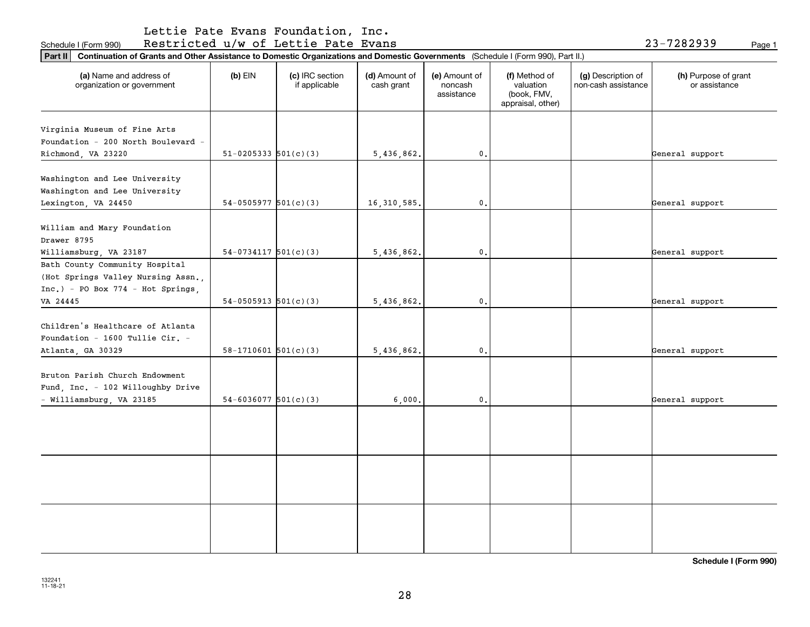Schedule I (Form 990) Restricted u/w of Lettie Pate Evans 23-7282939 <sub>Page 1</sub>

| 23-7282939 |        |
|------------|--------|
|            | Page 1 |

| Continuation of Grants and Other Assistance to Domestic Organizations and Domestic Governments (Schedule I (Form 990), Part II.)<br>Part II |                          |                                  |                             |                                        |                                                                |                                           |                                       |
|---------------------------------------------------------------------------------------------------------------------------------------------|--------------------------|----------------------------------|-----------------------------|----------------------------------------|----------------------------------------------------------------|-------------------------------------------|---------------------------------------|
| (a) Name and address of<br>organization or government                                                                                       | $(b)$ EIN                | (c) IRC section<br>if applicable | (d) Amount of<br>cash grant | (e) Amount of<br>noncash<br>assistance | (f) Method of<br>valuation<br>(book, FMV,<br>appraisal, other) | (g) Description of<br>non-cash assistance | (h) Purpose of grant<br>or assistance |
| Virginia Museum of Fine Arts<br>Foundation - 200 North Boulevard -<br>Richmond, VA 23220                                                    | $51-0205333$ $501(c)(3)$ |                                  | 5,436,862.                  | 0.                                     |                                                                |                                           | General support                       |
| Washington and Lee University<br>Washington and Lee University<br>Lexington, VA 24450                                                       | $54-0505977$ $501(c)(3)$ |                                  | 16, 310, 585.               | 0.                                     |                                                                |                                           | General support                       |
| William and Mary Foundation<br>Drawer 8795<br>Williamsburg, VA 23187                                                                        | $54-0734117$ $501(c)(3)$ |                                  | 5,436,862.                  | $\mathbf{0}$ .                         |                                                                |                                           | General support                       |
| Bath County Community Hospital<br>(Hot Springs Valley Nursing Assn.,<br>$Inc.) - PO Box 774 - Hot Springs,$<br>VA 24445                     | $54-0505913$ $501(c)(3)$ |                                  | 5,436,862.                  | $\mathbf{0}$ .                         |                                                                |                                           | General support                       |
| Children's Healthcare of Atlanta<br>Foundation - 1600 Tullie Cir. -<br>Atlanta, GA 30329                                                    | $58-1710601$ $501(c)(3)$ |                                  | 5,436,862.                  | $\mathbf{0}$ .                         |                                                                |                                           | General support                       |
| Bruton Parish Church Endowment<br>Fund, Inc. - 102 Willoughby Drive<br>- Williamsburg, VA 23185                                             | $54-6036077$ 501(c)(3)   |                                  | 6,000.                      | 0.                                     |                                                                |                                           | General support                       |
|                                                                                                                                             |                          |                                  |                             |                                        |                                                                |                                           |                                       |
|                                                                                                                                             |                          |                                  |                             |                                        |                                                                |                                           |                                       |
|                                                                                                                                             |                          |                                  |                             |                                        |                                                                |                                           |                                       |

**Schedule I (Form 990)**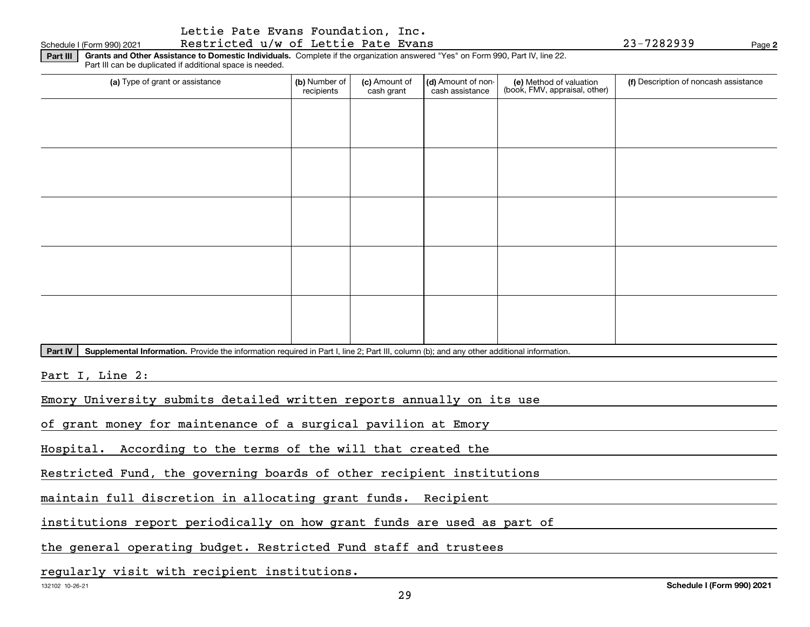### Schedule I (Form 990) 2021 Restricted u/w of Lettie Pate Evans 23-7282939 Page

**Part III Grants and Other Assistance to Domestic Individuals.**  Complete if the organization answered "Yes" on Form 990, Part IV, line 22. Part III can be duplicated if additional space is needed.

| (a) Type of grant or assistance | (b) Number of<br>recipients | (c) Amount of<br>cash grant | (d) Amount of non-<br>cash assistance | (e) Method of valuation<br>(book, FMV, appraisal, other) | (f) Description of noncash assistance |
|---------------------------------|-----------------------------|-----------------------------|---------------------------------------|----------------------------------------------------------|---------------------------------------|
|                                 |                             |                             |                                       |                                                          |                                       |
|                                 |                             |                             |                                       |                                                          |                                       |
|                                 |                             |                             |                                       |                                                          |                                       |
|                                 |                             |                             |                                       |                                                          |                                       |
|                                 |                             |                             |                                       |                                                          |                                       |
|                                 |                             |                             |                                       |                                                          |                                       |
|                                 |                             |                             |                                       |                                                          |                                       |
|                                 |                             |                             |                                       |                                                          |                                       |
|                                 |                             |                             |                                       |                                                          |                                       |
|                                 |                             |                             |                                       |                                                          |                                       |

Part IV | Supplemental Information. Provide the information required in Part I, line 2; Part III, column (b); and any other additional information.

Part I, Line 2:

Emory University submits detailed written reports annually on its use

of grant money for maintenance of a surgical pavilion at Emory

Hospital. According to the terms of the will that created the

Restricted Fund, the governing boards of other recipient institutions

maintain full discretion in allocating grant funds. Recipient

institutions report periodically on how grant funds are used as part of

the general operating budget. Restricted Fund staff and trustees

regularly visit with recipient institutions.

**2**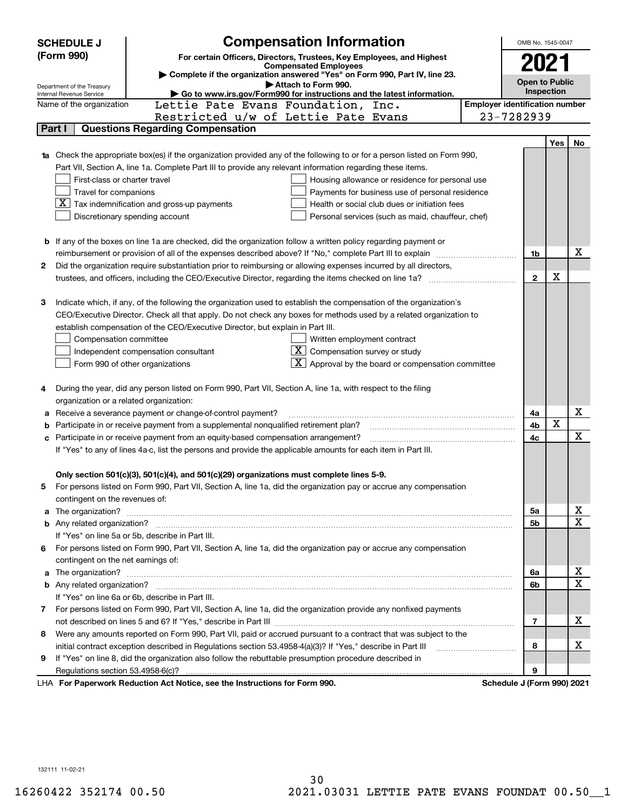|   | <b>SCHEDULE J</b>                                                                                                                                                                                                         | <b>Compensation Information</b>                                                                                                                                                                                                      |  |  |                                       |             |    |  |  |
|---|---------------------------------------------------------------------------------------------------------------------------------------------------------------------------------------------------------------------------|--------------------------------------------------------------------------------------------------------------------------------------------------------------------------------------------------------------------------------------|--|--|---------------------------------------|-------------|----|--|--|
|   | (Form 990)                                                                                                                                                                                                                | For certain Officers, Directors, Trustees, Key Employees, and Highest                                                                                                                                                                |  |  |                                       |             |    |  |  |
|   |                                                                                                                                                                                                                           | <b>Compensated Employees</b><br>Complete if the organization answered "Yes" on Form 990, Part IV, line 23.                                                                                                                           |  |  | 2021                                  |             |    |  |  |
|   | Department of the Treasury                                                                                                                                                                                                | Attach to Form 990.                                                                                                                                                                                                                  |  |  | <b>Open to Public</b>                 |             |    |  |  |
|   | Internal Revenue Service                                                                                                                                                                                                  | Go to www.irs.gov/Form990 for instructions and the latest information.                                                                                                                                                               |  |  | Inspection                            |             |    |  |  |
|   | Name of the organization                                                                                                                                                                                                  | Lettie Pate Evans Foundation, Inc.                                                                                                                                                                                                   |  |  | <b>Employer identification number</b> |             |    |  |  |
|   |                                                                                                                                                                                                                           | Restricted u/w of Lettie Pate Evans                                                                                                                                                                                                  |  |  | 23-7282939                            |             |    |  |  |
|   | Part I                                                                                                                                                                                                                    | <b>Questions Regarding Compensation</b>                                                                                                                                                                                              |  |  |                                       |             |    |  |  |
|   |                                                                                                                                                                                                                           |                                                                                                                                                                                                                                      |  |  |                                       | Yes         | No |  |  |
|   |                                                                                                                                                                                                                           | Check the appropriate box(es) if the organization provided any of the following to or for a person listed on Form 990,                                                                                                               |  |  |                                       |             |    |  |  |
|   |                                                                                                                                                                                                                           | Part VII, Section A, line 1a. Complete Part III to provide any relevant information regarding these items.                                                                                                                           |  |  |                                       |             |    |  |  |
|   | First-class or charter travel                                                                                                                                                                                             | Housing allowance or residence for personal use                                                                                                                                                                                      |  |  |                                       |             |    |  |  |
|   | Travel for companions                                                                                                                                                                                                     | Payments for business use of personal residence<br>$ \mathbf{X} $ Tax indemnification and gross-up payments<br>Health or social club dues or initiation fees                                                                         |  |  |                                       |             |    |  |  |
|   |                                                                                                                                                                                                                           |                                                                                                                                                                                                                                      |  |  |                                       |             |    |  |  |
|   | Discretionary spending account<br>Personal services (such as maid, chauffeur, chef)                                                                                                                                       |                                                                                                                                                                                                                                      |  |  |                                       |             |    |  |  |
|   |                                                                                                                                                                                                                           | <b>b</b> If any of the boxes on line 1a are checked, did the organization follow a written policy regarding payment or                                                                                                               |  |  |                                       |             |    |  |  |
|   |                                                                                                                                                                                                                           |                                                                                                                                                                                                                                      |  |  | 1b                                    |             | х  |  |  |
| 2 | reimbursement or provision of all of the expenses described above? If "No," complete Part III to explain                                                                                                                  |                                                                                                                                                                                                                                      |  |  |                                       |             |    |  |  |
|   | Did the organization require substantiation prior to reimbursing or allowing expenses incurred by all directors,<br>trustees, and officers, including the CEO/Executive Director, regarding the items checked on line 1a? |                                                                                                                                                                                                                                      |  |  |                                       | х           |    |  |  |
|   |                                                                                                                                                                                                                           |                                                                                                                                                                                                                                      |  |  | $\mathbf{2}$                          |             |    |  |  |
| З |                                                                                                                                                                                                                           | Indicate which, if any, of the following the organization used to establish the compensation of the organization's                                                                                                                   |  |  |                                       |             |    |  |  |
|   |                                                                                                                                                                                                                           | CEO/Executive Director. Check all that apply. Do not check any boxes for methods used by a related organization to                                                                                                                   |  |  |                                       |             |    |  |  |
|   |                                                                                                                                                                                                                           | establish compensation of the CEO/Executive Director, but explain in Part III.                                                                                                                                                       |  |  |                                       |             |    |  |  |
|   | Compensation committee                                                                                                                                                                                                    | Written employment contract                                                                                                                                                                                                          |  |  |                                       |             |    |  |  |
|   |                                                                                                                                                                                                                           | $X$ Compensation survey or study<br>Independent compensation consultant                                                                                                                                                              |  |  |                                       |             |    |  |  |
|   |                                                                                                                                                                                                                           | $\overline{\mathbf{X}}$ Approval by the board or compensation committee<br>Form 990 of other organizations                                                                                                                           |  |  |                                       |             |    |  |  |
|   |                                                                                                                                                                                                                           |                                                                                                                                                                                                                                      |  |  |                                       |             |    |  |  |
| 4 |                                                                                                                                                                                                                           | During the year, did any person listed on Form 990, Part VII, Section A, line 1a, with respect to the filing                                                                                                                         |  |  |                                       |             |    |  |  |
|   | organization or a related organization:                                                                                                                                                                                   |                                                                                                                                                                                                                                      |  |  |                                       |             |    |  |  |
| а |                                                                                                                                                                                                                           | Receive a severance payment or change-of-control payment?                                                                                                                                                                            |  |  | 4a                                    |             | x  |  |  |
| b |                                                                                                                                                                                                                           | Participate in or receive payment from a supplemental nonqualified retirement plan?                                                                                                                                                  |  |  | 4b                                    | $\mathbf X$ |    |  |  |
|   |                                                                                                                                                                                                                           | c Participate in or receive payment from an equity-based compensation arrangement?                                                                                                                                                   |  |  | 4c                                    |             | x  |  |  |
|   |                                                                                                                                                                                                                           | If "Yes" to any of lines 4a-c, list the persons and provide the applicable amounts for each item in Part III.                                                                                                                        |  |  |                                       |             |    |  |  |
|   |                                                                                                                                                                                                                           |                                                                                                                                                                                                                                      |  |  |                                       |             |    |  |  |
|   |                                                                                                                                                                                                                           | Only section 501(c)(3), 501(c)(4), and 501(c)(29) organizations must complete lines 5-9.                                                                                                                                             |  |  |                                       |             |    |  |  |
|   |                                                                                                                                                                                                                           | For persons listed on Form 990, Part VII, Section A, line 1a, did the organization pay or accrue any compensation                                                                                                                    |  |  |                                       |             |    |  |  |
|   | contingent on the revenues of:                                                                                                                                                                                            |                                                                                                                                                                                                                                      |  |  |                                       |             |    |  |  |
| a |                                                                                                                                                                                                                           | The organization? <b>With the contract of the contract of the contract of the contract of the contract of the contract of the contract of the contract of the contract of the contract of the contract of the contract of the co</b> |  |  | 5a                                    |             | x  |  |  |
|   |                                                                                                                                                                                                                           |                                                                                                                                                                                                                                      |  |  | 5b                                    |             | X  |  |  |
|   |                                                                                                                                                                                                                           | If "Yes" on line 5a or 5b, describe in Part III.                                                                                                                                                                                     |  |  |                                       |             |    |  |  |
|   |                                                                                                                                                                                                                           | 6 For persons listed on Form 990, Part VII, Section A, line 1a, did the organization pay or accrue any compensation                                                                                                                  |  |  |                                       |             |    |  |  |
|   | contingent on the net earnings of:                                                                                                                                                                                        |                                                                                                                                                                                                                                      |  |  |                                       |             |    |  |  |
| a |                                                                                                                                                                                                                           |                                                                                                                                                                                                                                      |  |  | 6a                                    |             | х  |  |  |
|   |                                                                                                                                                                                                                           |                                                                                                                                                                                                                                      |  |  | 6b                                    |             | X  |  |  |
|   |                                                                                                                                                                                                                           | If "Yes" on line 6a or 6b, describe in Part III.                                                                                                                                                                                     |  |  |                                       |             |    |  |  |
|   |                                                                                                                                                                                                                           | 7 For persons listed on Form 990, Part VII, Section A, line 1a, did the organization provide any nonfixed payments                                                                                                                   |  |  |                                       |             |    |  |  |
|   |                                                                                                                                                                                                                           |                                                                                                                                                                                                                                      |  |  | $\overline{7}$                        |             | х  |  |  |
|   |                                                                                                                                                                                                                           | 8 Were any amounts reported on Form 990, Part VII, paid or accrued pursuant to a contract that was subject to the                                                                                                                    |  |  |                                       |             |    |  |  |
|   |                                                                                                                                                                                                                           | initial contract exception described in Regulations section 53.4958-4(a)(3)? If "Yes," describe in Part III                                                                                                                          |  |  | 8                                     |             | х  |  |  |
| 9 |                                                                                                                                                                                                                           | If "Yes" on line 8, did the organization also follow the rebuttable presumption procedure described in                                                                                                                               |  |  |                                       |             |    |  |  |
|   | Regulations section 53.4958-6(c)?                                                                                                                                                                                         |                                                                                                                                                                                                                                      |  |  | 9                                     |             |    |  |  |
|   |                                                                                                                                                                                                                           | LHA For Paperwork Reduction Act Notice, see the Instructions for Form 990.                                                                                                                                                           |  |  | Schedule J (Form 990) 2021            |             |    |  |  |

132111 11-02-21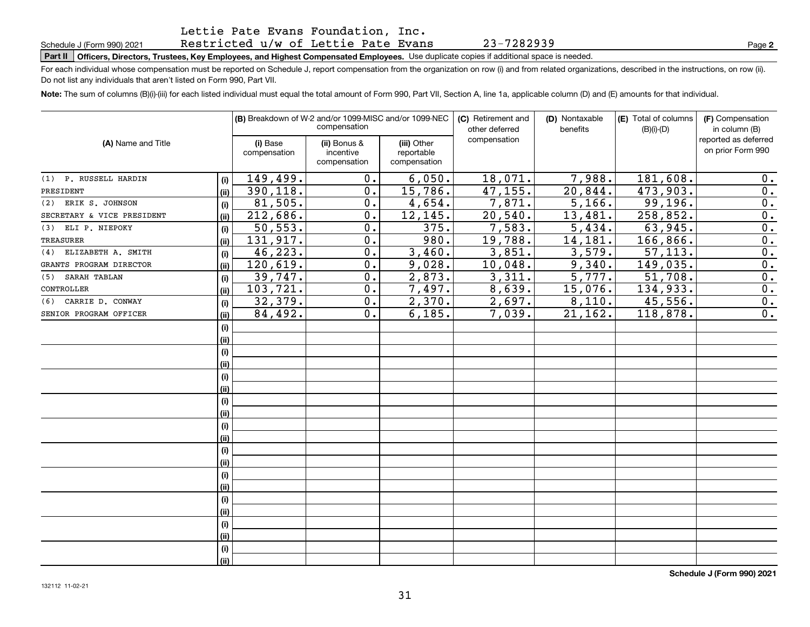## Restricted u/w of Lettie Pate Evans

**Part II Officers, Directors, Trustees, Key Employees, and Highest Compensated Employees.**  Schedule J (Form 990) 2021 Page Use duplicate copies if additional space is needed.

For each individual whose compensation must be reported on Schedule J, report compensation from the organization on row (i) and from related organizations, described in the instructions, on row (ii). Do not list any individuals that aren't listed on Form 990, Part VII.

**Note:**  The sum of columns (B)(i)-(iii) for each listed individual must equal the total amount of Form 990, Part VII, Section A, line 1a, applicable column (D) and (E) amounts for that individual.

|                            |      |                          | (B) Breakdown of W-2 and/or 1099-MISC and/or 1099-NEC<br>compensation |                                           | (C) Retirement and<br>other deferred | (D) Nontaxable<br>benefits | (E) Total of columns<br>$(B)(i)-(D)$ | (F) Compensation<br>in column (B)         |
|----------------------------|------|--------------------------|-----------------------------------------------------------------------|-------------------------------------------|--------------------------------------|----------------------------|--------------------------------------|-------------------------------------------|
| (A) Name and Title         |      | (i) Base<br>compensation | (ii) Bonus &<br>incentive<br>compensation                             | (iii) Other<br>reportable<br>compensation | compensation                         |                            |                                      | reported as deferred<br>on prior Form 990 |
| (1) P. RUSSELL HARDIN      | (i)  | 149,499.                 | 0.                                                                    | 6,050.                                    | 18,071.                              | 7,988.                     | 181,608.                             | 0.                                        |
| PRESIDENT                  | (ii) | 390, 118.                | 0.                                                                    | 15,786.                                   | 47,155.                              | 20,844.                    | 473,903.                             | 0.                                        |
| (2) ERIK S. JOHNSON        | (i)  | 81,505.                  | 0.                                                                    | 4,654.                                    | 7,871.                               | 5,166.                     | 99, 196.                             | 0.                                        |
| SECRETARY & VICE PRESIDENT | (ii) | 212,686.                 | 0.                                                                    | 12,145.                                   | 20,540.                              | 13,481.                    | 258,852.                             | 0.                                        |
| (3) ELI P. NIEPOKY         | (i)  | 50, 553.                 | 0.                                                                    | 375.                                      | 7,583.                               | 5,434.                     | 63,945.                              | 0.                                        |
| <b>TREASURER</b>           | (ii) | 131,917.                 | 0.                                                                    | 980.                                      | 19,788.                              | 14,181.                    | 166,866.                             | 0.                                        |
| (4) ELIZABETH A. SMITH     | (i)  | 46,223.                  | 0.                                                                    | 3,460.                                    | 3,851.                               | 3,579.                     | 57, 113.                             | 0.                                        |
| GRANTS PROGRAM DIRECTOR    | (ii) | 120,619.                 | 0.                                                                    | 9,028.                                    | 10,048.                              | 9,340.                     | 149,035.                             | 0.                                        |
| SARAH TABLAN<br>(5)        | (i)  | 39,747.                  | 0.                                                                    | 2,873.                                    | 3,311.                               | 5,777.                     | 51,708.                              | 0.                                        |
| CONTROLLER                 | (ii) | 103,721.                 | 0.                                                                    | 7,497.                                    | 8,639.                               | 15,076.                    | 134,933.                             | 0.                                        |
| (6) CARRIE D. CONWAY       | (i)  | 32,379.                  | 0.                                                                    | 2,370.                                    | 2,697.                               | 8,110.                     | 45,556.                              | 0.                                        |
| SENIOR PROGRAM OFFICER     | (ii) | 84,492.                  | 0.                                                                    | 6, 185.                                   | 7,039.                               | 21, 162.                   | 118,878.                             | 0.                                        |
|                            | (i)  |                          |                                                                       |                                           |                                      |                            |                                      |                                           |
|                            | (ii) |                          |                                                                       |                                           |                                      |                            |                                      |                                           |
|                            | (i)  |                          |                                                                       |                                           |                                      |                            |                                      |                                           |
|                            | (ii) |                          |                                                                       |                                           |                                      |                            |                                      |                                           |
|                            | (i)  |                          |                                                                       |                                           |                                      |                            |                                      |                                           |
|                            | (ii) |                          |                                                                       |                                           |                                      |                            |                                      |                                           |
|                            | (i)  |                          |                                                                       |                                           |                                      |                            |                                      |                                           |
|                            | (ii) |                          |                                                                       |                                           |                                      |                            |                                      |                                           |
|                            | (i)  |                          |                                                                       |                                           |                                      |                            |                                      |                                           |
|                            | (ii) |                          |                                                                       |                                           |                                      |                            |                                      |                                           |
|                            | (i)  |                          |                                                                       |                                           |                                      |                            |                                      |                                           |
|                            | (ii) |                          |                                                                       |                                           |                                      |                            |                                      |                                           |
|                            | (i)  |                          |                                                                       |                                           |                                      |                            |                                      |                                           |
|                            | (ii) |                          |                                                                       |                                           |                                      |                            |                                      |                                           |
|                            | (i)  |                          |                                                                       |                                           |                                      |                            |                                      |                                           |
|                            | (ii) |                          |                                                                       |                                           |                                      |                            |                                      |                                           |
|                            | (i)  |                          |                                                                       |                                           |                                      |                            |                                      |                                           |
|                            | (ii) |                          |                                                                       |                                           |                                      |                            |                                      |                                           |
|                            | (i)  |                          |                                                                       |                                           |                                      |                            |                                      |                                           |
|                            | (ii) |                          |                                                                       |                                           |                                      |                            |                                      |                                           |

23-7282939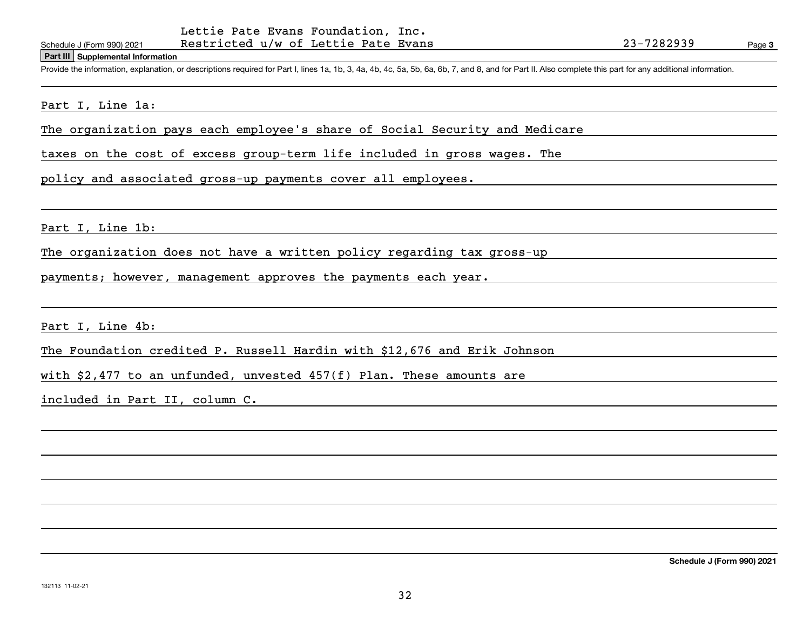Restricted u/w of Lettie Pate Evans

#### **Part III Supplemental Information**

Schedule J (Form 990) 2021 Restricted u/w of Lettie Pate Evans 23-7282939<br>Part III Supplemental Information<br>Provide the information, explanation, or descriptions required for Part I, lines 1a, 1b, 3, 4a, 4b, 4c, 5a, 5b, 6a

## Part I, Line 1a:

The organization pays each employee's share of Social Security and Medicare

taxes on the cost of excess group-term life included in gross wages. The

policy and associated gross-up payments cover all employees.

Part I, Line 1b:

The organization does not have a written policy regarding tax gross-up

payments; however, management approves the payments each year.

Part I, Line 4b:

The Foundation credited P. Russell Hardin with \$12,676 and Erik Johnson

with \$2,477 to an unfunded, unvested 457(f) Plan. These amounts are

included in Part II, column C.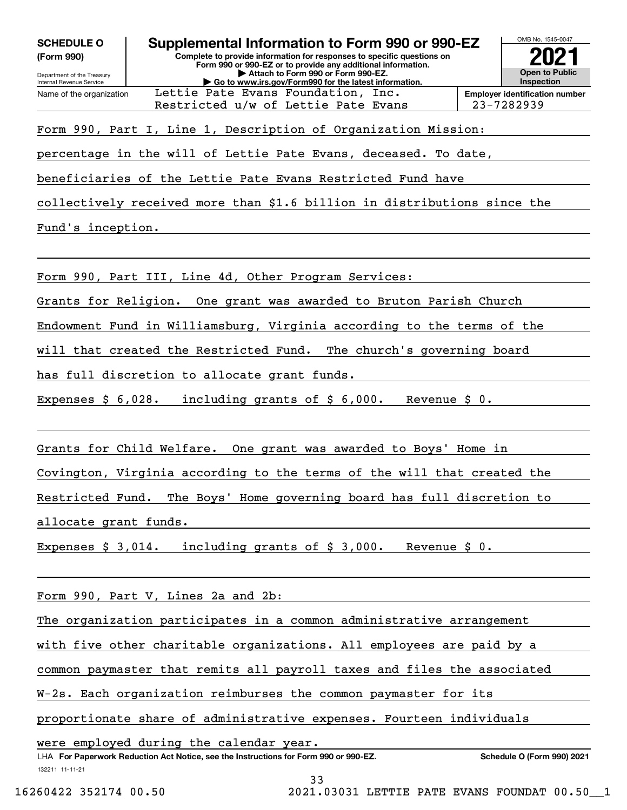| <b>SCHEDULE C</b> |  |  |
|-------------------|--|--|
| (Form 990)        |  |  |

Name of the organization

Restricted u/w of Lettie Pate Evans 123-7282939



Form 990, Part I, Line 1, Description of Organization Mission:

Lettie Pate Evans Foundation, Inc.

percentage in the will of Lettie Pate Evans, deceased. To date,

beneficiaries of the Lettie Pate Evans Restricted Fund have

collectively received more than \$1.6 billion in distributions since the

Fund's inception.

Form 990, Part III, Line 4d, Other Program Services:

Grants for Religion. One grant was awarded to Bruton Parish Church

Endowment Fund in Williamsburg, Virginia according to the terms of the

will that created the Restricted Fund. The church's governing board

has full discretion to allocate grant funds.

Expenses \$ 6,028. including grants of \$ 6,000. Revenue \$ 0.

Grants for Child Welfare. One grant was awarded to Boys' Home in

Covington, Virginia according to the terms of the will that created the

Restricted Fund. The Boys' Home governing board has full discretion to

allocate grant funds.

Expenses \$ 3,014. including grants of \$ 3,000. Revenue \$ 0.

Form 990, Part V, Lines 2a and 2b:

The organization participates in a common administrative arrangement

with five other charitable organizations. All employees are paid by a

common paymaster that remits all payroll taxes and files the associated

W-2s. Each organization reimburses the common paymaster for its

proportionate share of administrative expenses. Fourteen individuals

were employed during the calendar year.

132211 11-11-21 LHA For Paperwork Reduction Act Notice, see the Instructions for Form 990 or 990-EZ. Schedule O (Form 990) 2021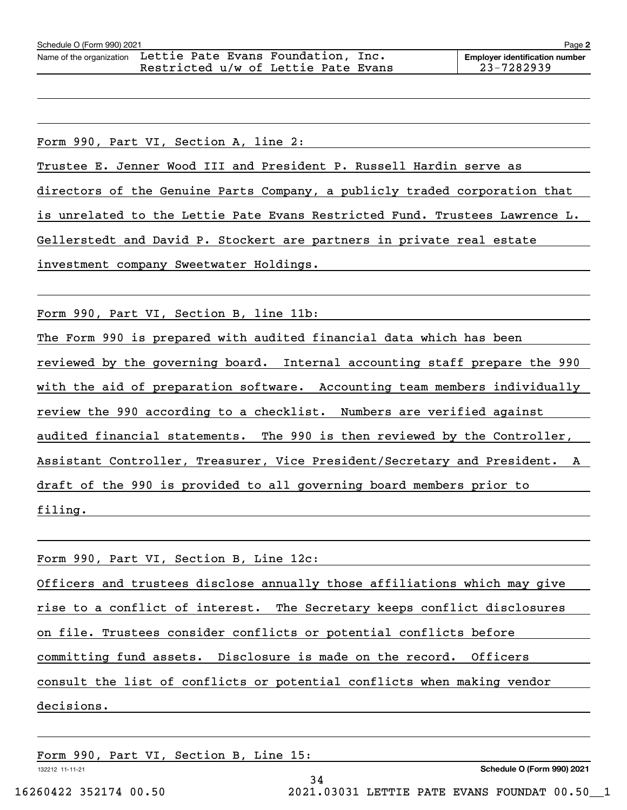**2**

Form 990, Part VI, Section A, line 2: Trustee E. Jenner Wood III and President P. Russell Hardin serve as directors of the Genuine Parts Company, a publicly traded corporation that is unrelated to the Lettie Pate Evans Restricted Fund. Trustees Lawrence L. Gellerstedt and David P. Stockert are partners in private real estate investment company Sweetwater Holdings.

Form 990, Part VI, Section B, line 11b:

The Form 990 is prepared with audited financial data which has been reviewed by the governing board. Internal accounting staff prepare the 990 with the aid of preparation software. Accounting team members individually review the 990 according to a checklist. Numbers are verified against audited financial statements. The 990 is then reviewed by the Controller, Assistant Controller, Treasurer, Vice President/Secretary and President. A draft of the 990 is provided to all governing board members prior to filing.

| Form 990, Part VI, Section B, Line 12c:                                                                                                  |  |  |  |  |
|------------------------------------------------------------------------------------------------------------------------------------------|--|--|--|--|
| Officers and trustees disclose annually those affiliations which may give                                                                |  |  |  |  |
| rise to a conflict of interest. The Secretary keeps conflict disclosures                                                                 |  |  |  |  |
| on file. Trustees consider conflicts or potential conflicts before<br>committing fund assets. Disclosure is made on the record. Officers |  |  |  |  |
|                                                                                                                                          |  |  |  |  |
| consult the list of conflicts or potential conflicts when making vendor                                                                  |  |  |  |  |
| decisions.                                                                                                                               |  |  |  |  |
|                                                                                                                                          |  |  |  |  |

34

Form 990, Part VI, Section B, Line 15:

132212 11-11-21

**Schedule O (Form 990) 2021**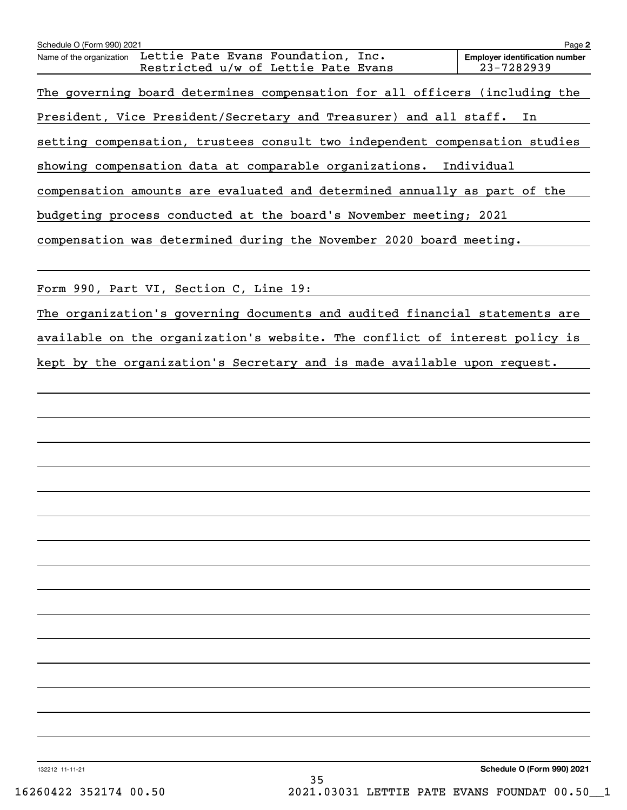| Schedule O (Form 990) 2021                                                                            | Page 2                                              |
|-------------------------------------------------------------------------------------------------------|-----------------------------------------------------|
| Lettie Pate Evans Foundation, Inc.<br>Name of the organization<br>Restricted u/w of Lettie Pate Evans | <b>Employer identification number</b><br>23-7282939 |
| The governing board determines compensation for all officers (including the                           |                                                     |
| President, Vice President/Secretary and Treasurer) and all staff.                                     | In                                                  |
| setting compensation, trustees consult two independent compensation studies                           |                                                     |
| showing compensation data at comparable organizations. Individual                                     |                                                     |
| compensation amounts are evaluated and determined annually as part of the                             |                                                     |
| budgeting process conducted at the board's November meeting; 2021                                     |                                                     |
| compensation was determined during the November 2020 board meeting.                                   |                                                     |
|                                                                                                       |                                                     |
| Form 990, Part VI, Section C, Line 19:                                                                |                                                     |
| The organization's governing documents and audited financial statements are                           |                                                     |
| available on the organization's website. The conflict of interest policy is                           |                                                     |
| kept by the organization's Secretary and is made available upon request.                              |                                                     |
|                                                                                                       |                                                     |
|                                                                                                       |                                                     |
|                                                                                                       |                                                     |
|                                                                                                       |                                                     |
|                                                                                                       |                                                     |
|                                                                                                       |                                                     |
|                                                                                                       |                                                     |
|                                                                                                       |                                                     |
|                                                                                                       |                                                     |
|                                                                                                       |                                                     |
|                                                                                                       |                                                     |
|                                                                                                       |                                                     |
|                                                                                                       |                                                     |
|                                                                                                       |                                                     |
|                                                                                                       |                                                     |
|                                                                                                       |                                                     |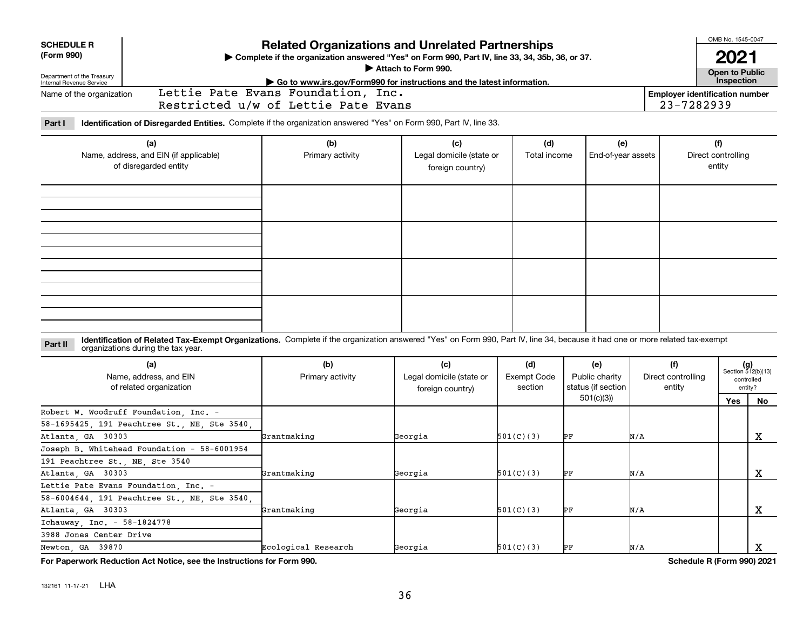| <b>SCHEDULE R</b><br>(Form 990)<br>Department of the Treasury<br>Internal Revenue Service | Complete if the organization answered "Yes" on Form 990, Part IV, line 33, 34, 35b, 36, or 37.                                                                                                                     |                                                                                                                               |                                                     | OMB No. 1545-0047<br>2021<br><b>Open to Public</b><br>Inspection |                                                          |                                     |                                       |                                                      |
|-------------------------------------------------------------------------------------------|--------------------------------------------------------------------------------------------------------------------------------------------------------------------------------------------------------------------|-------------------------------------------------------------------------------------------------------------------------------|-----------------------------------------------------|------------------------------------------------------------------|----------------------------------------------------------|-------------------------------------|---------------------------------------|------------------------------------------------------|
| Name of the organization                                                                  |                                                                                                                                                                                                                    | $\triangleright$ Go to www.irs.gov/Form990 for instructions and the latest information.<br>Lettie Pate Evans Foundation, Inc. |                                                     |                                                                  |                                                          |                                     | <b>Employer identification number</b> |                                                      |
|                                                                                           |                                                                                                                                                                                                                    | Restricted u/w of Lettie Pate Evans                                                                                           |                                                     |                                                                  |                                                          |                                     | 23-7282939                            |                                                      |
| Part I                                                                                    | Identification of Disregarded Entities. Complete if the organization answered "Yes" on Form 990, Part IV, line 33.                                                                                                 |                                                                                                                               |                                                     |                                                                  |                                                          |                                     |                                       |                                                      |
| (a)<br>Name, address, and EIN (if applicable)<br>of disregarded entity                    |                                                                                                                                                                                                                    | (b)<br>Primary activity                                                                                                       | (c)<br>Legal domicile (state or<br>foreign country) | (d)<br>Total income                                              | (e)<br>End-of-year assets                                |                                     | (f)<br>Direct controlling<br>entity   |                                                      |
|                                                                                           |                                                                                                                                                                                                                    |                                                                                                                               |                                                     |                                                                  |                                                          |                                     |                                       |                                                      |
| Part II                                                                                   | Identification of Related Tax-Exempt Organizations. Complete if the organization answered "Yes" on Form 990, Part IV, line 34, because it had one or more related tax-exempt<br>organizations during the tax year. |                                                                                                                               |                                                     |                                                                  |                                                          |                                     |                                       |                                                      |
|                                                                                           | (a)<br>Name, address, and EIN<br>of related organization                                                                                                                                                           | (b)<br>Primary activity                                                                                                       | (c)<br>Legal domicile (state or<br>foreign country) | (d)<br><b>Exempt Code</b><br>section                             | (e)<br>Public charity<br>status (if section<br>501(c)(3) | (f)<br>Direct controlling<br>entity |                                       | $(g)$<br>Section 512(b)(13)<br>controlled<br>entity? |
| Atlanta GA 30303                                                                          | Robert W. Woodruff Foundation, Inc. -<br>58-1695425, 191 Peachtree St., NE, Ste 3540,                                                                                                                              | Grantmaking                                                                                                                   | Georgia                                             | 501(C)(3)                                                        | PF                                                       | N/A                                 | Yes                                   | No<br>$\mathbf x$                                    |
| 191 Peachtree St., NE, Ste 3540<br>Atlanta, GA 30303                                      | Joseph B. Whitehead Foundation - 58-6001954                                                                                                                                                                        | Grantmaking                                                                                                                   | Georgia                                             | 501(C)(3)                                                        | РF                                                       | N/A                                 |                                       | $\mathbf x$                                          |
| Atlanta, GA 30303                                                                         | Lettie Pate Evans Foundation, Inc. -<br>58-6004644, 191 Peachtree St., NE, Ste 3540                                                                                                                                | Grantmaking                                                                                                                   | Georgia                                             | 501(C)(3)                                                        | PF                                                       | N/A                                 |                                       | x                                                    |
| Ichauway Inc. - 58-1824778<br>3988 Jones Center Drive<br>Newton, GA 39870                 |                                                                                                                                                                                                                    | Ecological Research                                                                                                           | Georgia                                             | 501(C)(3)                                                        | PF                                                       | N/A                                 |                                       | x                                                    |
|                                                                                           | For Paperwork Reduction Act Notice, see the Instructions for Form 990.                                                                                                                                             |                                                                                                                               |                                                     |                                                                  |                                                          |                                     | Schedule R (Form 990) 2021            |                                                      |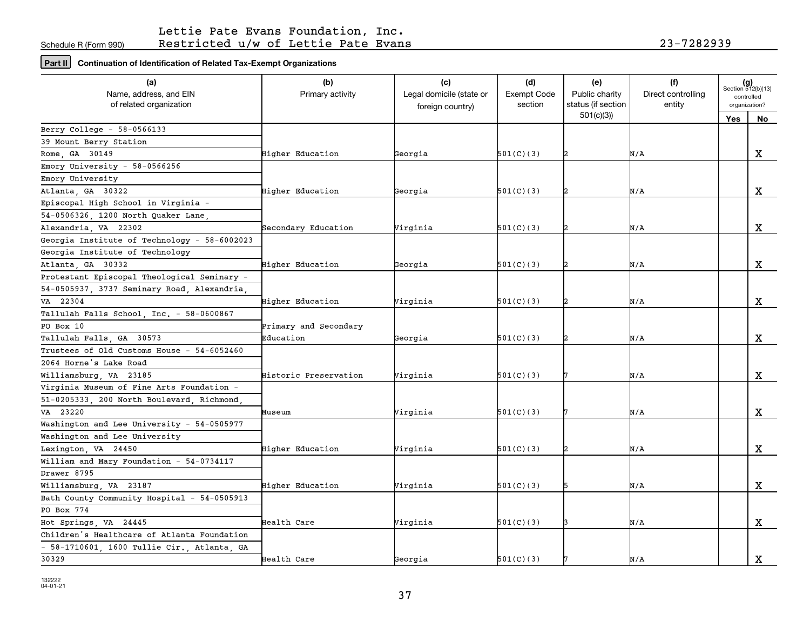## Lettie Pate Evans Foundation, Inc. Restricted u/w of Lettie Pate Evans 23-7282939

**Part II Continuation of Identification of Related Tax-Exempt Organizations**

| (d)<br>(e)<br>$(g)$<br>Section 512(b)(13)<br>Name, address, and EIN<br>Legal domicile (state or<br><b>Exempt Code</b><br>Direct controlling<br>Primary activity<br>Public charity<br>controlled<br>of related organization<br>section<br>status (if section<br>entity<br>organization?<br>foreign country)<br>501(c)(3)<br>Yes<br>No<br>Berry College $-58-0566133$<br>39 Mount Berry Station<br>X<br>Rome, GA 30149<br>501(C)(3)<br>Higher Education<br>Georgia<br>N/A<br>Emory University - $58-0566256$<br>Emory University<br>X<br>Atlanta, GA 30322<br>Higher Education<br>Georgia<br>501(C)(3)<br>N/A<br>Episcopal High School in Virginia -<br>54-0506326, 1200 North Quaker Lane,<br>Alexandria VA 22302<br>X<br>Secondary Education<br>Virginia<br>501(C)(3)<br>2<br>N/A<br>Georgia Institute of Technology - 58-6002023<br>Georgia Institute of Technology<br>$\mathbf X$<br>Atlanta, GA 30332<br>Higher Education<br>Georgia<br>501(C)(3)<br>2<br>N/A<br>Protestant Episcopal Theological Seminary -<br>54-0505937, 3737 Seminary Road, Alexandria,<br>X<br>VA 22304<br>Higher Education<br>Virginia<br>501(C)(3)<br>N/A<br>Tallulah Falls School, Inc. - 58-0600867<br>PO Box 10<br>Primary and Secondary<br>$\mathbf X$<br>501(C)(3)<br>Tallulah Falls, GA 30573<br>Education<br>Georgia<br>N/A<br>Trustees of Old Customs House - 54-6052460<br>2064 Horne's Lake Road<br>X<br>Williamsburg, VA 23185<br>Historic Preservation<br>Virginia<br>501(C)(3)<br>N/A<br>Virginia Museum of Fine Arts Foundation -<br>51-0205333, 200 North Boulevard, Richmond,<br>VA 23220<br>501(C)(3)<br>X<br>Virginia<br>N/A<br>Museum<br>Washington and Lee University - 54-0505977<br>Washington and Lee University<br>$\mathbf X$<br>Lexington, VA 24450<br>Virginia<br>501(C)(3)<br>N/A<br>Higher Education<br>William and Mary Foundation - 54-0734117<br>Drawer 8795<br>$\mathbf X$<br>Williamsburg, VA 23187<br>501(C)(3)<br>Higher Education<br>Virginia<br>N/A<br>Bath County Community Hospital - 54-0505913<br>PO Box 774<br>X<br>501(C)(3)<br>Hot Springs, VA 24445<br>Health Care<br>Virginia<br>N/A<br>Children's Healthcare of Atlanta Foundation<br>- 58-1710601, 1600 Tullie Cir., Atlanta, GA |       |             |         |           |     |             |
|-------------------------------------------------------------------------------------------------------------------------------------------------------------------------------------------------------------------------------------------------------------------------------------------------------------------------------------------------------------------------------------------------------------------------------------------------------------------------------------------------------------------------------------------------------------------------------------------------------------------------------------------------------------------------------------------------------------------------------------------------------------------------------------------------------------------------------------------------------------------------------------------------------------------------------------------------------------------------------------------------------------------------------------------------------------------------------------------------------------------------------------------------------------------------------------------------------------------------------------------------------------------------------------------------------------------------------------------------------------------------------------------------------------------------------------------------------------------------------------------------------------------------------------------------------------------------------------------------------------------------------------------------------------------------------------------------------------------------------------------------------------------------------------------------------------------------------------------------------------------------------------------------------------------------------------------------------------------------------------------------------------------------------------------------------------------------------------------------------------------------------------------------------------------------------------------------------------|-------|-------------|---------|-----------|-----|-------------|
|                                                                                                                                                                                                                                                                                                                                                                                                                                                                                                                                                                                                                                                                                                                                                                                                                                                                                                                                                                                                                                                                                                                                                                                                                                                                                                                                                                                                                                                                                                                                                                                                                                                                                                                                                                                                                                                                                                                                                                                                                                                                                                                                                                                                             | (a)   | (b)         | (c)     |           | (f) |             |
|                                                                                                                                                                                                                                                                                                                                                                                                                                                                                                                                                                                                                                                                                                                                                                                                                                                                                                                                                                                                                                                                                                                                                                                                                                                                                                                                                                                                                                                                                                                                                                                                                                                                                                                                                                                                                                                                                                                                                                                                                                                                                                                                                                                                             |       |             |         |           |     |             |
|                                                                                                                                                                                                                                                                                                                                                                                                                                                                                                                                                                                                                                                                                                                                                                                                                                                                                                                                                                                                                                                                                                                                                                                                                                                                                                                                                                                                                                                                                                                                                                                                                                                                                                                                                                                                                                                                                                                                                                                                                                                                                                                                                                                                             |       |             |         |           |     |             |
|                                                                                                                                                                                                                                                                                                                                                                                                                                                                                                                                                                                                                                                                                                                                                                                                                                                                                                                                                                                                                                                                                                                                                                                                                                                                                                                                                                                                                                                                                                                                                                                                                                                                                                                                                                                                                                                                                                                                                                                                                                                                                                                                                                                                             |       |             |         |           |     |             |
|                                                                                                                                                                                                                                                                                                                                                                                                                                                                                                                                                                                                                                                                                                                                                                                                                                                                                                                                                                                                                                                                                                                                                                                                                                                                                                                                                                                                                                                                                                                                                                                                                                                                                                                                                                                                                                                                                                                                                                                                                                                                                                                                                                                                             |       |             |         |           |     |             |
|                                                                                                                                                                                                                                                                                                                                                                                                                                                                                                                                                                                                                                                                                                                                                                                                                                                                                                                                                                                                                                                                                                                                                                                                                                                                                                                                                                                                                                                                                                                                                                                                                                                                                                                                                                                                                                                                                                                                                                                                                                                                                                                                                                                                             |       |             |         |           |     |             |
|                                                                                                                                                                                                                                                                                                                                                                                                                                                                                                                                                                                                                                                                                                                                                                                                                                                                                                                                                                                                                                                                                                                                                                                                                                                                                                                                                                                                                                                                                                                                                                                                                                                                                                                                                                                                                                                                                                                                                                                                                                                                                                                                                                                                             |       |             |         |           |     |             |
|                                                                                                                                                                                                                                                                                                                                                                                                                                                                                                                                                                                                                                                                                                                                                                                                                                                                                                                                                                                                                                                                                                                                                                                                                                                                                                                                                                                                                                                                                                                                                                                                                                                                                                                                                                                                                                                                                                                                                                                                                                                                                                                                                                                                             |       |             |         |           |     |             |
|                                                                                                                                                                                                                                                                                                                                                                                                                                                                                                                                                                                                                                                                                                                                                                                                                                                                                                                                                                                                                                                                                                                                                                                                                                                                                                                                                                                                                                                                                                                                                                                                                                                                                                                                                                                                                                                                                                                                                                                                                                                                                                                                                                                                             |       |             |         |           |     |             |
|                                                                                                                                                                                                                                                                                                                                                                                                                                                                                                                                                                                                                                                                                                                                                                                                                                                                                                                                                                                                                                                                                                                                                                                                                                                                                                                                                                                                                                                                                                                                                                                                                                                                                                                                                                                                                                                                                                                                                                                                                                                                                                                                                                                                             |       |             |         |           |     |             |
|                                                                                                                                                                                                                                                                                                                                                                                                                                                                                                                                                                                                                                                                                                                                                                                                                                                                                                                                                                                                                                                                                                                                                                                                                                                                                                                                                                                                                                                                                                                                                                                                                                                                                                                                                                                                                                                                                                                                                                                                                                                                                                                                                                                                             |       |             |         |           |     |             |
|                                                                                                                                                                                                                                                                                                                                                                                                                                                                                                                                                                                                                                                                                                                                                                                                                                                                                                                                                                                                                                                                                                                                                                                                                                                                                                                                                                                                                                                                                                                                                                                                                                                                                                                                                                                                                                                                                                                                                                                                                                                                                                                                                                                                             |       |             |         |           |     |             |
|                                                                                                                                                                                                                                                                                                                                                                                                                                                                                                                                                                                                                                                                                                                                                                                                                                                                                                                                                                                                                                                                                                                                                                                                                                                                                                                                                                                                                                                                                                                                                                                                                                                                                                                                                                                                                                                                                                                                                                                                                                                                                                                                                                                                             |       |             |         |           |     |             |
|                                                                                                                                                                                                                                                                                                                                                                                                                                                                                                                                                                                                                                                                                                                                                                                                                                                                                                                                                                                                                                                                                                                                                                                                                                                                                                                                                                                                                                                                                                                                                                                                                                                                                                                                                                                                                                                                                                                                                                                                                                                                                                                                                                                                             |       |             |         |           |     |             |
|                                                                                                                                                                                                                                                                                                                                                                                                                                                                                                                                                                                                                                                                                                                                                                                                                                                                                                                                                                                                                                                                                                                                                                                                                                                                                                                                                                                                                                                                                                                                                                                                                                                                                                                                                                                                                                                                                                                                                                                                                                                                                                                                                                                                             |       |             |         |           |     |             |
|                                                                                                                                                                                                                                                                                                                                                                                                                                                                                                                                                                                                                                                                                                                                                                                                                                                                                                                                                                                                                                                                                                                                                                                                                                                                                                                                                                                                                                                                                                                                                                                                                                                                                                                                                                                                                                                                                                                                                                                                                                                                                                                                                                                                             |       |             |         |           |     |             |
|                                                                                                                                                                                                                                                                                                                                                                                                                                                                                                                                                                                                                                                                                                                                                                                                                                                                                                                                                                                                                                                                                                                                                                                                                                                                                                                                                                                                                                                                                                                                                                                                                                                                                                                                                                                                                                                                                                                                                                                                                                                                                                                                                                                                             |       |             |         |           |     |             |
|                                                                                                                                                                                                                                                                                                                                                                                                                                                                                                                                                                                                                                                                                                                                                                                                                                                                                                                                                                                                                                                                                                                                                                                                                                                                                                                                                                                                                                                                                                                                                                                                                                                                                                                                                                                                                                                                                                                                                                                                                                                                                                                                                                                                             |       |             |         |           |     |             |
|                                                                                                                                                                                                                                                                                                                                                                                                                                                                                                                                                                                                                                                                                                                                                                                                                                                                                                                                                                                                                                                                                                                                                                                                                                                                                                                                                                                                                                                                                                                                                                                                                                                                                                                                                                                                                                                                                                                                                                                                                                                                                                                                                                                                             |       |             |         |           |     |             |
|                                                                                                                                                                                                                                                                                                                                                                                                                                                                                                                                                                                                                                                                                                                                                                                                                                                                                                                                                                                                                                                                                                                                                                                                                                                                                                                                                                                                                                                                                                                                                                                                                                                                                                                                                                                                                                                                                                                                                                                                                                                                                                                                                                                                             |       |             |         |           |     |             |
|                                                                                                                                                                                                                                                                                                                                                                                                                                                                                                                                                                                                                                                                                                                                                                                                                                                                                                                                                                                                                                                                                                                                                                                                                                                                                                                                                                                                                                                                                                                                                                                                                                                                                                                                                                                                                                                                                                                                                                                                                                                                                                                                                                                                             |       |             |         |           |     |             |
|                                                                                                                                                                                                                                                                                                                                                                                                                                                                                                                                                                                                                                                                                                                                                                                                                                                                                                                                                                                                                                                                                                                                                                                                                                                                                                                                                                                                                                                                                                                                                                                                                                                                                                                                                                                                                                                                                                                                                                                                                                                                                                                                                                                                             |       |             |         |           |     |             |
|                                                                                                                                                                                                                                                                                                                                                                                                                                                                                                                                                                                                                                                                                                                                                                                                                                                                                                                                                                                                                                                                                                                                                                                                                                                                                                                                                                                                                                                                                                                                                                                                                                                                                                                                                                                                                                                                                                                                                                                                                                                                                                                                                                                                             |       |             |         |           |     |             |
|                                                                                                                                                                                                                                                                                                                                                                                                                                                                                                                                                                                                                                                                                                                                                                                                                                                                                                                                                                                                                                                                                                                                                                                                                                                                                                                                                                                                                                                                                                                                                                                                                                                                                                                                                                                                                                                                                                                                                                                                                                                                                                                                                                                                             |       |             |         |           |     |             |
|                                                                                                                                                                                                                                                                                                                                                                                                                                                                                                                                                                                                                                                                                                                                                                                                                                                                                                                                                                                                                                                                                                                                                                                                                                                                                                                                                                                                                                                                                                                                                                                                                                                                                                                                                                                                                                                                                                                                                                                                                                                                                                                                                                                                             |       |             |         |           |     |             |
|                                                                                                                                                                                                                                                                                                                                                                                                                                                                                                                                                                                                                                                                                                                                                                                                                                                                                                                                                                                                                                                                                                                                                                                                                                                                                                                                                                                                                                                                                                                                                                                                                                                                                                                                                                                                                                                                                                                                                                                                                                                                                                                                                                                                             |       |             |         |           |     |             |
|                                                                                                                                                                                                                                                                                                                                                                                                                                                                                                                                                                                                                                                                                                                                                                                                                                                                                                                                                                                                                                                                                                                                                                                                                                                                                                                                                                                                                                                                                                                                                                                                                                                                                                                                                                                                                                                                                                                                                                                                                                                                                                                                                                                                             |       |             |         |           |     |             |
|                                                                                                                                                                                                                                                                                                                                                                                                                                                                                                                                                                                                                                                                                                                                                                                                                                                                                                                                                                                                                                                                                                                                                                                                                                                                                                                                                                                                                                                                                                                                                                                                                                                                                                                                                                                                                                                                                                                                                                                                                                                                                                                                                                                                             |       |             |         |           |     |             |
|                                                                                                                                                                                                                                                                                                                                                                                                                                                                                                                                                                                                                                                                                                                                                                                                                                                                                                                                                                                                                                                                                                                                                                                                                                                                                                                                                                                                                                                                                                                                                                                                                                                                                                                                                                                                                                                                                                                                                                                                                                                                                                                                                                                                             |       |             |         |           |     |             |
|                                                                                                                                                                                                                                                                                                                                                                                                                                                                                                                                                                                                                                                                                                                                                                                                                                                                                                                                                                                                                                                                                                                                                                                                                                                                                                                                                                                                                                                                                                                                                                                                                                                                                                                                                                                                                                                                                                                                                                                                                                                                                                                                                                                                             |       |             |         |           |     |             |
|                                                                                                                                                                                                                                                                                                                                                                                                                                                                                                                                                                                                                                                                                                                                                                                                                                                                                                                                                                                                                                                                                                                                                                                                                                                                                                                                                                                                                                                                                                                                                                                                                                                                                                                                                                                                                                                                                                                                                                                                                                                                                                                                                                                                             |       |             |         |           |     |             |
|                                                                                                                                                                                                                                                                                                                                                                                                                                                                                                                                                                                                                                                                                                                                                                                                                                                                                                                                                                                                                                                                                                                                                                                                                                                                                                                                                                                                                                                                                                                                                                                                                                                                                                                                                                                                                                                                                                                                                                                                                                                                                                                                                                                                             |       |             |         |           |     |             |
|                                                                                                                                                                                                                                                                                                                                                                                                                                                                                                                                                                                                                                                                                                                                                                                                                                                                                                                                                                                                                                                                                                                                                                                                                                                                                                                                                                                                                                                                                                                                                                                                                                                                                                                                                                                                                                                                                                                                                                                                                                                                                                                                                                                                             |       |             |         |           |     |             |
|                                                                                                                                                                                                                                                                                                                                                                                                                                                                                                                                                                                                                                                                                                                                                                                                                                                                                                                                                                                                                                                                                                                                                                                                                                                                                                                                                                                                                                                                                                                                                                                                                                                                                                                                                                                                                                                                                                                                                                                                                                                                                                                                                                                                             |       |             |         |           |     |             |
|                                                                                                                                                                                                                                                                                                                                                                                                                                                                                                                                                                                                                                                                                                                                                                                                                                                                                                                                                                                                                                                                                                                                                                                                                                                                                                                                                                                                                                                                                                                                                                                                                                                                                                                                                                                                                                                                                                                                                                                                                                                                                                                                                                                                             |       |             |         |           |     |             |
|                                                                                                                                                                                                                                                                                                                                                                                                                                                                                                                                                                                                                                                                                                                                                                                                                                                                                                                                                                                                                                                                                                                                                                                                                                                                                                                                                                                                                                                                                                                                                                                                                                                                                                                                                                                                                                                                                                                                                                                                                                                                                                                                                                                                             |       |             |         |           |     |             |
|                                                                                                                                                                                                                                                                                                                                                                                                                                                                                                                                                                                                                                                                                                                                                                                                                                                                                                                                                                                                                                                                                                                                                                                                                                                                                                                                                                                                                                                                                                                                                                                                                                                                                                                                                                                                                                                                                                                                                                                                                                                                                                                                                                                                             |       |             |         |           |     |             |
|                                                                                                                                                                                                                                                                                                                                                                                                                                                                                                                                                                                                                                                                                                                                                                                                                                                                                                                                                                                                                                                                                                                                                                                                                                                                                                                                                                                                                                                                                                                                                                                                                                                                                                                                                                                                                                                                                                                                                                                                                                                                                                                                                                                                             | 30329 | Health Care | Georgia | 501(C)(3) | N/A | $\mathbf X$ |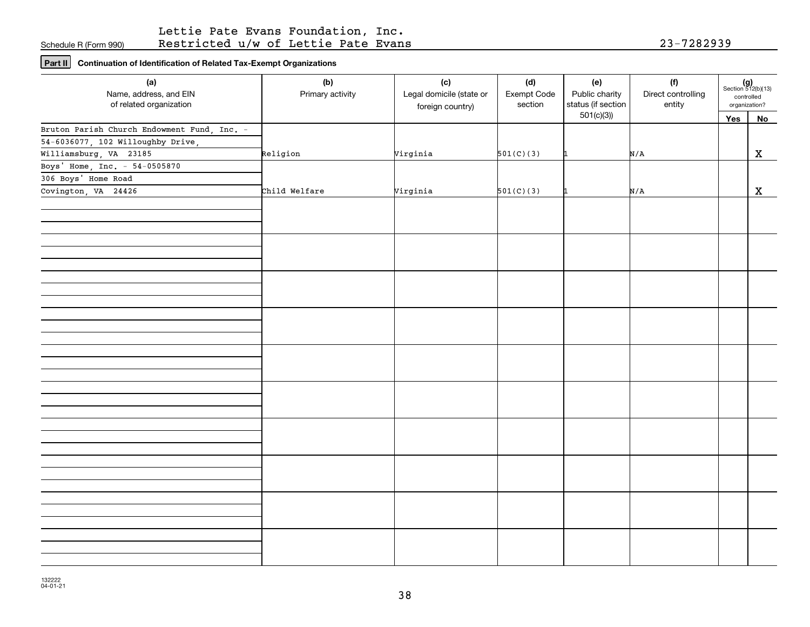## Lettie Pate Evans Foundation, Inc. Restricted u/w of Lettie Pate Evans 23-7282939

**Part II Continuation of Identification of Related Tax-Exempt Organizations**

| (a)                                               | (b)              | (c)                                          | (d)                    | (e)                                  | (f)                          | $(g)$<br>Section 512(b)(13) |             |
|---------------------------------------------------|------------------|----------------------------------------------|------------------------|--------------------------------------|------------------------------|-----------------------------|-------------|
| Name, address, and EIN<br>of related organization | Primary activity | Legal domicile (state or<br>foreign country) | Exempt Code<br>section | Public charity<br>status (if section | Direct controlling<br>entity | controlled<br>organization? |             |
|                                                   |                  |                                              |                        | 501(c)(3)                            |                              | Yes                         | No          |
| Bruton Parish Church Endowment Fund, Inc. -       |                  |                                              |                        |                                      |                              |                             |             |
| 54-6036077, 102 Willoughby Drive,                 |                  |                                              |                        |                                      |                              |                             |             |
| Williamsburg, VA 23185                            | Religion         | Virginia                                     | 501(C)(3)              |                                      | N/A                          |                             | $\mathbf X$ |
| Boys' Home, Inc. - 54-0505870                     |                  |                                              |                        |                                      |                              |                             |             |
| 306 Boys' Home Road                               |                  |                                              |                        |                                      |                              |                             |             |
| Covington, VA 24426                               | Child Welfare    | Virginia                                     | 501(C)(3)              |                                      | N/A                          |                             | $\mathbf x$ |
|                                                   |                  |                                              |                        |                                      |                              |                             |             |
|                                                   |                  |                                              |                        |                                      |                              |                             |             |
|                                                   |                  |                                              |                        |                                      |                              |                             |             |
|                                                   |                  |                                              |                        |                                      |                              |                             |             |
|                                                   |                  |                                              |                        |                                      |                              |                             |             |
|                                                   |                  |                                              |                        |                                      |                              |                             |             |
|                                                   |                  |                                              |                        |                                      |                              |                             |             |
|                                                   |                  |                                              |                        |                                      |                              |                             |             |
|                                                   |                  |                                              |                        |                                      |                              |                             |             |
|                                                   |                  |                                              |                        |                                      |                              |                             |             |
|                                                   |                  |                                              |                        |                                      |                              |                             |             |
|                                                   |                  |                                              |                        |                                      |                              |                             |             |
|                                                   |                  |                                              |                        |                                      |                              |                             |             |
|                                                   |                  |                                              |                        |                                      |                              |                             |             |
|                                                   |                  |                                              |                        |                                      |                              |                             |             |
|                                                   |                  |                                              |                        |                                      |                              |                             |             |
|                                                   |                  |                                              |                        |                                      |                              |                             |             |
|                                                   |                  |                                              |                        |                                      |                              |                             |             |
|                                                   |                  |                                              |                        |                                      |                              |                             |             |
|                                                   |                  |                                              |                        |                                      |                              |                             |             |
|                                                   |                  |                                              |                        |                                      |                              |                             |             |
|                                                   |                  |                                              |                        |                                      |                              |                             |             |
|                                                   |                  |                                              |                        |                                      |                              |                             |             |
|                                                   |                  |                                              |                        |                                      |                              |                             |             |
|                                                   |                  |                                              |                        |                                      |                              |                             |             |
|                                                   |                  |                                              |                        |                                      |                              |                             |             |
|                                                   |                  |                                              |                        |                                      |                              |                             |             |
|                                                   |                  |                                              |                        |                                      |                              |                             |             |
|                                                   |                  |                                              |                        |                                      |                              |                             |             |
|                                                   |                  |                                              |                        |                                      |                              |                             |             |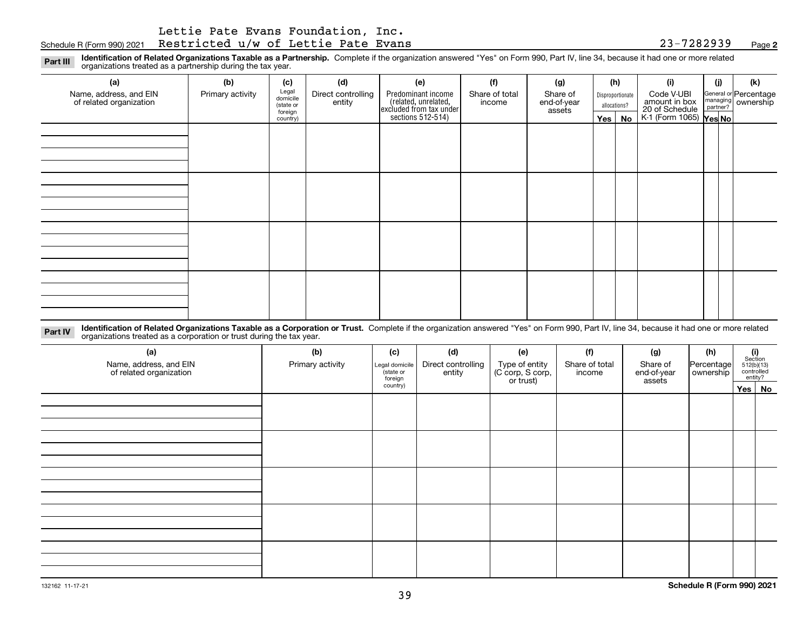Schedule R (Form 990) 2021 Page Restricted u/w of Lettie Pate Evans 23-7282939

**2**

**Identification of Related Organizations Taxable as a Partnership.** Complete if the organization answered "Yes" on Form 990, Part IV, line 34, because it had one or more related **Part III** organizations treated as a partnership during the tax year.

| (a)                                               | (b)              | (c)                  | (d)                          | (e)                                                                 | (f)                      | (g)                     |                  | (h)          | (i)                                                       | (i) | (k)                            |
|---------------------------------------------------|------------------|----------------------|------------------------------|---------------------------------------------------------------------|--------------------------|-------------------------|------------------|--------------|-----------------------------------------------------------|-----|--------------------------------|
| Name, address, and EIN<br>of related organization | Primary activity | Legal<br>domicile    | Direct controlling<br>entity | Predominant income                                                  | Share of total<br>income | Share of<br>end-of-year | Disproportionate |              | Code V-UBI                                                |     | General or Percentage          |
|                                                   |                  | (state or<br>foreign |                              |                                                                     |                          | assets                  |                  | allocations? |                                                           |     | managing<br>partner? Ownership |
|                                                   |                  | country)             |                              | related, unrelated,<br>excluded from tax under<br>sections 512-514) |                          |                         | Yes $ $          | No           | amount in box<br>20 of Schedule<br>K-1 (Form 1065) Yes No |     |                                |
|                                                   |                  |                      |                              |                                                                     |                          |                         |                  |              |                                                           |     |                                |
|                                                   |                  |                      |                              |                                                                     |                          |                         |                  |              |                                                           |     |                                |
|                                                   |                  |                      |                              |                                                                     |                          |                         |                  |              |                                                           |     |                                |
|                                                   |                  |                      |                              |                                                                     |                          |                         |                  |              |                                                           |     |                                |
|                                                   |                  |                      |                              |                                                                     |                          |                         |                  |              |                                                           |     |                                |
|                                                   |                  |                      |                              |                                                                     |                          |                         |                  |              |                                                           |     |                                |
|                                                   |                  |                      |                              |                                                                     |                          |                         |                  |              |                                                           |     |                                |
|                                                   |                  |                      |                              |                                                                     |                          |                         |                  |              |                                                           |     |                                |
|                                                   |                  |                      |                              |                                                                     |                          |                         |                  |              |                                                           |     |                                |
|                                                   |                  |                      |                              |                                                                     |                          |                         |                  |              |                                                           |     |                                |
|                                                   |                  |                      |                              |                                                                     |                          |                         |                  |              |                                                           |     |                                |
|                                                   |                  |                      |                              |                                                                     |                          |                         |                  |              |                                                           |     |                                |
|                                                   |                  |                      |                              |                                                                     |                          |                         |                  |              |                                                           |     |                                |
|                                                   |                  |                      |                              |                                                                     |                          |                         |                  |              |                                                           |     |                                |
|                                                   |                  |                      |                              |                                                                     |                          |                         |                  |              |                                                           |     |                                |
|                                                   |                  |                      |                              |                                                                     |                          |                         |                  |              |                                                           |     |                                |
|                                                   |                  |                      |                              |                                                                     |                          |                         |                  |              |                                                           |     |                                |

**Identification of Related Organizations Taxable as a Corporation or Trust.** Complete if the organization answered "Yes" on Form 990, Part IV, line 34, because it had one or more related **Part IV** organizations treated as a corporation or trust during the tax year.

| (a)<br>Name, address, and EIN<br>of related organization | (b)<br>Primary activity | (c)<br>Legal domicile<br>(state or<br>foreign | (d)<br>Direct controlling<br>entity | (e)<br>Type of entity<br>(C corp, S corp,<br>or trust) | (f)<br>Share of total<br>income | (g)<br>Share of<br>end-of-year<br>assets | (h)<br> Percentage <br>ownership | (i)<br>Section<br>$512(b)(13)$<br>controlled | entity? |
|----------------------------------------------------------|-------------------------|-----------------------------------------------|-------------------------------------|--------------------------------------------------------|---------------------------------|------------------------------------------|----------------------------------|----------------------------------------------|---------|
|                                                          |                         | country)                                      |                                     |                                                        |                                 |                                          |                                  |                                              | Yes No  |
|                                                          |                         |                                               |                                     |                                                        |                                 |                                          |                                  |                                              |         |
|                                                          |                         |                                               |                                     |                                                        |                                 |                                          |                                  |                                              |         |
|                                                          |                         |                                               |                                     |                                                        |                                 |                                          |                                  |                                              |         |
|                                                          |                         |                                               |                                     |                                                        |                                 |                                          |                                  |                                              |         |
|                                                          |                         |                                               |                                     |                                                        |                                 |                                          |                                  |                                              |         |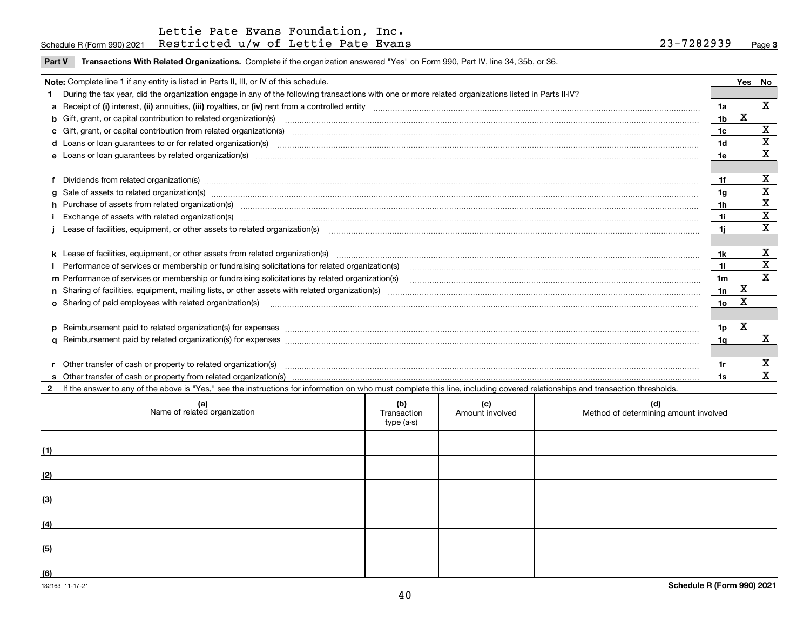|  | Part V Transactions With Related Organizations. Complete if the organization answered "Yes" on Form 990, Part IV, line 34, 35b, or 36. |  |  |
|--|----------------------------------------------------------------------------------------------------------------------------------------|--|--|
|--|----------------------------------------------------------------------------------------------------------------------------------------|--|--|

| Note: Complete line 1 if any entity is listed in Parts II, III, or IV of this schedule. |                                                                                                                                                                                                                                |     |             |             |  |
|-----------------------------------------------------------------------------------------|--------------------------------------------------------------------------------------------------------------------------------------------------------------------------------------------------------------------------------|-----|-------------|-------------|--|
|                                                                                         | 1 During the tax year, did the organization engage in any of the following transactions with one or more related organizations listed in Parts II-IV?                                                                          |     |             |             |  |
|                                                                                         |                                                                                                                                                                                                                                |     |             | X           |  |
|                                                                                         | b Gift, grant, or capital contribution to related organization(s) manufactured contains and contribution to related organization(s)                                                                                            | 1b  | X           |             |  |
|                                                                                         | c Gift, grant, or capital contribution from related organization(s) material contracts and contribution from related organization(s) material contents and contribution from related organization(s) material contents and con | 1c  |             | х           |  |
|                                                                                         |                                                                                                                                                                                                                                | 1d  |             | X           |  |
|                                                                                         |                                                                                                                                                                                                                                | 1e  |             | X           |  |
|                                                                                         |                                                                                                                                                                                                                                |     |             |             |  |
|                                                                                         | f Dividends from related organization(s) material contracts and contracts are contracted as a contract of the contract or contract or contract or contract or contract or contract or contract or contract or contract or cont | 1f  |             | X           |  |
|                                                                                         | g Sale of assets to related organization(s) www.assettion.com/www.assettion.com/www.assettion.com/www.assettion.com/www.assettion.com/www.assettion.com/www.assettion.com/www.assettion.com/www.assettion.com/www.assettion.co | 1g  |             | X           |  |
|                                                                                         | h Purchase of assets from related organization(s) manufactured and content to content the content of assets from related organization(s)                                                                                       | 1h  |             | X           |  |
|                                                                                         | Exchange of assets with related organization(s) manufactured content to the content of the content of the content of the content of the content of the content of the content of the content of the content of the content of  | 1i. |             | $\mathbf X$ |  |
|                                                                                         |                                                                                                                                                                                                                                | 1i. |             | X           |  |
|                                                                                         |                                                                                                                                                                                                                                |     |             |             |  |
|                                                                                         |                                                                                                                                                                                                                                | 1k  |             | х           |  |
|                                                                                         | Performance of services or membership or fundraising solicitations for related organization(s) matchinary material contents and content of the services or membership or fundraising solicitations for related organization(s) | 11. |             | $\mathbf X$ |  |
|                                                                                         | m Performance of services or membership or fundraising solicitations by related organization(s)                                                                                                                                | 1m  |             | X           |  |
|                                                                                         |                                                                                                                                                                                                                                | 1n  | $\mathbf X$ |             |  |
|                                                                                         |                                                                                                                                                                                                                                | 1o  | x           |             |  |
|                                                                                         |                                                                                                                                                                                                                                |     |             |             |  |
|                                                                                         | p Reimbursement paid to related organization(s) for expenses [1111] and the content of the content of the content of the content of the content of the content of the content of the content of the content of the content of  | 1p  | X           |             |  |
|                                                                                         |                                                                                                                                                                                                                                | 1q  |             | x           |  |
|                                                                                         |                                                                                                                                                                                                                                |     |             |             |  |
|                                                                                         |                                                                                                                                                                                                                                |     |             | х           |  |
|                                                                                         |                                                                                                                                                                                                                                | 1s  |             | x           |  |

**2**If the answer to any of the above is "Yes," see the instructions for information on who must complete this line, including covered relationships and transaction thresholds.

| (a)<br>Name of related organization | (b)<br>Transaction<br>type (a-s) | (c)<br>Amount involved | (d)<br>Method of determining amount involved |
|-------------------------------------|----------------------------------|------------------------|----------------------------------------------|
| (1)                                 |                                  |                        |                                              |
| (2)                                 |                                  |                        |                                              |
| (3)                                 |                                  |                        |                                              |
| (4)                                 |                                  |                        |                                              |
| (5)                                 |                                  |                        |                                              |
| (6)                                 |                                  |                        |                                              |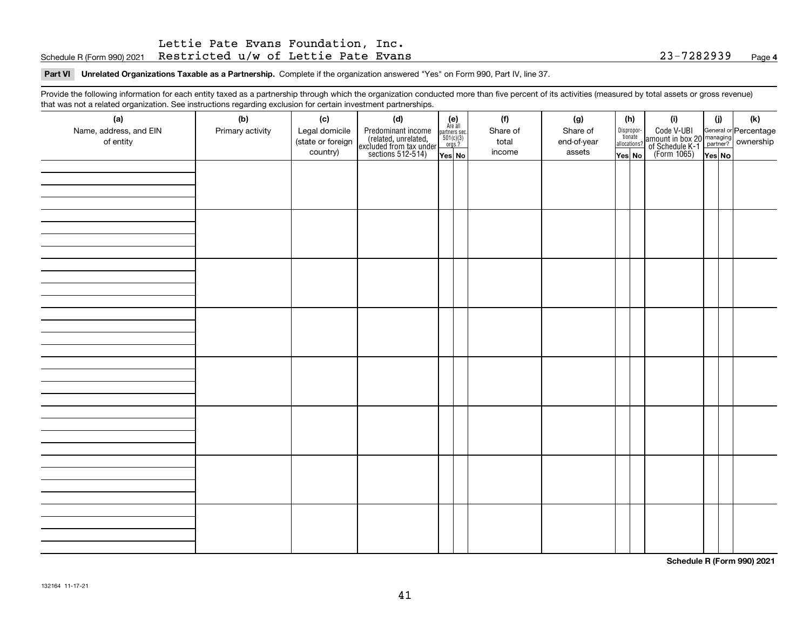## Schedule R (Form 990) 2021 Page Restricted u/w of Lettie Pate Evans 23-7282939 Lettie Pate Evans Foundation, Inc.

#### **Part VI Unrelated Organizations Taxable as a Partnership. Complete if the organization answered "Yes" on Form 990, Part IV, line 37.**

Provide the following information for each entity taxed as a partnership through which the organization conducted more than five percent of its activities (measured by total assets or gross revenue) that was not a related organization. See instructions regarding exclusion for certain investment partnerships.

| ັ<br>(a)<br>Name, address, and EIN<br>of entity | ັ<br>ັ<br>(b)<br>Primary activity | (c)<br>Legal domicile<br>(state or foreign<br>country) | (d)<br>Predominant income<br>(related, unrelated,<br>excluded from tax under<br>sections 512-514) | (e)<br>Are all<br>$\begin{array}{c}\n\text{partners} \sec.\n\\ \n501(c)(3)\n\\ \n0rgs.?\n\end{array}$<br>Yes No | (f)<br>Share of<br>total<br>income | (g)<br>Share of<br>end-of-year<br>assets | (h)<br>Dispropor-<br>tionate<br>allocations?<br>Yes No | (i)<br>Code V-UBI<br>amount in box 20 managing<br>of Schedule K-1<br>(Form 1065)<br>$\overline{Yes}$ No | (i)<br>Yes No | (k) |
|-------------------------------------------------|-----------------------------------|--------------------------------------------------------|---------------------------------------------------------------------------------------------------|-----------------------------------------------------------------------------------------------------------------|------------------------------------|------------------------------------------|--------------------------------------------------------|---------------------------------------------------------------------------------------------------------|---------------|-----|
|                                                 |                                   |                                                        |                                                                                                   |                                                                                                                 |                                    |                                          |                                                        |                                                                                                         |               |     |
|                                                 |                                   |                                                        |                                                                                                   |                                                                                                                 |                                    |                                          |                                                        |                                                                                                         |               |     |
|                                                 |                                   |                                                        |                                                                                                   |                                                                                                                 |                                    |                                          |                                                        |                                                                                                         |               |     |
|                                                 |                                   |                                                        |                                                                                                   |                                                                                                                 |                                    |                                          |                                                        |                                                                                                         |               |     |
|                                                 |                                   |                                                        |                                                                                                   |                                                                                                                 |                                    |                                          |                                                        |                                                                                                         |               |     |
|                                                 |                                   |                                                        |                                                                                                   |                                                                                                                 |                                    |                                          |                                                        |                                                                                                         |               |     |
|                                                 |                                   |                                                        |                                                                                                   |                                                                                                                 |                                    |                                          |                                                        |                                                                                                         |               |     |
|                                                 |                                   |                                                        |                                                                                                   |                                                                                                                 |                                    |                                          |                                                        |                                                                                                         |               |     |

**Schedule R (Form 990) 2021**